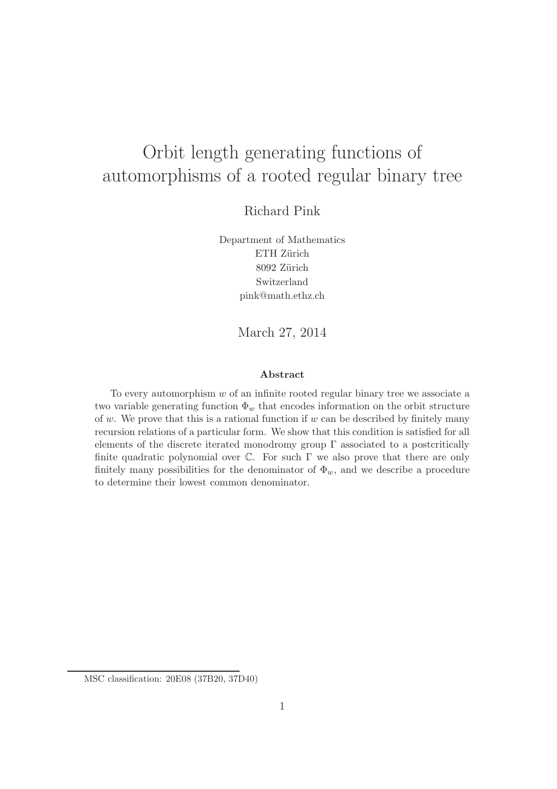# Orbit length generating functions of automorphisms of a rooted regular binary tree

Richard Pink

Department of Mathematics ETH Zürich 8092 Zürich Switzerland pink@math.ethz.ch

March 27, 2014

#### Abstract

To every automorphism  $w$  of an infinite rooted regular binary tree we associate a two variable generating function  $\Phi_w$  that encodes information on the orbit structure of w. We prove that this is a rational function if  $w$  can be described by finitely many recursion relations of a particular form. We show that this condition is satisfied for all elements of the discrete iterated monodromy group  $\Gamma$  associated to a postcritically finite quadratic polynomial over  $\mathbb C$ . For such  $\Gamma$  we also prove that there are only finitely many possibilities for the denominator of  $\Phi_w$ , and we describe a procedure to determine their lowest common denominator.

MSC classification: 20E08 (37B20, 37D40)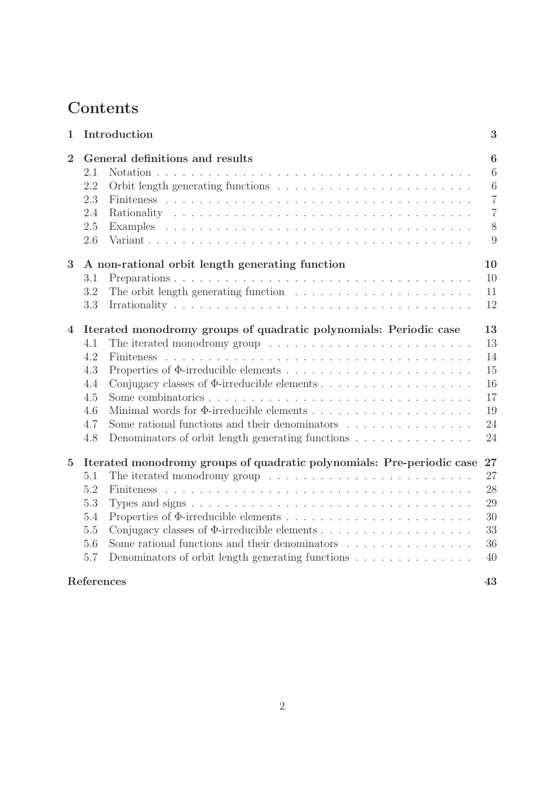## **Contents**

| $\mathbf{1}$   |                                                                             | Introduction                                                                            | 3                                                                            |  |  |  |
|----------------|-----------------------------------------------------------------------------|-----------------------------------------------------------------------------------------|------------------------------------------------------------------------------|--|--|--|
| $\overline{2}$ | 2.1<br>2.2<br>2.3<br>2.4<br>2.5<br>2.6                                      | General definitions and results                                                         | $\boldsymbol{6}$<br>6<br>6<br>$\overline{7}$<br>$\overline{7}$<br>$8\,$<br>9 |  |  |  |
| 3              | 10<br>A non-rational orbit length generating function                       |                                                                                         |                                                                              |  |  |  |
|                | 3.1                                                                         |                                                                                         | 10                                                                           |  |  |  |
|                | 3.2                                                                         | The orbit length generating function $\ldots \ldots \ldots \ldots \ldots \ldots \ldots$ | 11                                                                           |  |  |  |
|                | 3.3                                                                         |                                                                                         | 12                                                                           |  |  |  |
| 4              | Iterated monodromy groups of quadratic polynomials: Periodic case<br>13     |                                                                                         |                                                                              |  |  |  |
|                | 4.1                                                                         | The iterated monodromy group $\dots \dots \dots \dots \dots \dots \dots \dots \dots$    | 13                                                                           |  |  |  |
|                | 4.2                                                                         | <b>Finiteness</b>                                                                       | 14                                                                           |  |  |  |
|                | 4.3                                                                         |                                                                                         | 15                                                                           |  |  |  |
|                | 4.4                                                                         |                                                                                         | 16                                                                           |  |  |  |
|                | 4.5                                                                         |                                                                                         | 17                                                                           |  |  |  |
|                | 4.6                                                                         |                                                                                         | 19                                                                           |  |  |  |
|                | 4.7                                                                         | Some rational functions and their denominators $\dots \dots \dots \dots \dots$          | 24                                                                           |  |  |  |
|                | 4.8                                                                         | Denominators of orbit length generating functions $\ldots \ldots \ldots \ldots$         | 24                                                                           |  |  |  |
| $\overline{5}$ | Iterated monodromy groups of quadratic polynomials: Pre-periodic case<br>27 |                                                                                         |                                                                              |  |  |  |
|                | 5.1                                                                         | The iterated monodromy group $\ldots \ldots \ldots \ldots \ldots \ldots \ldots \ldots$  | 27                                                                           |  |  |  |
|                | 5.2                                                                         |                                                                                         | 28                                                                           |  |  |  |
|                | 5.3                                                                         |                                                                                         | 29                                                                           |  |  |  |
|                | 5.4                                                                         |                                                                                         | 30                                                                           |  |  |  |
|                | 5.5                                                                         |                                                                                         | 33                                                                           |  |  |  |
|                | 5.6                                                                         | Some rational functions and their denominators $\dots \dots \dots \dots \dots$          | 36                                                                           |  |  |  |
|                | 5.7                                                                         | Denominators of orbit length generating functions $\ldots \ldots \ldots \ldots$         | 40                                                                           |  |  |  |
|                | References                                                                  |                                                                                         | 43                                                                           |  |  |  |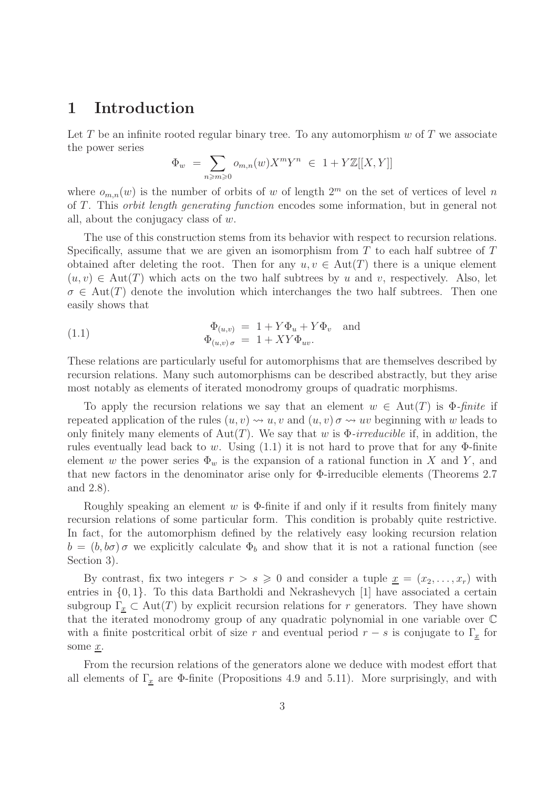### 1 Introduction

Let T be an infinite rooted regular binary tree. To any automorphism  $w$  of T we associate the power series

$$
\Phi_w = \sum_{n \geqslant m \geqslant 0} o_{m,n}(w) X^m Y^n \in 1 + Y \mathbb{Z}[[X, Y]]
$$

where  $o_{m,n}(w)$  is the number of orbits of w of length  $2^m$  on the set of vertices of level n of T. This orbit length generating function encodes some information, but in general not all, about the conjugacy class of w.

The use of this construction stems from its behavior with respect to recursion relations. Specifically, assume that we are given an isomorphism from  $T$  to each half subtree of  $T$ obtained after deleting the root. Then for any  $u, v \in Aut(T)$  there is a unique element  $(u, v) \in Aut(T)$  which acts on the two half subtrees by u and v, respectively. Also, let  $\sigma \in \text{Aut}(T)$  denote the involution which interchanges the two half subtrees. Then one easily shows that

(1.1) 
$$
\Phi_{(u,v)} = 1 + Y\Phi_u + Y\Phi_v \text{ and}
$$

$$
\Phi_{(u,v)\sigma} = 1 + XY\Phi_{uv}.
$$

These relations are particularly useful for automorphisms that are themselves described by recursion relations. Many such automorphisms can be described abstractly, but they arise most notably as elements of iterated monodromy groups of quadratic morphisms.

To apply the recursion relations we say that an element  $w \in Aut(T)$  is  $\Phi$ -finite if repeated application of the rules  $(u, v) \rightsquigarrow u, v$  and  $(u, v) \sigma \rightsquigarrow uv$  beginning with w leads to only finitely many elements of Aut(T). We say that w is  $\Phi$ -irreducible if, in addition, the rules eventually lead back to w. Using  $(1.1)$  it is not hard to prove that for any  $\Phi$ -finite element w the power series  $\Phi_w$  is the expansion of a rational function in X and Y, and that new factors in the denominator arise only for Φ-irreducible elements (Theorems 2.7 and 2.8).

Roughly speaking an element w is  $\Phi$ -finite if and only if it results from finitely many recursion relations of some particular form. This condition is probably quite restrictive. In fact, for the automorphism defined by the relatively easy looking recursion relation  $b = (b, b\sigma)\sigma$  we explicitly calculate  $\Phi_b$  and show that it is not a rational function (see Section 3).

By contrast, fix two integers  $r > s \geq 0$  and consider a tuple  $x = (x_2, \ldots, x_r)$  with entries in {0, 1}. To this data Bartholdi and Nekrashevych [1] have associated a certain subgroup  $\Gamma_{\underline{x}} \subset \text{Aut}(T)$  by explicit recursion relations for r generators. They have shown that the iterated monodromy group of any quadratic polynomial in one variable over C with a finite postcritical orbit of size r and eventual period  $r - s$  is conjugate to  $\Gamma_{\underline{x}}$  for some x.

From the recursion relations of the generators alone we deduce with modest effort that all elements of  $\Gamma_x$  are Φ-finite (Propositions 4.9 and 5.11). More surprisingly, and with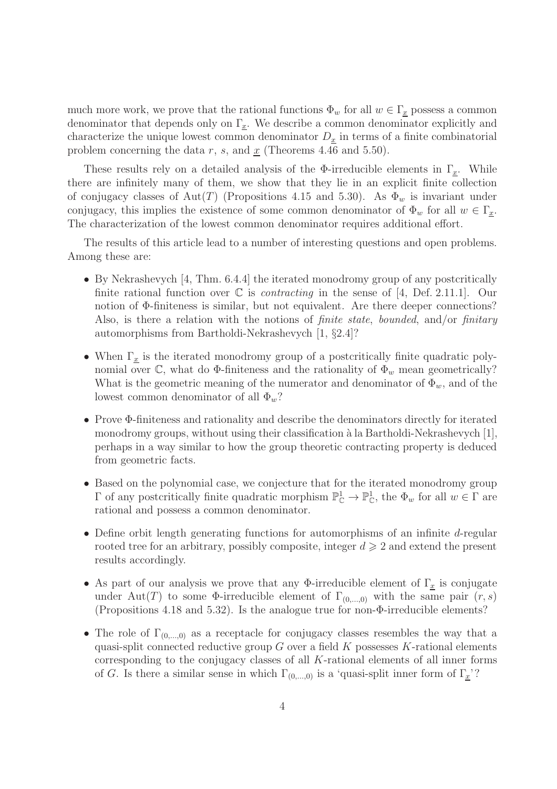much more work, we prove that the rational functions  $\Phi_w$  for all  $w \in \Gamma_x$  possess a common denominator that depends only on  $\Gamma_x$ . We describe a common denominator explicitly and characterize the unique lowest common denominator  $D_x$  in terms of a finite combinatorial problem concerning the data r, s, and  $\underline{x}$  (Theorems 4.46 and 5.50).

These results rely on a detailed analysis of the  $\Phi$ -irreducible elements in  $\Gamma_x$ . While there are infinitely many of them, we show that they lie in an explicit finite collection of conjugacy classes of Aut(T) (Propositions 4.15 and 5.30). As  $\Phi_w$  is invariant under conjugacy, this implies the existence of some common denominator of  $\Phi_w$  for all  $w \in \Gamma_x$ . The characterization of the lowest common denominator requires additional effort.

The results of this article lead to a number of interesting questions and open problems. Among these are:

- By Nekrashevych [4, Thm. 6.4.4] the iterated monodromy group of any postcritically finite rational function over  $\mathbb C$  is *contracting* in the sense of [4, Def. 2.11.1]. Our notion of Φ-finiteness is similar, but not equivalent. Are there deeper connections? Also, is there a relation with the notions of *finite state, bounded*, and/or *finitary* automorphisms from Bartholdi-Nekrashevych [1, §2.4]?
- When  $\Gamma_x$  is the iterated monodromy group of a postcritically finite quadratic polynomial over  $\mathbb{C}$ , what do  $\Phi$ -finiteness and the rationality of  $\Phi_w$  mean geometrically? What is the geometric meaning of the numerator and denominator of  $\Phi_w$ , and of the lowest common denominator of all  $\Phi_w$ ?
- Prove Φ-finiteness and rationality and describe the denominators directly for iterated monodromy groups, without using their classification à la Bartholdi-Nekrashevych [1], perhaps in a way similar to how the group theoretic contracting property is deduced from geometric facts.
- Based on the polynomial case, we conjecture that for the iterated monodromy group  $Γ$  of any postcritically finite quadratic morphism  $\mathbb{P}^1_\mathbb{C} \to \mathbb{P}^1_\mathbb{C}$ , the  $Φ_w$  for all  $w ∈ Γ$  are rational and possess a common denominator.
- Define orbit length generating functions for automorphisms of an infinite d-regular rooted tree for an arbitrary, possibly composite, integer  $d \geq 2$  and extend the present results accordingly.
- As part of our analysis we prove that any  $\Phi$ -irreducible element of  $\Gamma_x$  is conjugate under Aut(T) to some  $\Phi$ -irreducible element of  $\Gamma_{(0,\dots,0)}$  with the same pair  $(r, s)$ (Propositions 4.18 and 5.32). Is the analogue true for non-Φ-irreducible elements?
- The role of  $\Gamma_{(0,\ldots,0)}$  as a receptacle for conjugacy classes resembles the way that a quasi-split connected reductive group  $G$  over a field  $K$  possesses K-rational elements corresponding to the conjugacy classes of all  $K$ -rational elements of all inner forms of G. Is there a similar sense in which  $\Gamma_{(0,...,0)}$  is a 'quasi-split inner form of  $\Gamma_x$ '?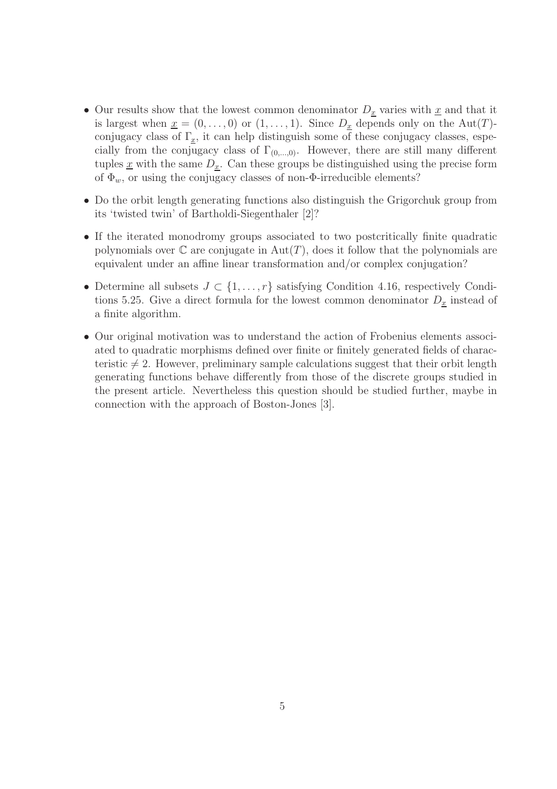- Our results show that the lowest common denominator  $D_x$  varies with  $\underline{x}$  and that it is largest when  $\underline{x} = (0, \ldots, 0)$  or  $(1, \ldots, 1)$ . Since  $D_{\underline{x}}$  depends only on the Aut $(T)$ conjugacy class of  $\Gamma_x$ , it can help distinguish some of these conjugacy classes, especially from the conjugacy class of  $\Gamma_{(0,\ldots,0)}$ . However, there are still many different tuples  $\underline{x}$  with the same  $D_x$ . Can these groups be distinguished using the precise form of  $\Phi_w$ , or using the conjugacy classes of non- $\Phi$ -irreducible elements?
- Do the orbit length generating functions also distinguish the Grigorchuk group from its 'twisted twin' of Bartholdi-Siegenthaler [2]?
- If the iterated monodromy groups associated to two postcritically finite quadratic polynomials over  $\mathbb C$  are conjugate in  $\mathrm{Aut}(T)$ , does it follow that the polynomials are equivalent under an affine linear transformation and/or complex conjugation?
- Determine all subsets  $J \subset \{1, \ldots, r\}$  satisfying Condition 4.16, respectively Conditions 5.25. Give a direct formula for the lowest common denominator  $D_x$  instead of a finite algorithm.
- Our original motivation was to understand the action of Frobenius elements associated to quadratic morphisms defined over finite or finitely generated fields of characteristic  $\neq 2$ . However, preliminary sample calculations suggest that their orbit length generating functions behave differently from those of the discrete groups studied in the present article. Nevertheless this question should be studied further, maybe in connection with the approach of Boston-Jones [3].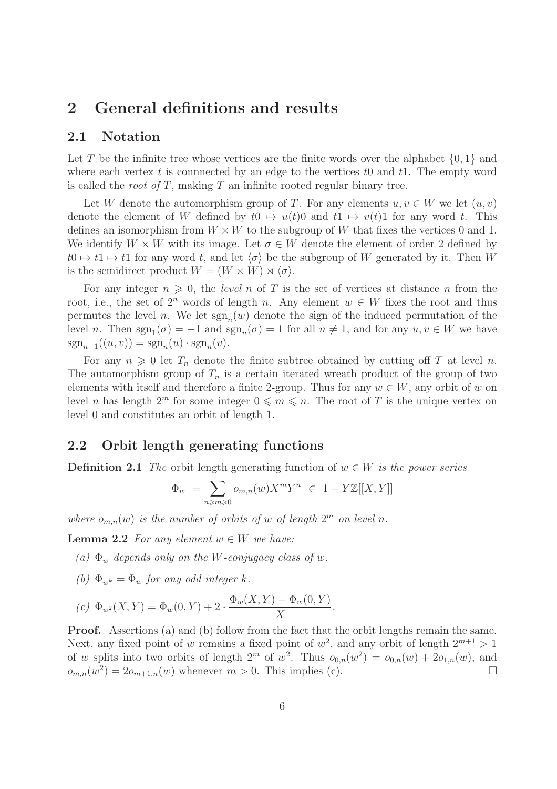### 2 General definitions and results

#### 2.1 Notation

Let T be the infinite tree whose vertices are the finite words over the alphabet  $\{0, 1\}$  and where each vertex t is connnected by an edge to the vertices to and t1. The empty word is called the *root of T*, making  $T$  an infinite rooted regular binary tree.

Let W denote the automorphism group of T. For any elements  $u, v \in W$  we let  $(u, v)$ denote the element of W defined by  $t0 \mapsto u(t)0$  and  $t1 \mapsto v(t)1$  for any word t. This defines an isomorphism from  $W \times W$  to the subgroup of W that fixes the vertices 0 and 1. We identify  $W \times W$  with its image. Let  $\sigma \in W$  denote the element of order 2 defined by  $t0 \mapsto t1 \mapsto t1$  for any word t, and let  $\langle \sigma \rangle$  be the subgroup of W generated by it. Then W is the semidirect product  $W = (W \times W) \rtimes \langle \sigma \rangle$ .

For any integer  $n \geq 0$ , the *level* n of T is the set of vertices at distance n from the root, i.e., the set of  $2^n$  words of length n. Any element  $w \in W$  fixes the root and thus permutes the level n. We let  $sgn_n(w)$  denote the sign of the induced permutation of the level *n*. Then  $sgn_1(\sigma) = -1$  and  $sgn_n(\sigma) = 1$  for all  $n \neq 1$ , and for any  $u, v \in W$  we have  $sgn_{n+1}((u, v)) = sgn_n(u) \cdot sgn_n(v).$ 

For any  $n \geq 0$  let  $T_n$  denote the finite subtree obtained by cutting off T at level n. The automorphism group of  $T_n$  is a certain iterated wreath product of the group of two elements with itself and therefore a finite 2-group. Thus for any  $w \in W$ , any orbit of w on level n has length  $2^m$  for some integer  $0 \leq m \leq n$ . The root of T is the unique vertex on level 0 and constitutes an orbit of length 1.

#### 2.2 Orbit length generating functions

**Definition 2.1** The orbit length generating function of  $w \in W$  is the power series

$$
\Phi_w \ = \sum_{n \geqslant m \geqslant 0} o_{m,n}(w) X^m Y^n \ \in \ 1 + Y \mathbb{Z}[[X,Y]]
$$

where  $o_{m,n}(w)$  is the number of orbits of w of length  $2^m$  on level n.

**Lemma 2.2** For any element  $w \in W$  we have:

- (a)  $\Phi_w$  depends only on the W-conjugacy class of w.
- (b)  $\Phi_{wk} = \Phi_w$  for any odd integer k.

$$
(c) \ \Phi_{w^2}(X, Y) = \Phi_w(0, Y) + 2 \cdot \frac{\Phi_w(X, Y) - \Phi_w(0, Y)}{X}
$$

Proof. Assertions (a) and (b) follow from the fact that the orbit lengths remain the same. Next, any fixed point of w remains a fixed point of  $w^2$ , and any orbit of length  $2^{m+1} > 1$ of w splits into two orbits of length  $2^m$  of  $w^2$ . Thus  $o_{0,n}(w^2) = o_{0,n}(w) + 2o_{1,n}(w)$ , and  $o_{m,n}(w^2) = 2o_{m+1,n}(w)$  whenever  $m > 0$ . This implies (c).

.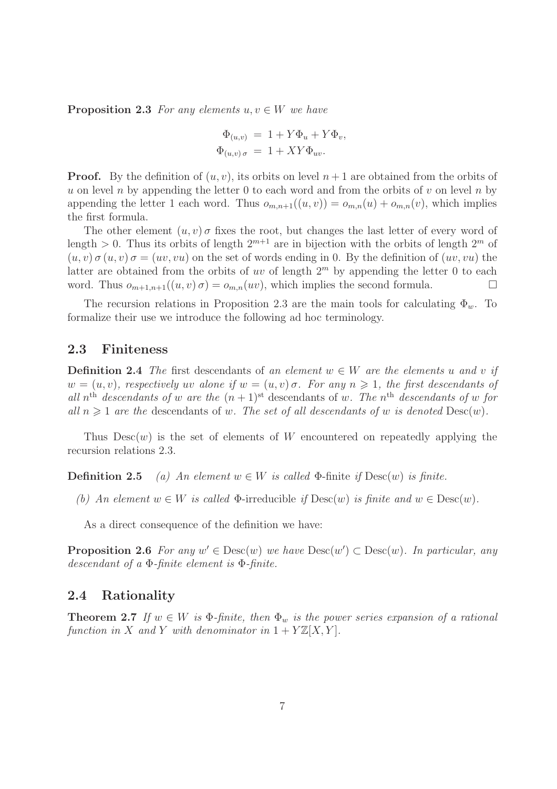**Proposition 2.3** For any elements  $u, v \in W$  we have

$$
\Phi_{(u,v)} = 1 + Y\Phi_u + Y\Phi_v,
$$
  

$$
\Phi_{(u,v)\sigma} = 1 + XY\Phi_{uv}.
$$

**Proof.** By the definition of  $(u, v)$ , its orbits on level  $n + 1$  are obtained from the orbits of u on level n by appending the letter 0 to each word and from the orbits of v on level n by appending the letter 1 each word. Thus  $o_{m,n+1}((u, v)) = o_{m,n}(u) + o_{m,n}(v)$ , which implies the first formula.

The other element  $(u, v)$   $\sigma$  fixes the root, but changes the last letter of every word of length > 0. Thus its orbits of length  $2^{m+1}$  are in bijection with the orbits of length  $2^m$  of  $(u, v) \sigma (u, v) = (uv, vu)$  on the set of words ending in 0. By the definition of  $(uv, vu)$  the latter are obtained from the orbits of uv of length  $2<sup>m</sup>$  by appending the letter 0 to each word. Thus  $o_{m+1,n+1}((u, v) \sigma) = o_{m,n}(uv)$ , which implies the second formula.

The recursion relations in Proposition 2.3 are the main tools for calculating  $\Phi_w$ . To formalize their use we introduce the following ad hoc terminology.

#### 2.3 Finiteness

**Definition 2.4** The first descendants of an element  $w \in W$  are the elements u and v if  $w = (u, v)$ , respectively uv alone if  $w = (u, v)$   $\sigma$ . For any  $n \ge 1$ , the first descendants of all  $n^{\text{th}}$  descendants of w are the  $(n+1)^{\text{st}}$  descendants of w. The  $n^{\text{th}}$  descendants of w for all  $n \geq 1$  are the descendants of w. The set of all descendants of w is denoted  $\text{Desc}(w)$ .

Thus  $Desc(w)$  is the set of elements of W encountered on repeatedly applying the recursion relations 2.3.

**Definition 2.5** (a) An element  $w \in W$  is called  $\Phi$ -finite if  $\text{Desc}(w)$  is finite.

(b) An element  $w \in W$  is called  $\Phi$ -irreducible if  $\text{Desc}(w)$  is finite and  $w \in \text{Desc}(w)$ .

As a direct consequence of the definition we have:

**Proposition 2.6** For any  $w' \in \text{Desc}(w)$  we have  $\text{Desc}(w') \subset \text{Desc}(w)$ . In particular, any descendant of a  $\Phi$ -finite element is  $\Phi$ -finite.

#### 2.4 Rationality

**Theorem 2.7** If  $w \in W$  is  $\Phi$ -finite, then  $\Phi_w$  is the power series expansion of a rational function in X and Y with denominator in  $1 + Y\mathbb{Z}[X, Y]$ .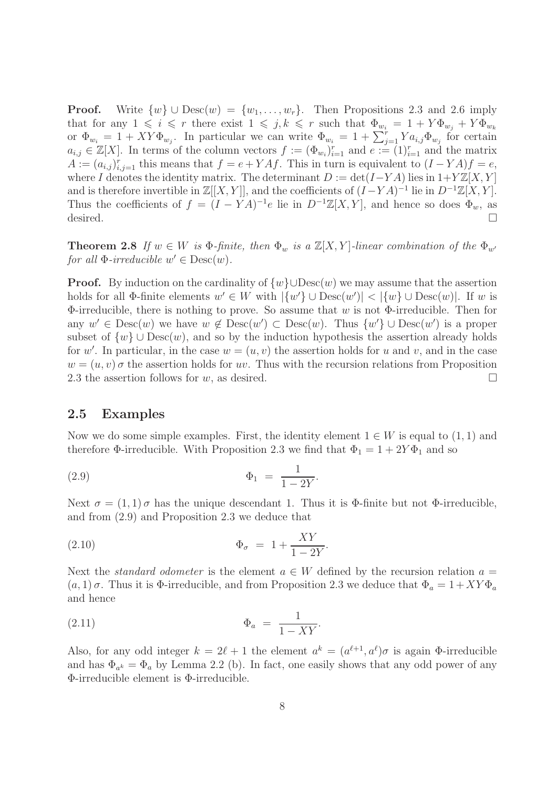**Proof.** Write  $\{w\} \cup \text{Desc}(w) = \{w_1, \ldots, w_r\}$ . Then Propositions 2.3 and 2.6 imply that for any  $1 \leq i \leq r$  there exist  $1 \leq j, k \leq r$  such that  $\Phi_{w_i} = 1 + Y \Phi_{w_i} + Y \Phi_{w_k}$ or  $\Phi_{w_i} = 1 + XY\Phi_{w_j}$ . In particular we can write  $\Phi_{w_i} = 1 + \sum_{j=1}^r Ya_{i,j}\Phi_{w_j}$  for certain  $a_{i,j} \in \mathbb{Z}[X]$ . In terms of the column vectors  $f := (\Phi_{w_i})_{i=1}^r$  and  $e := (1)_{i=1}^r$  and the matrix  $A := (a_{i,j})_{i,j=1}^r$  this means that  $f = e + YAf$ . This in turn is equivalent to  $(I - YA)f = e$ , where I denotes the identity matrix. The determinant  $D := det(I - YA)$  lies in  $1+Y\mathbb{Z}[X, Y]$ and is therefore invertible in  $\mathbb{Z}[[X, Y]],$  and the coefficients of  $(I - YA)^{-1}$  lie in  $D^{-1}\mathbb{Z}[X, Y].$ Thus the coefficients of  $f = (I - YA)^{-1}e$  lie in  $D^{-1}\mathbb{Z}[X, Y]$ , and hence so does  $\Phi_w$ , as desired.  $\Box$ 

**Theorem 2.8** If  $w \in W$  is  $\Phi$ -finite, then  $\Phi_w$  is a  $\mathbb{Z}[X, Y]$ -linear combination of the  $\Phi_{w'}$ for all  $\Phi$ -irreducible  $w' \in \text{Desc}(w)$ .

**Proof.** By induction on the cardinality of  $\{w\} \cup \text{Desc}(w)$  we may assume that the assertion holds for all  $\Phi$ -finite elements  $w' \in W$  with  $|\{w'\} \cup \text{Desc}(w')| < |\{w\} \cup \text{Desc}(w)|$ . If w is  $\Phi$ -irreducible, there is nothing to prove. So assume that w is not  $\Phi$ -irreducible. Then for any  $w' \in \text{Desc}(w)$  we have  $w \notin \text{Desc}(w') \subset \text{Desc}(w)$ . Thus  $\{w'\} \cup \text{Desc}(w')$  is a proper subset of  $\{w\} \cup \text{Desc}(w)$ , and so by the induction hypothesis the assertion already holds for w'. In particular, in the case  $w = (u, v)$  the assertion holds for u and v, and in the case  $w = (u, v)$  σ the assertion holds for uv. Thus with the recursion relations from Proposition 2.3 the assertion follows for w, as desired.

#### 2.5 Examples

Now we do some simple examples. First, the identity element  $1 \in W$  is equal to  $(1, 1)$  and therefore  $\Phi$ -irreducible. With Proposition 2.3 we find that  $\Phi_1 = 1 + 2Y\Phi_1$  and so

(2.9) 
$$
\Phi_1 = \frac{1}{1 - 2Y}.
$$

Next  $\sigma = (1, 1)$   $\sigma$  has the unique descendant 1. Thus it is  $\Phi$ -finite but not  $\Phi$ -irreducible, and from (2.9) and Proposition 2.3 we deduce that

$$
\Phi_{\sigma} = 1 + \frac{XY}{1 - 2Y}.
$$

Next the *standard odometer* is the element  $a \in W$  defined by the recursion relation  $a =$  $(a, 1)\sigma$ . Thus it is  $\Phi$ -irreducible, and from Proposition 2.3 we deduce that  $\Phi_a = 1 + XY\Phi_a$ and hence

$$
\Phi_a = \frac{1}{1 - XY}.
$$

Also, for any odd integer  $k = 2\ell + 1$  the element  $a^k = (a^{\ell+1}, a^{\ell})\sigma$  is again  $\Phi$ -irreducible and has  $\Phi_{a^k} = \Phi_a$  by Lemma 2.2 (b). In fact, one easily shows that any odd power of any Φ-irreducible element is Φ-irreducible.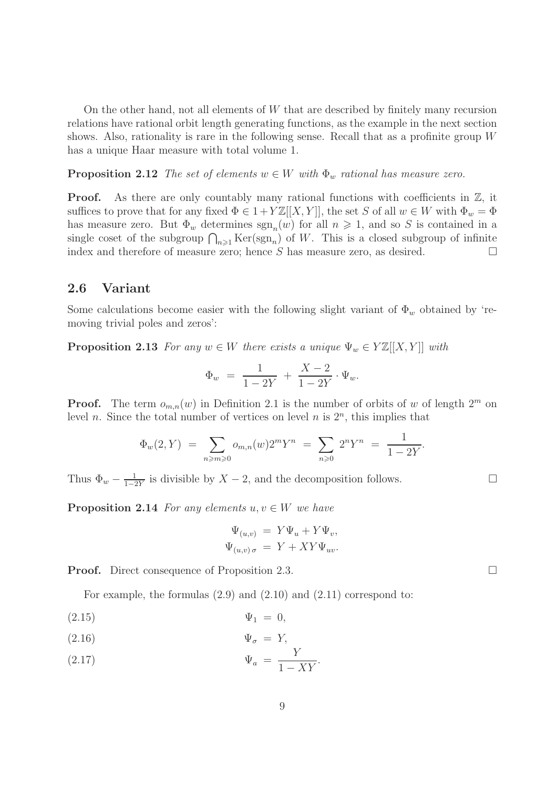On the other hand, not all elements of W that are described by finitely many recursion relations have rational orbit length generating functions, as the example in the next section shows. Also, rationality is rare in the following sense. Recall that as a profinite group W has a unique Haar measure with total volume 1.

**Proposition 2.12** The set of elements  $w \in W$  with  $\Phi_w$  rational has measure zero.

**Proof.** As there are only countably many rational functions with coefficients in  $\mathbb{Z}$ , it suffices to prove that for any fixed  $\Phi \in 1+Y\mathbb{Z}[[X, Y]]$ , the set S of all  $w \in W$  with  $\Phi_w = \Phi$ has measure zero. But  $\Phi_w$  determines  $\text{sgn}_n(w)$  for all  $n \geq 1$ , and so S is contained in a single coset of the subgroup  $\bigcap_{n\geqslant 1} \text{Ker}(\text{sgn}_n)$  of W. This is a closed subgroup of infinite index and therefore of measure zero; hence S has measure zero, as desired.  $\Box$ 

#### 2.6 Variant

Some calculations become easier with the following slight variant of  $\Phi_w$  obtained by 'removing trivial poles and zeros':

**Proposition 2.13** For any  $w \in W$  there exists a unique  $\Psi_w \in Y \mathbb{Z}[[X, Y]]$  with

$$
\Phi_w = \frac{1}{1 - 2Y} + \frac{X - 2}{1 - 2Y} \cdot \Psi_w.
$$

**Proof.** The term  $o_{m,n}(w)$  in Definition 2.1 is the number of orbits of w of length  $2^m$  on level *n*. Since the total number of vertices on level *n* is  $2<sup>n</sup>$ , this implies that

$$
\Phi_w(2, Y) = \sum_{n \ge m \ge 0} o_{m,n}(w) 2^m Y^n = \sum_{n \ge 0} 2^n Y^n = \frac{1}{1 - 2Y}.
$$

Thus  $\Phi_w - \frac{1}{1-i}$  $\frac{1}{1-2Y}$  is divisible by  $X-2$ , and the decomposition follows.

**Proposition 2.14** For any elements  $u, v \in W$  we have

$$
\Psi_{(u,v)} = Y\Psi_u + Y\Psi_v,
$$
  

$$
\Psi_{(u,v)\sigma} = Y + XY\Psi_{uv}.
$$

**Proof.** Direct consequence of Proposition 2.3.

For example, the formulas (2.9) and (2.10) and (2.11) correspond to:

 $(\text{2.15})$   $\Psi_1 = 0,$ 

$$
\Psi_{\sigma} = Y, \qquad \qquad \Psi_{\sigma} = Y,
$$

$$
\Psi_a = \frac{Y}{1 - XY}.
$$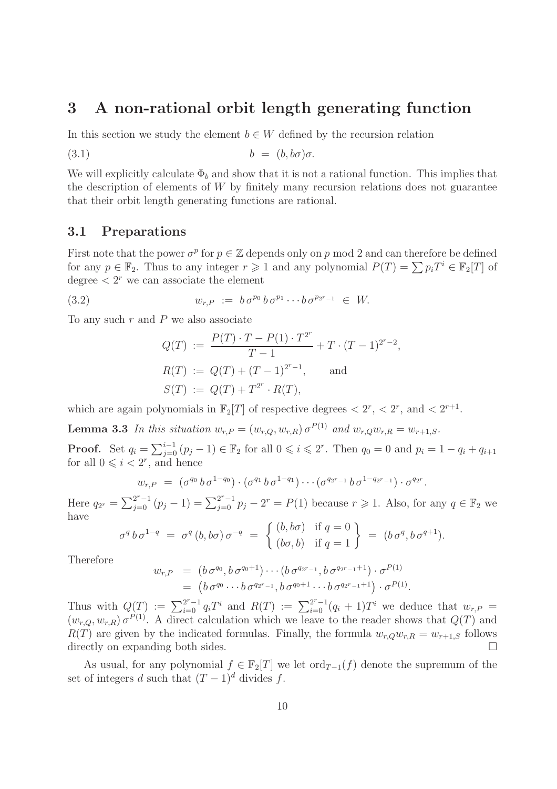### 3 A non-rational orbit length generating function

In this section we study the element  $b \in W$  defined by the recursion relation

$$
(3.1) \t\t b = (b, b\sigma)\sigma.
$$

We will explicitly calculate  $\Phi_b$  and show that it is not a rational function. This implies that the description of elements of  $W$  by finitely many recursion relations does not guarantee that their orbit length generating functions are rational.

#### 3.1 Preparations

First note that the power  $\sigma^p$  for  $p \in \mathbb{Z}$  depends only on p mod 2 and can therefore be defined for any  $p \in \mathbb{F}_2$ . Thus to any integer  $r \geq 1$  and any polynomial  $P(T) = \sum p_i T^i \in \mathbb{F}_2[T]$  of degree  $\lt 2^r$  we can associate the element

(3.2) 
$$
w_{r,P} := b \sigma^{p_0} b \sigma^{p_1} \cdots b \sigma^{p_{2^r-1}} \in W.
$$

To any such  $r$  and  $P$  we also associate

$$
Q(T) := \frac{P(T) \cdot T - P(1) \cdot T^{2^r}}{T - 1} + T \cdot (T - 1)^{2^r - 2},
$$
  
\n
$$
R(T) := Q(T) + (T - 1)^{2^r - 1}, \text{ and}
$$
  
\n
$$
S(T) := Q(T) + T^{2^r} \cdot R(T),
$$

which are again polynomials in  $\mathbb{F}_2[T]$  of respective degrees  $\langle 2^r, \langle 2^r, \text{ and } \langle 2^{r+1}, \rangle \rangle$ 

**Lemma 3.3** In this situation  $w_{r,P} = (w_{r,Q}, w_{r,R}) \sigma^{P(1)}$  and  $w_{r,Q} w_{r,R} = w_{r+1,S}$ .

**Proof.** Set  $q_i = \sum_{j=0}^{i-1} (p_j - 1) \in \mathbb{F}_2$  for all  $0 \leqslant i \leqslant 2^r$ . Then  $q_0 = 0$  and  $p_i = 1 - q_i + q_{i+1}$ for all  $0 \leqslant i < 2^r$ , and hence

$$
w_{r,P} = (\sigma^{q_0} b \sigma^{1-q_0}) \cdot (\sigma^{q_1} b \sigma^{1-q_1}) \cdots (\sigma^{q_{2r-1}} b \sigma^{1-q_{2r-1}}) \cdot \sigma^{q_{2r}}.
$$

Here  $q_{2^r} = \sum_{j=0}^{2^r-1} (p_j - 1) = \sum_{j=0}^{2^r-1} p_j - 2^r = P(1)$  because  $r \ge 1$ . Also, for any  $q \in \mathbb{F}_2$  we have

$$
\sigma^q b \sigma^{1-q} = \sigma^q (b, b\sigma) \sigma^{-q} = \left\{ \begin{array}{ll} (b, b\sigma) & \text{if } q = 0 \\ (b\sigma, b) & \text{if } q = 1 \end{array} \right\} = (b \sigma^q, b \sigma^{q+1}).
$$

Therefore

$$
w_{r,P} = (b \sigma^{q_0}, b \sigma^{q_0+1}) \cdots (b \sigma^{q_{2^r-1}}, b \sigma^{q_{2^r-1}+1}) \cdot \sigma^{P(1)} = (b \sigma^{q_0} \cdots b \sigma^{q_{2^r-1}}, b \sigma^{q_0+1} \cdots b \sigma^{q_{2^r-1}+1}) \cdot \sigma^{P(1)}.
$$

Thus with  $Q(T) := \sum_{i=0}^{2^r-1} q_i T^i$  and  $R(T) := \sum_{i=0}^{2^r-1} (q_i + 1) T^i$  we deduce that  $w_{r,P} =$  $(w_{r,Q}, w_{r,R}) \sigma^{P(1)}$ . A direct calculation which we leave to the reader shows that  $Q(T)$  and  $R(T)$  are given by the indicated formulas. Finally, the formula  $w_{r,Q}w_{r,R} = w_{r+1,S}$  follows directly on expanding both sides.

As usual, for any polynomial  $f \in \mathbb{F}_2[T]$  we let  $\text{ord}_{T-1}(f)$  denote the supremum of the set of integers d such that  $(T-1)^d$  divides f.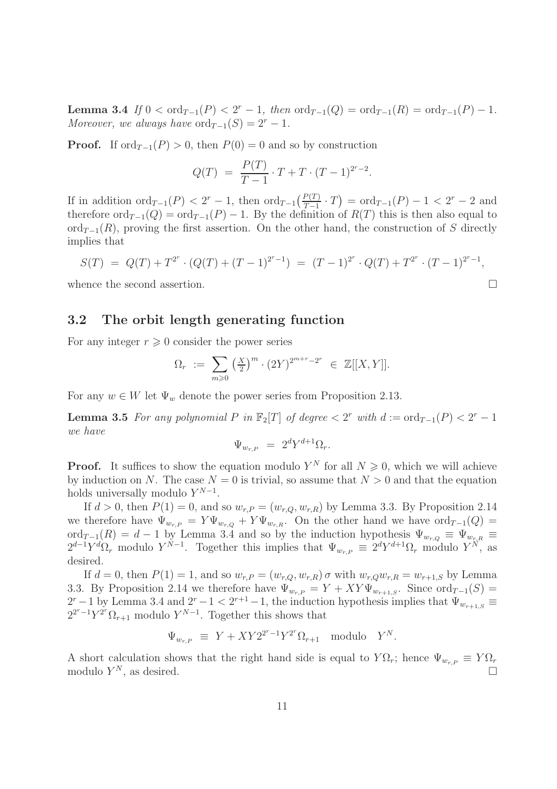**Lemma 3.4** If  $0 < \text{ord}_{T-1}(P) < 2^r - 1$ , then  $\text{ord}_{T-1}(Q) = \text{ord}_{T-1}(R) = \text{ord}_{T-1}(P) - 1$ . Moreover, we always have  $\text{ord}_{T-1}(S) = 2^r - 1$ .

**Proof.** If  $\text{ord}_{T-1}(P) > 0$ , then  $P(0) = 0$  and so by construction

$$
Q(T) = \frac{P(T)}{T - 1} \cdot T + T \cdot (T - 1)^{2^{r} - 2}.
$$

If in addition  $\text{ord}_{T-1}(P) < 2^r - 1$ , then  $\text{ord}_{T-1}\left(\frac{P(T)}{T-1} \cdot T\right) = \text{ord}_{T-1}(P) - 1 < 2^r - 2$  and therefore  $\text{ord}_{T-1}(Q) = \text{ord}_{T-1}(P) - 1$ . By the definition of  $R(T)$  this is then also equal to  $\text{ord}_{T-1}(R)$ , proving the first assertion. On the other hand, the construction of S directly implies that

$$
S(T) = Q(T) + T^{2^r} \cdot (Q(T) + (T - 1)^{2^r - 1}) = (T - 1)^{2^r} \cdot Q(T) + T^{2^r} \cdot (T - 1)^{2^r - 1},
$$

whence the second assertion.

#### 3.2 The orbit length generating function

For any integer  $r \geqslant 0$  consider the power series

$$
\Omega_r := \sum_{m \geq 0} \left( \frac{X}{2} \right)^m \cdot (2Y)^{2^{m+r}-2^r} \in \mathbb{Z}[[X, Y]].
$$

For any  $w \in W$  let  $\Psi_w$  denote the power series from Proposition 2.13.

**Lemma 3.5** For any polynomial P in  $\mathbb{F}_2[T]$  of degree  $\lt 2^r$  with  $d := \text{ord}_{T-1}(P) \lt 2^r - 1$ we have

$$
\Psi_{w_{r,P}} = 2^d Y^{d+1} \Omega_r.
$$

**Proof.** It suffices to show the equation modulo  $Y^N$  for all  $N \geq 0$ , which we will achieve by induction on N. The case  $N = 0$  is trivial, so assume that  $N > 0$  and that the equation holds universally modulo  $Y^{N-1}$ .

If  $d > 0$ , then  $P(1) = 0$ , and so  $w_{r,P} = (w_{r,Q}, w_{r,R})$  by Lemma 3.3. By Proposition 2.14 we therefore have  $\Psi_{w_{r,P}} = Y \Psi_{w_{r,Q}} + Y \Psi_{w_{r,R}}$ . On the other hand we have  $\text{ord}_{T-1}(Q) =$ ord $T_{T-1}(R) = d - 1$  by Lemma 3.4 and so by the induction hypothesis  $\Psi_{w_{r,Q}} \equiv \Psi_{w_{r,R}} \equiv$  $2^{d-1}Y^d\Omega_r$  modulo  $Y^{N-1}$ . Together this implies that  $\Psi_{w_r,p} \equiv 2^dY^{d+1}\Omega_r$  modulo  $Y^N$ , as desired.

If  $d = 0$ , then  $P(1) = 1$ , and so  $w_{r,P} = (w_{r,Q}, w_{r,R}) \sigma$  with  $w_{r,Q}w_{r,R} = w_{r+1,S}$  by Lemma 3.3. By Proposition 2.14 we therefore have  $\Psi_{w_r} = Y + XY \Psi_{w_{r+1},S}$ . Since ord<sub>T-1</sub>(S) =  $2^r - 1$  by Lemma 3.4 and  $2^r - 1 < 2^{r+1} - 1$ , the induction hypothesis implies that  $\Psi_{w_{r+1,S}} \equiv$  $2^{2^r-1}Y^{2^r}\Omega_{r+1}$  modulo  $Y^{N-1}$ . Together this shows that

$$
\Psi_{w_{r,P}} \equiv Y + XY2^{2^r-1}Y^{2^r}\Omega_{r+1} \quad \text{modulo} \quad Y^N.
$$

A short calculation shows that the right hand side is equal to  $Y\Omega_r$ ; hence  $\Psi_{w_r,P} \equiv Y\Omega_r$ modulo  $Y^N$ , as desired.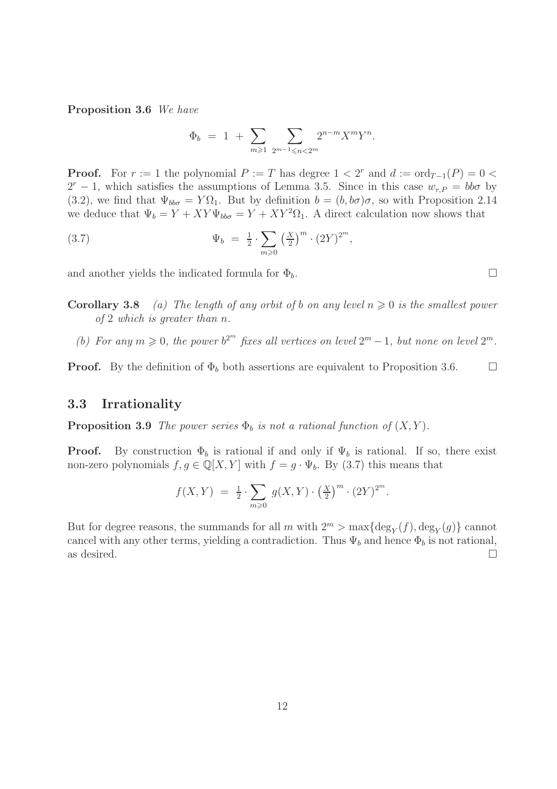Proposition 3.6 We have

$$
\Phi_b = 1 + \sum_{m \geq 1} \sum_{2^{m-1} \leq n < 2^m} 2^{n-m} X^m Y^n.
$$

**Proof.** For  $r := 1$  the polynomial  $P := T$  has degree  $1 < 2^r$  and  $d := \text{ord}_{T-1}(P) = 0$  $2^r - 1$ , which satisfies the assumptions of Lemma 3.5. Since in this case  $w_{r,P} = bb\sigma$  by (3.2), we find that  $\Psi_{bb\sigma} = Y\Omega_1$ . But by definition  $b = (b, b\sigma)\sigma$ , so with Proposition 2.14 we deduce that  $\Psi_b = Y + XY\Psi_{bb\sigma} = Y + XY^2\Omega_1$ . A direct calculation now shows that

(3.7) 
$$
\Psi_b = \frac{1}{2} \cdot \sum_{m \geq 0} \left(\frac{X}{2}\right)^m \cdot (2Y)^{2^m},
$$

and another yields the indicated formula for  $\Phi_b$ .

**Corollary 3.8** (a) The length of any orbit of b on any level  $n \geq 0$  is the smallest power of 2 which is greater than n.

(b) For any  $m \geq 0$ , the power  $b^{2^m}$  fixes all vertices on level  $2^m - 1$ , but none on level  $2^m$ .

**Proof.** By the definition of  $\Phi_b$  both assertions are equivalent to Proposition 3.6.  $\Box$ 

#### 3.3 Irrationality

**Proposition 3.9** The power series  $\Phi_b$  is not a rational function of  $(X, Y)$ .

**Proof.** By construction  $\Phi_b$  is rational if and only if  $\Psi_b$  is rational. If so, there exist non-zero polynomials  $f, g \in \mathbb{Q}[X, Y]$  with  $f = g \cdot \Psi_b$ . By (3.7) this means that

$$
f(X,Y) = \frac{1}{2} \cdot \sum_{m \geq 0} g(X,Y) \cdot \left(\frac{X}{2}\right)^m \cdot (2Y)^{2^m}.
$$

But for degree reasons, the summands for all  $m$  with  $2^m > \max\{\deg_Y(f), \deg_Y(g)\}$  cannot cancel with any other terms, yielding a contradiction. Thus  $\Psi_b$  and hence  $\Phi_b$  is not rational, as desired.  $\Box$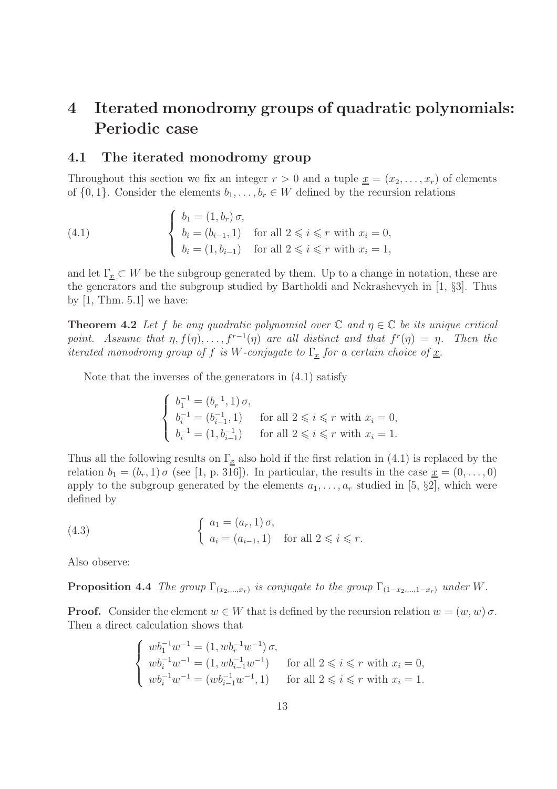## 4 Iterated monodromy groups of quadratic polynomials: Periodic case

#### 4.1 The iterated monodromy group

Throughout this section we fix an integer  $r > 0$  and a tuple  $\underline{x} = (x_2, \ldots, x_r)$  of elements of  $\{0, 1\}$ . Consider the elements  $b_1, \ldots, b_r \in W$  defined by the recursion relations

(4.1) 
$$
\begin{cases} b_1 = (1, b_r) \sigma, \\ b_i = (b_{i-1}, 1) \quad \text{for all } 2 \leq i \leq r \text{ with } x_i = 0, \\ b_i = (1, b_{i-1}) \quad \text{for all } 2 \leq i \leq r \text{ with } x_i = 1, \end{cases}
$$

and let  $\Gamma_x \subset W$  be the subgroup generated by them. Up to a change in notation, these are the generators and the subgroup studied by Bartholdi and Nekrashevych in [1, §3]. Thus by  $[1, Thm. 5.1]$  we have:

**Theorem 4.2** Let f be any quadratic polynomial over  $\mathbb C$  and  $\eta \in \mathbb C$  be its unique critical point. Assume that  $\eta$ ,  $f(\eta)$ , ...,  $f^{r-1}(\eta)$  are all distinct and that  $f^{r}(\eta) = \eta$ . Then the iterated monodromy group of f is W-conjugate to  $\Gamma_x$  for a certain choice of  $\underline{x}$ .

Note that the inverses of the generators in (4.1) satisfy

$$
\left\{\begin{array}{ll} b_1^{-1}=(b_r^{-1},1)\,\sigma, \\[0.2cm] b_i^{-1}=(b_{i-1}^{-1},1) \quad\text{ for all } 2\leqslant i\leqslant r \text{ with } x_i=0, \\[0.2cm] b_i^{-1}=(1,b_{i-1}^{-1}) \quad\text{ for all } 2\leqslant i\leqslant r \text{ with } x_i=1. \end{array}\right.
$$

Thus all the following results on  $\Gamma_{\underline{x}}$  also hold if the first relation in (4.1) is replaced by the relation  $b_1 = (b_r, 1) \sigma$  (see [1, p. 316]). In particular, the results in the case  $\underline{x} = (0, \ldots, 0)$ apply to the subgroup generated by the elements  $a_1, \ldots, a_r$  studied in [5, §2], which were defined by

(4.3) 
$$
\begin{cases} a_1 = (a_r, 1) \sigma, \\ a_i = (a_{i-1}, 1) \text{ for all } 2 \leq i \leq r. \end{cases}
$$

Also observe:

**Proposition 4.4** The group  $\Gamma_{(x_2,...,x_r)}$  is conjugate to the group  $\Gamma_{(1-x_2,...,1-x_r)}$  under W.

**Proof.** Consider the element  $w \in W$  that is defined by the recursion relation  $w = (w, w) \sigma$ . Then a direct calculation shows that

$$
\begin{cases} w b_1^{-1} w^{-1} = (1, w b_r^{-1} w^{-1}) \sigma, \\ w b_i^{-1} w^{-1} = (1, w b_{i-1}^{-1} w^{-1}) \qquad \text{for all } 2 \leqslant i \leqslant r \text{ with } x_i = 0, \\ w b_i^{-1} w^{-1} = (w b_{i-1}^{-1} w^{-1}, 1) \qquad \text{for all } 2 \leqslant i \leqslant r \text{ with } x_i = 1. \end{cases}
$$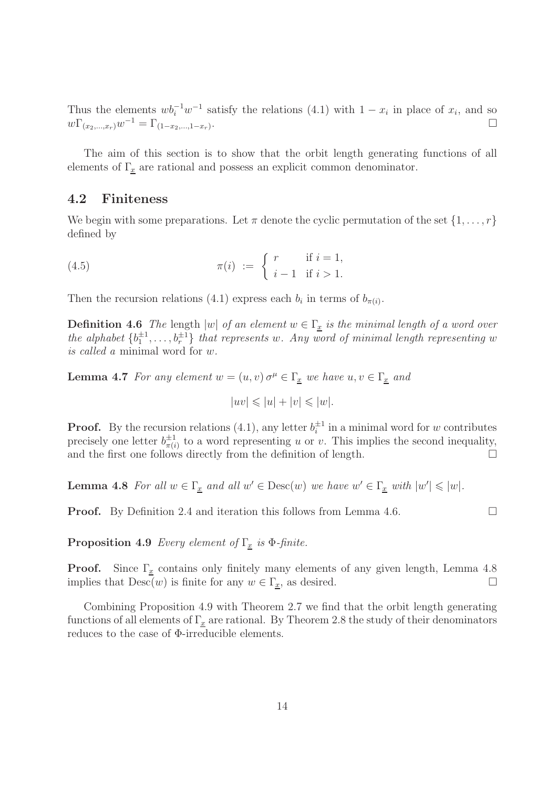Thus the elements  $wb_i^{-1}w^{-1}$  satisfy the relations (4.1) with  $1 - x_i$  in place of  $x_i$ , and so  $w\Gamma_{(x_2,...,x_r)}w^{-1} = \Gamma_{(1-x_2,...,1-x_r)}$ .

The aim of this section is to show that the orbit length generating functions of all elements of  $\Gamma_x$  are rational and possess an explicit common denominator.

#### 4.2 Finiteness

We begin with some preparations. Let  $\pi$  denote the cyclic permutation of the set  $\{1, \ldots, r\}$ defined by

(4.5) 
$$
\pi(i) := \begin{cases} r & \text{if } i = 1, \\ i - 1 & \text{if } i > 1. \end{cases}
$$

Then the recursion relations (4.1) express each  $b_i$  in terms of  $b_{\pi(i)}$ .

**Definition 4.6** The length  $|w|$  of an element  $w \in \Gamma_x$  is the minimal length of a word over the alphabet  $\{b_1^{\pm 1}, \ldots, b_r^{\pm 1}\}$  that represents w. Any word of minimal length representing w is called a minimal word for w.

**Lemma 4.7** For any element  $w = (u, v) \sigma^{\mu} \in \Gamma_x$  we have  $u, v \in \Gamma_x$  and

$$
|uv| \leqslant |u| + |v| \leqslant |w|.
$$

**Proof.** By the recursion relations (4.1), any letter  $b_i^{\pm 1}$  in a minimal word for w contributes precisely one letter  $b_{\pi(i)}^{\pm 1}$  $\frac{1}{\pi(i)}$  to a word representing u or v. This implies the second inequality, and the first one follows directly from the definition of length.  $\Box$ 

**Lemma 4.8** For all  $w \in \Gamma_x$  and all  $w' \in \text{Desc}(w)$  we have  $w' \in \Gamma_x$  with  $|w'| \leq |w|$ .

**Proof.** By Definition 2.4 and iteration this follows from Lemma 4.6.

**Proposition 4.9** Every element of  $\Gamma_x$  is  $\Phi$ -finite.

**Proof.** Since  $\Gamma_x$  contains only finitely many elements of any given length, Lemma 4.8 implies that  $\text{Desc}(w)$  is finite for any  $w \in \Gamma_x$ , as desired.

Combining Proposition 4.9 with Theorem 2.7 we find that the orbit length generating functions of all elements of  $\Gamma_x$  are rational. By Theorem 2.8 the study of their denominators reduces to the case of Φ-irreducible elements.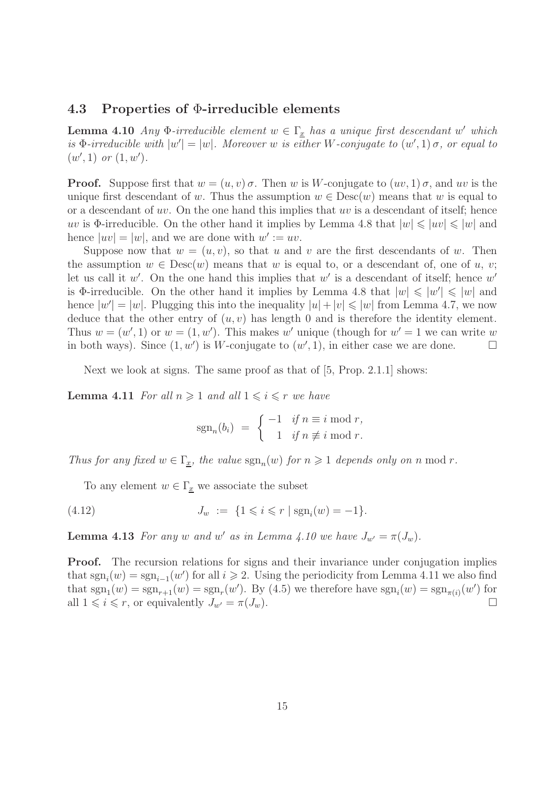#### 4.3 Properties of Φ-irreducible elements

**Lemma 4.10** Any  $\Phi$ -irreducible element  $w \in \Gamma_x$  has a unique first descendant w' which is  $\Phi$ -irreducible with  $|w'| = |w|$ . Moreover w is either W-conjugate to  $(w', 1)$   $\sigma$ , or equal to  $(w', 1)$  or  $(1, w')$ .

**Proof.** Suppose first that  $w = (u, v) \sigma$ . Then w is W-conjugate to  $(uv, 1) \sigma$ , and w is the unique first descendant of w. Thus the assumption  $w \in \text{Desc}(w)$  means that w is equal to or a descendant of uv. On the one hand this implies that uv is a descendant of itself; hence uv is  $\Phi$ -irreducible. On the other hand it implies by Lemma 4.8 that  $|w| \leq |uv| \leq |w|$  and hence  $|uv| = |w|$ , and we are done with  $w' := uv$ .

Suppose now that  $w = (u, v)$ , so that u and v are the first descendants of w. Then the assumption  $w \in \text{Desc}(w)$  means that w is equal to, or a descendant of, one of u, v; let us call it  $w'$ . On the one hand this implies that  $w'$  is a descendant of itself; hence  $w'$ is  $\Phi$ -irreducible. On the other hand it implies by Lemma 4.8 that  $|w| \leq |w'| \leq |w|$  and hence  $|w'| = |w|$ . Plugging this into the inequality  $|u| + |v| \leq |w|$  from Lemma 4.7, we now deduce that the other entry of  $(u, v)$  has length 0 and is therefore the identity element. Thus  $w = (w', 1)$  or  $w = (1, w')$ . This makes w' unique (though for  $w' = 1$  we can write w in both ways). Since  $(1, w')$  is W-conjugate to  $(w', 1)$ , in either case we are done.

Next we look at signs. The same proof as that of [5, Prop. 2.1.1] shows:

**Lemma 4.11** For all  $n \geq 1$  and all  $1 \leq i \leq r$  we have

$$
sgn_n(b_i) = \begin{cases} -1 & \text{if } n \equiv i \bmod r, \\ 1 & \text{if } n \not\equiv i \bmod r. \end{cases}
$$

Thus for any fixed  $w \in \Gamma_{\underline{x}}$ , the value  $sgn_n(w)$  for  $n \geq 1$  depends only on n mod r.

To any element  $w \in \Gamma_x$  we associate the subset

(4.12) 
$$
J_w := \{1 \leq i \leq r \mid \text{sgn}_i(w) = -1\}.
$$

**Lemma 4.13** For any w and w' as in Lemma 4.10 we have  $J_{w'} = \pi(J_w)$ .

**Proof.** The recursion relations for signs and their invariance under conjugation implies that  $sgn_i(w) = sgn_{i-1}(w')$  for all  $i \geq 2$ . Using the periodicity from Lemma 4.11 we also find that  $sgn_1(w) = sgn_{r+1}(w) = sgn_r(w')$ . By (4.5) we therefore have  $sgn_i(w) = sgn_{\pi(i)}(w')$  for all  $1 \leq i \leq r$ , or equivalently  $J_{w'} = \pi(J_w)$ .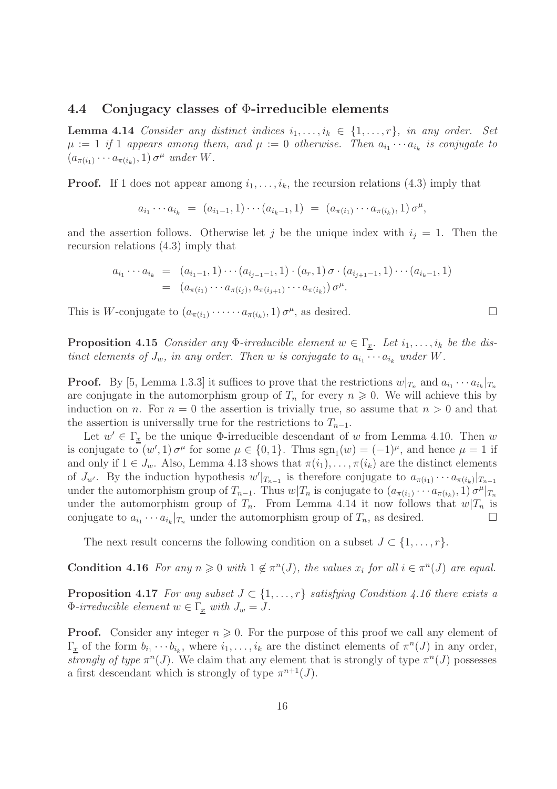#### 4.4 Conjugacy classes of Φ-irreducible elements

**Lemma 4.14** Consider any distinct indices  $i_1, \ldots, i_k \in \{1, \ldots, r\}$ , in any order. Set  $\mu := 1$  if 1 appears among them, and  $\mu := 0$  otherwise. Then  $a_{i_1} \cdots a_{i_k}$  is conjugate to  $(a_{\pi(i_1)} \cdots a_{\pi(i_k)}, 1) \sigma^{\mu}$  under W.

**Proof.** If 1 does not appear among  $i_1, \ldots, i_k$ , the recursion relations (4.3) imply that

$$
a_{i_1}\cdots a_{i_k} = (a_{i_1-1}, 1)\cdots (a_{i_k-1}, 1) = (a_{\pi(i_1)}\cdots a_{\pi(i_k)}, 1) \sigma^{\mu},
$$

and the assertion follows. Otherwise let j be the unique index with  $i_j = 1$ . Then the recursion relations (4.3) imply that

$$
a_{i_1} \cdots a_{i_k} = (a_{i_1-1}, 1) \cdots (a_{i_{j-1}-1}, 1) \cdot (a_r, 1) \sigma \cdot (a_{i_{j+1}-1}, 1) \cdots (a_{i_k-1}, 1)
$$
  
=  $(a_{\pi(i_1)} \cdots a_{\pi(i_j)}, a_{\pi(i_{j+1})} \cdots a_{\pi(i_k)}) \sigma^{\mu}$ .

This is W-conjugate to  $(a_{\pi(i_1)} \cdot \cdots \cdot a_{\pi(i_k)}, 1) \sigma^{\mu}$ , as desired.

**Proposition 4.15** Consider any  $\Phi$ -irreducible element  $w \in \Gamma_x$ . Let  $i_1, \ldots, i_k$  be the distinct elements of  $J_w$ , in any order. Then w is conjugate to  $a_{i_1} \cdots a_{i_k}$  under W.

**Proof.** By [5, Lemma 1.3.3] it suffices to prove that the restrictions  $w|_{T_n}$  and  $a_{i_1} \cdots a_{i_k}|_{T_n}$ are conjugate in the automorphism group of  $T_n$  for every  $n \geq 0$ . We will achieve this by induction on n. For  $n = 0$  the assertion is trivially true, so assume that  $n > 0$  and that the assertion is universally true for the restrictions to  $T_{n-1}$ .

Let  $w' \in \Gamma_{\underline{x}}$  be the unique  $\Phi$ -irreducible descendant of w from Lemma 4.10. Then w is conjugate to  $(w', 1) \sigma^{\mu}$  for some  $\mu \in \{0, 1\}$ . Thus  $sgn_1(w) = (-1)^{\mu}$ , and hence  $\mu = 1$  if and only if  $1 \in J_w$ . Also, Lemma 4.13 shows that  $\pi(i_1), \ldots, \pi(i_k)$  are the distinct elements of  $J_{w'}$ . By the induction hypothesis  $w'|_{T_{n-1}}$  is therefore conjugate to  $a_{\pi(i_1)} \cdots a_{\pi(i_k)}|_{T_{n-1}}$ under the automorphism group of  $T_{n-1}$ . Thus  $w|T_n$  is conjugate to  $(a_{\pi(i_1)} \cdots a_{\pi(i_k)}, 1) \sigma^{\mu}|_{T_n}$ under the automorphism group of  $T_n$ . From Lemma 4.14 it now follows that  $w|T_n$  is conjugate to  $a_{i_1} \cdots a_{i_k}|_{T_n}$  under the automorphism group of  $T_n$ , as desired.

The next result concerns the following condition on a subset  $J \subset \{1, \ldots, r\}$ .

**Condition 4.16** For any  $n \geq 0$  with  $1 \notin \pi^n(J)$ , the values  $x_i$  for all  $i \in \pi^n(J)$  are equal.

**Proposition 4.17** For any subset  $J \subset \{1, \ldots, r\}$  satisfying Condition 4.16 there exists a  $\Phi$ -irreducible element  $w \in \Gamma_x$  with  $J_w = J$ .

**Proof.** Consider any integer  $n \geq 0$ . For the purpose of this proof we call any element of  $\Gamma_{\underline{x}}$  of the form  $b_{i_1} \cdots b_{i_k}$ , where  $i_1, \ldots, i_k$  are the distinct elements of  $\pi^n(J)$  in any order, strongly of type  $\pi^{n}(J)$ . We claim that any element that is strongly of type  $\pi^{n}(J)$  possesses a first descendant which is strongly of type  $\pi^{n+1}(J)$ .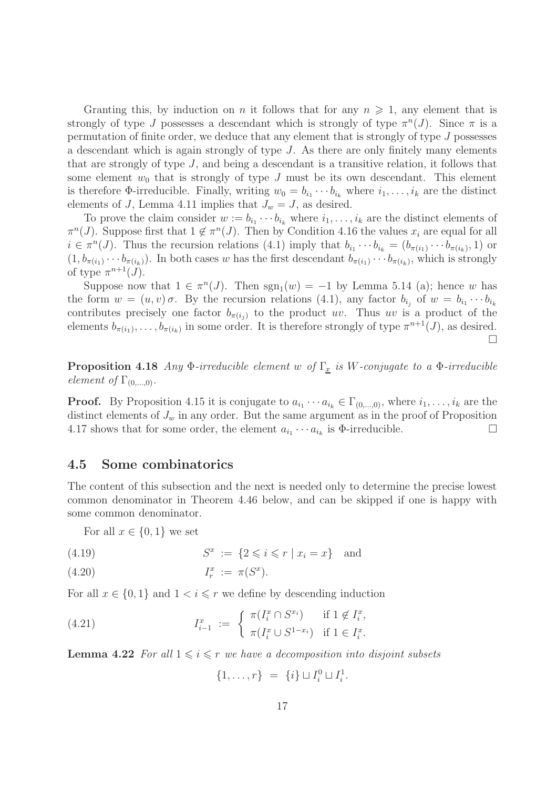Granting this, by induction on n it follows that for any  $n \geq 1$ , any element that is strongly of type J possesses a descendant which is strongly of type  $\pi^{n}(J)$ . Since  $\pi$  is a permutation of finite order, we deduce that any element that is strongly of type J possesses a descendant which is again strongly of type J. As there are only finitely many elements that are strongly of type J, and being a descendant is a transitive relation, it follows that some element  $w_0$  that is strongly of type J must be its own descendant. This element is therefore  $\Phi$ -irreducible. Finally, writing  $w_0 = b_{i_1} \cdots b_{i_k}$  where  $i_1, \ldots, i_k$  are the distinct elements of J, Lemma 4.11 implies that  $J_w = J$ , as desired.

To prove the claim consider  $w := b_{i_1} \cdots b_{i_k}$  where  $i_1, \ldots, i_k$  are the distinct elements of  $\pi^{n}(J)$ . Suppose first that  $1 \notin \pi^{n}(J)$ . Then by Condition 4.16 the values  $x_i$  are equal for all  $i \in \pi^n(J)$ . Thus the recursion relations (4.1) imply that  $b_{i_1} \cdots b_{i_k} = (b_{\pi(i_1)} \cdots b_{\pi(i_k)}, 1)$  or  $(1, b_{\pi(i_1)} \cdots b_{\pi(i_k)})$ . In both cases w has the first descendant  $b_{\pi(i_1)} \cdots b_{\pi(i_k)}$ , which is strongly of type  $\pi^{n+1}(J)$ .

Suppose now that  $1 \in \pi^n(J)$ . Then  $sgn_1(w) = -1$  by Lemma 5.14 (a); hence w has the form  $w = (u, v) \sigma$ . By the recursion relations (4.1), any factor  $b_{i_j}$  of  $w = b_{i_1} \cdots b_{i_k}$ contributes precisely one factor  $b_{\pi(i_i)}$  to the product uv. Thus uv is a product of the elements  $b_{\pi(i_1)}, \ldots, b_{\pi(i_k)}$  in some order. It is therefore strongly of type  $\pi^{n+1}(J)$ , as desired.  $\Box$ 

**Proposition 4.18** Any  $\Phi$ -irreducible element w of  $\Gamma_x$  is W-conjugate to a  $\Phi$ -irreducible element of  $\Gamma_{(0,\ldots,0)}$ .

**Proof.** By Proposition 4.15 it is conjugate to  $a_{i_1} \cdots a_{i_k} \in \Gamma_{(0,\ldots,0)}$ , where  $i_1, \ldots, i_k$  are the distinct elements of  $J_w$  in any order. But the same argument as in the proof of Proposition 4.17 shows that for some order, the element  $a_{i_1} \cdots a_{i_k}$  is  $\Phi$ -irreducible.

#### 4.5 Some combinatorics

The content of this subsection and the next is needed only to determine the precise lowest common denominator in Theorem 4.46 below, and can be skipped if one is happy with some common denominator.

For all  $x \in \{0, 1\}$  we set

$$
(4.19) \t Sx := {2 \leq i \leq r | x_i = x} \t and
$$

$$
(4.20) \t\t I_r^x := \pi(S^x).
$$

For all  $x \in \{0,1\}$  and  $1 \leq i \leq r$  we define by descending induction

(4.21) 
$$
I_{i-1}^x := \begin{cases} \pi(I_i^x \cap S^{x_i}) & \text{if } 1 \notin I_i^x, \\ \pi(I_i^x \cup S^{1-x_i}) & \text{if } 1 \in I_i^x. \end{cases}
$$

**Lemma 4.22** For all  $1 \leq i \leq r$  we have a decomposition into disjoint subsets

$$
\{1, \ldots, r\} = \{i\} \sqcup I_i^0 \sqcup I_i^1.
$$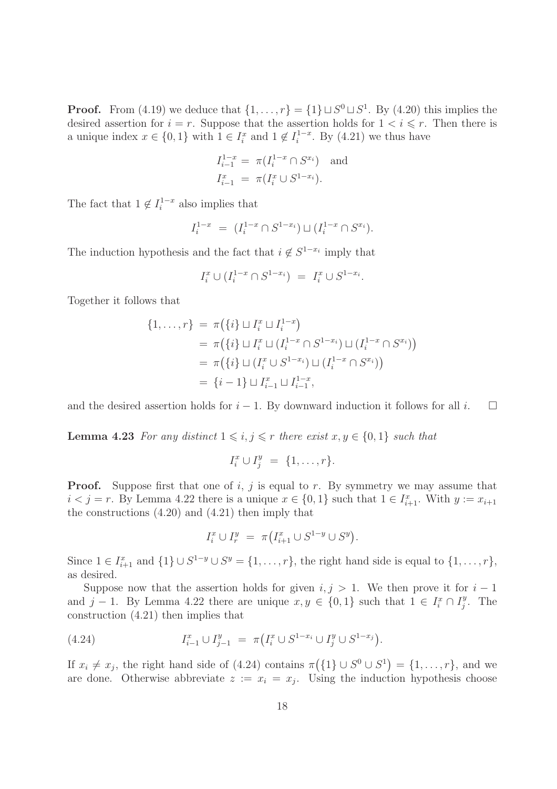**Proof.** From (4.19) we deduce that  $\{1, \ldots, r\} = \{1\} \sqcup S^0 \sqcup S^1$ . By (4.20) this implies the desired assertion for  $i = r$ . Suppose that the assertion holds for  $1 < i \leq r$ . Then there is a unique index  $x \in \{0, 1\}$  with  $1 \in I_i^x$  and  $1 \notin I_i^{1-x}$ . By  $(4.21)$  we thus have

$$
I_{i-1}^{1-x} = \pi(I_i^{1-x} \cap S^{x_i}) \text{ and}
$$
  

$$
I_{i-1}^x = \pi(I_i^x \cup S^{1-x_i}).
$$

The fact that  $1 \notin I_i^{1-x}$  also implies that

$$
I_i^{1-x} = (I_i^{1-x} \cap S^{1-x_i}) \sqcup (I_i^{1-x} \cap S^{x_i}).
$$

The induction hypothesis and the fact that  $i \notin S^{1-x_i}$  imply that

$$
I_i^x \cup (I_i^{1-x} \cap S^{1-x_i}) = I_i^x \cup S^{1-x_i}.
$$

Together it follows that

$$
\{1, \ldots, r\} = \pi(\{i\} \sqcup I_i^x \sqcup I_i^{1-x})
$$
  
=  $\pi(\{i\} \sqcup I_i^x \sqcup (I_i^{1-x} \cap S^{1-x_i}) \sqcup (I_i^{1-x} \cap S^{x_i}))$   
=  $\pi(\{i\} \sqcup (I_i^x \cup S^{1-x_i}) \sqcup (I_i^{1-x} \cap S^{x_i}))$   
=  $\{i-1\} \sqcup I_{i-1}^x \sqcup I_{i-1}^{1-x},$ 

and the desired assertion holds for  $i - 1$ . By downward induction it follows for all  $i$ .  $\square$ 

**Lemma 4.23** For any distinct  $1 \leq i, j \leq r$  there exist  $x, y \in \{0, 1\}$  such that

$$
I_i^x \cup I_j^y = \{1, \ldots, r\}.
$$

**Proof.** Suppose first that one of i, j is equal to r. By symmetry we may assume that  $i < j = r$ . By Lemma 4.22 there is a unique  $x \in \{0, 1\}$  such that  $1 \in I_{i+1}^x$ . With  $y := x_{i+1}$ the constructions (4.20) and (4.21) then imply that

$$
I_i^x \cup I_r^y = \pi \big( I_{i+1}^x \cup S^{1-y} \cup S^y \big).
$$

Since  $1 \in I_{i+1}^x$  and  $\{1\} \cup S^{1-y} \cup S^y = \{1, \ldots, r\}$ , the right hand side is equal to  $\{1, \ldots, r\}$ , as desired.

Suppose now that the assertion holds for given  $i, j > 1$ . We then prove it for  $i - 1$ and j − 1. By Lemma 4.22 there are unique  $x, y \in \{0, 1\}$  such that  $1 \in I_i^x \cap I_j^y$  $j<sup>y</sup>$ . The construction (4.21) then implies that

(4.24) 
$$
I_{i-1}^x \cup I_{j-1}^y = \pi \big( I_i^x \cup S^{1-x_i} \cup I_j^y \cup S^{1-x_j} \big).
$$

If  $x_i \neq x_j$ , the right hand side of (4.24) contains  $\pi(\lbrace 1 \rbrace \cup S^0 \cup S^1) = \lbrace 1, \ldots, r \rbrace$ , and we are done. Otherwise abbreviate  $z := x_i = x_j$ . Using the induction hypothesis choose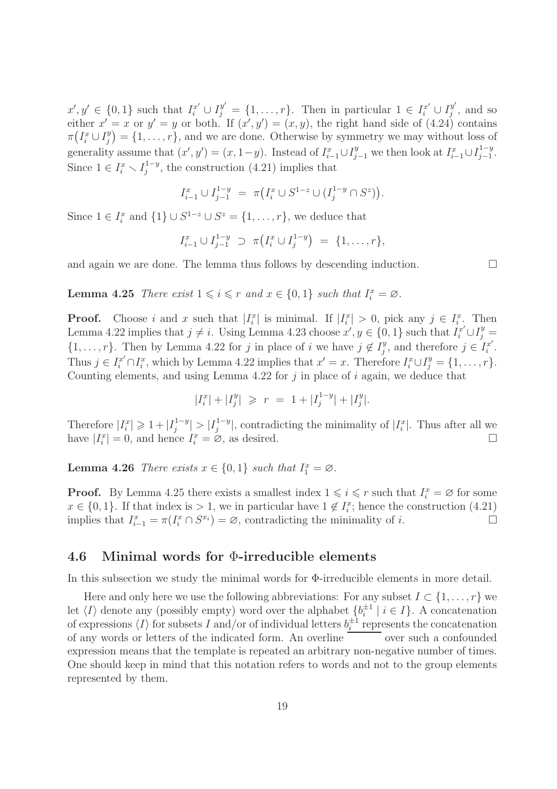$x', y' \in \{0, 1\}$  such that  $I_i^{x'} \cup I_j^{y'} = \{1, \ldots, r\}$ . Then in particular  $1 \in I_i^{x'} \cup I_j^{y'}$  $_j^y$ , and so either  $x' = x$  or  $y' = y$  or both. If  $(x', y') = (x, y)$ , the right hand side of  $(4.24)$  contains  $\pi\left(I_i^x\cup I_j^y\right)$  $j^{(y)}_j = \{1, \ldots, r\}$ , and we are done. Otherwise by symmetry we may without loss of generality assume that  $(x', y') = (x, 1-y)$ . Instead of  $I_{i-1}^x \cup I_{j-1}^y$  we then look at  $I_{i-1}^x \cup I_{j-1}^{1-y}$  $\frac{1-y}{j-1}$ . Since  $1 \in I_i^x \setminus I_j^{1-y}$  $j^{1-y}$ , the construction (4.21) implies that

$$
I_{i-1}^x \cup I_{j-1}^{1-y} = \pi \big( I_i^x \cup S^{1-z} \cup (I_j^{1-y} \cap S^z) \big).
$$

Since  $1 \in I_i^x$  and  $\{1\} \cup S^{1-z} \cup S^z = \{1, \ldots, r\}$ , we deduce that

$$
I_{i-1}^x \cup I_{j-1}^{1-y} \supset \pi(I_i^x \cup I_j^{1-y}) = \{1, \ldots, r\},\
$$

and again we are done. The lemma thus follows by descending induction.  $\Box$ 

**Lemma 4.25** There exist  $1 \leq i \leq r$  and  $x \in \{0,1\}$  such that  $I_i^x = \emptyset$ .

**Proof.** Choose i and x such that  $|I_i^x|$  is minimal. If  $|I_i^x| > 0$ , pick any  $j \in I_i^x$ . Then Lemma 4.22 implies that  $j \neq i$ . Using Lemma 4.23 choose  $x', y \in \{0, 1\}$  such that  $I_i^{x'} \cup I_j^{y} =$  $\{1, \ldots, r\}$ . Then by Lemma 4.22 for j in place of i we have  $j \notin I_j^y$  $j^y$ , and therefore  $j \in I_i^{x'}$  $\frac{x'}{i}$ . Thus  $j \in I_i^{x'} \cap I_i^x$ , which by Lemma 4.22 implies that  $x' = x$ . Therefore  $I_i^x \cup I_j^y = \{1, \ldots, r\}$ . Counting elements, and using Lemma 4.22 for  $j$  in place of  $i$  again, we deduce that

$$
|I_i^x| + |I_j^y| \ \geqslant \ r \ = \ 1 + |I_j^{1-y}| + |I_j^y|.
$$

Therefore  $|I_i^x| \geq 1 + |I_j^{1-y}|$  $|J_j^{1-y}|>|I_j^{1-y}|$  $j_j^{-1-y}$ , contradicting the minimality of  $|I_i^x|$ . Thus after all we have  $|I_i^x|=0$ , and hence  $I_i^x=\varnothing$ , as desired.

**Lemma 4.26** There exists  $x \in \{0, 1\}$  such that  $I_1^x = \emptyset$ .

**Proof.** By Lemma 4.25 there exists a smallest index  $1 \leq i \leq r$  such that  $I_i^x = \emptyset$  for some  $x \in \{0, 1\}$ . If that index is > 1, we in particular have  $1 \notin I_i^x$ ; hence the construction (4.21) implies that  $I_{i-1}^x = \pi(I_i^x \cap S^{x_i}) = \emptyset$ , contradicting the minimality of *i*.

#### 4.6 Minimal words for Φ-irreducible elements

In this subsection we study the minimal words for Φ-irreducible elements in more detail.

Here and only here we use the following abbreviations: For any subset  $I \subset \{1, \ldots, r\}$  we let  $\langle I \rangle$  denote any (possibly empty) word over the alphabet  $\{b_i^{\pm 1} \mid i \in I\}$ . A concatenation of expressions  $\langle I \rangle$  for subsets I and/or of individual letters  $b_i^{\pm 1}$  represents the concatenation of any words or letters of the indicated form. An overline over such a confounded expression means that the template is repeated an arbitrary non-negative number of times. One should keep in mind that this notation refers to words and not to the group elements represented by them.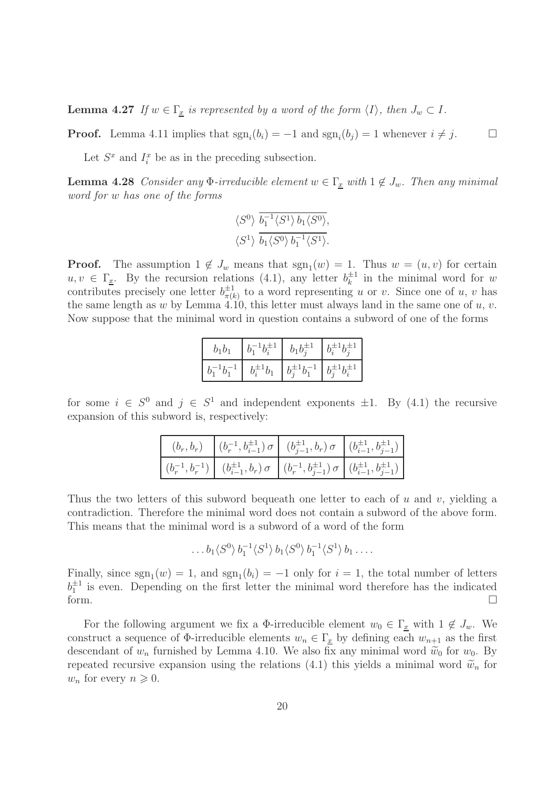**Lemma 4.27** If  $w \in \Gamma_{\underline{x}}$  is represented by a word of the form  $\langle I \rangle$ , then  $J_w \subset I$ .

**Proof.** Lemma 4.11 implies that  $\text{sgn}_i(b_i) = -1$  and  $\text{sgn}_i(b_j) = 1$  whenever  $i \neq j$ .

Let  $S^x$  and  $I_i^x$  be as in the preceding subsection.

**Lemma 4.28** Consider any  $\Phi$ -irreducible element  $w \in \Gamma_x$  with  $1 \notin J_w$ . Then any minimal word for w has one of the forms

$$
\frac{\langle S^0\rangle}{\langle S^1\rangle} \frac{\overline{b_1^{-1} \langle S^1\rangle b_1 \langle S^0\rangle}}{\overline{b_1 \langle S^0\rangle b_1^{-1} \langle S^1\rangle}}.
$$

**Proof.** The assumption  $1 \notin J_w$  means that  $sgn_1(w) = 1$ . Thus  $w = (u, v)$  for certain  $u, v \in \Gamma_{\underline{x}}$ . By the recursion relations (4.1), any letter  $b_k^{\pm 1}$  $\frac{1}{k}$  in the minimal word for w contributes precisely one letter  $b_{\pi(l)}^{\pm 1}$  $\frac{1}{\pi(k)}$  to a word representing u or v. Since one of u, v has the same length as w by Lemma 4.10, this letter must always land in the same one of  $u, v$ . Now suppose that the minimal word in question contains a subword of one of the forms

| $b_1b_1$ |                  | $b_1 b_1^{\pm 1}$ | $b_i^{\pm 1} b_i^{\pm 1}$ |
|----------|------------------|-------------------|---------------------------|
|          | $b_i^{\pm 1}b_1$ | $b^{-1}b$         | $b_i^{\pm 1} b_i^{\pm 1}$ |

for some  $i \in S^0$  and  $j \in S^1$  and independent exponents  $\pm 1$ . By (4.1) the recursive expansion of this subword is, respectively:

|  | $\left( (b_r, b_r) \middle  (b_r^{-1}, b_{i-1}^{\pm 1}) \sigma \right  (b_{j-1}^{\pm 1}, b_r) \sigma \left( (b_{i-1}^{\pm 1}, b_{j-1}^{\pm 1}) \right)$                                                                  |  |
|--|--------------------------------------------------------------------------------------------------------------------------------------------------------------------------------------------------------------------------|--|
|  | $\left\vert \; (b_r^{-1}, b_r^{-1}) \; \right\vert \; \; (b_{i-1}^{\pm 1}, b_r) \, \sigma \; \; \left\vert \; (b_r^{-1}, b_{j-1}^{\pm 1}) \; \sigma \; \right\vert \; (b_{i-1}^{\pm 1}, b_{j-1}^{\pm 1}) \; \right\vert$ |  |

Thus the two letters of this subword bequeath one letter to each of u and v, yielding a contradiction. Therefore the minimal word does not contain a subword of the above form. This means that the minimal word is a subword of a word of the form

 $\ldots$   $b_1 \langle S^0 \rangle b_1^{-1} \langle S^1 \rangle b_1 \langle S^0 \rangle b_1^{-1} \langle S^1 \rangle b_1 \ldots$ 

Finally, since  $sgn_1(w) = 1$ , and  $sgn_1(b_i) = -1$  only for  $i = 1$ , the total number of letters  $b_1^{\pm 1}$  is even. Depending on the first letter the minimal word therefore has the indicated form.  $\Box$ 

For the following argument we fix a  $\Phi$ -irreducible element  $w_0 \in \Gamma_x$  with  $1 \notin J_w$ . We construct a sequence of  $\Phi$ -irreducible elements  $w_n \in \Gamma_{\underline{x}}$  by defining each  $w_{n+1}$  as the first descendant of  $w_n$  furnished by Lemma 4.10. We also fix any minimal word  $\tilde{w}_0$  for  $w_0$ . By repeated recursive expansion using the relations (4.1) this yields a minimal word  $\widetilde{w}_n$  for  $w_n$  for every  $n \geqslant 0$ .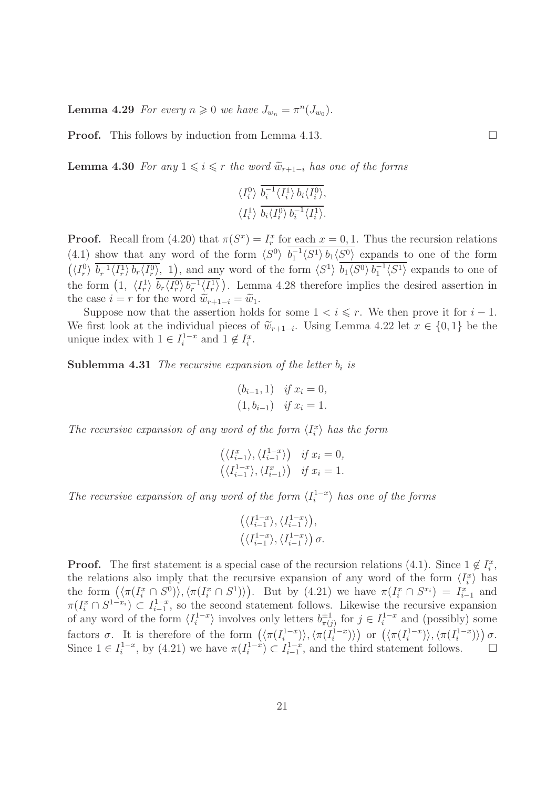**Lemma 4.29** For every  $n \geq 0$  we have  $J_{w_n} = \pi^n(J_{w_0})$ .

**Proof.** This follows by induction from Lemma 4.13.

**Lemma 4.30** For any  $1 \leq i \leq r$  the word  $\widetilde{w}_{r+1-i}$  has one of the forms

$$
\frac{\langle I_i^0\rangle}{\langle I_i^1\rangle} \frac{\overline{b_i^{-1} \langle I_i^1\rangle b_i \langle I_i^0\rangle}}{\overline{b_i \langle I_i^0\rangle b_i^{-1} \langle I_i^1\rangle}}.
$$

**Proof.** Recall from (4.20) that  $\pi(S^x) = I_r^x$  for each  $x = 0, 1$ . Thus the recursion relations (4.1) show that any word of the form  $\langle S^0 \rangle$   $b_1^{-1} \langle S^1 \rangle b_1 \langle S^0 \rangle$  expands to one of the form  $(\langle I_r^0 \rangle \overline{b_r^{-1} \langle I_r^1 \rangle b_r \langle I_r^0 \rangle}, 1)$ , and any word of the form  $\langle S^1 \rangle \overline{b_1 \langle S^0 \rangle b_1^{-1} \langle S^1 \rangle}$  expands to one of the form  $(1, \langle I_r^1 \rangle \overline{b_r \langle I_r^0 \rangle b_r^{-1} \langle I_r^1 \rangle})$ . Lemma 4.28 therefore implies the desired assertion in the case  $i = r$  for the word  $\widetilde{w}_{r+1-i} = \widetilde{w}_1$ .

Suppose now that the assertion holds for some  $1 < i \leq r$ . We then prove it for  $i - 1$ . We first look at the individual pieces of  $\widetilde{w}_{r+1-i}$ . Using Lemma 4.22 let  $x \in \{0,1\}$  be the unique index with  $1 \in I_i^{1-x}$  and  $1 \notin I_i^x$ .

**Sublemma 4.31** The recursive expansion of the letter  $b_i$  is

$$
(b_{i-1}, 1) \t if x_i = 0,(1, b_{i-1}) \t if x_i = 1.
$$

The recursive expansion of any word of the form  $\langle I_i^x \rangle$  has the form

$$
\begin{aligned}\n\left(\langle I_{i-1}^x\rangle, \langle I_{i-1}^{1-x}\rangle\right) &\text{if } x_i = 0, \\
\left(\langle I_{i-1}^{1-x}\rangle, \langle I_{i-1}^x\rangle\right) &\text{if } x_i = 1.\n\end{aligned}
$$

The recursive expansion of any word of the form  $\langle I_i^{1-x} \rangle$  has one of the forms

$$
\begin{aligned} &\left(\langle I_{i-1}^{1-x}\rangle,\langle I_{i-1}^{1-x}\rangle\right),\\ &\left(\langle I_{i-1}^{1-x}\rangle,\langle I_{i-1}^{1-x}\rangle\right)\sigma. \end{aligned}
$$

**Proof.** The first statement is a special case of the recursion relations (4.1). Since  $1 \notin I_i^x$ , the relations also imply that the recursive expansion of any word of the form  $\langle I_i^x \rangle$  has the form  $(\langle \pi(I_i^x \cap S^0) \rangle, \langle \pi(I_i^x \cap S^1) \rangle)$ . But by (4.21) we have  $\pi(I_i^x \cap S^{x_i}) = I_{i-1}^x$  and  $\pi(I_i^x \cap S^{1-x_i}) \subset I_{i-1}^{1-x}$  $i_{i-1}^{1-x}$ , so the second statement follows. Likewise the recursive expansion of any word of the form  $\langle I_i^{1-x} \rangle$  involves only letters  $b_{\pi(i)}^{\pm 1}$  $\frac{\pm 1}{\pi(j)}$  for  $j \in I_i^{1-x}$  and (possibly) some factors  $\sigma$ . It is therefore of the form  $(\langle \pi(I_i^{1-x}) \rangle, \langle \pi(I_i^{1-x}) \rangle)$  or  $(\langle \pi(I_i^{1-x}) \rangle, \langle \pi(I_i^{1-x}) \rangle) \sigma$ . Since  $1 \in I_i^{1-x}$ , by (4.21) we have  $\pi(I_i^{1-x}) \subset I_{i-1}^{1-x}$  $i_{i-1}^{1-x}$ , and the third statement follows.  $\Box$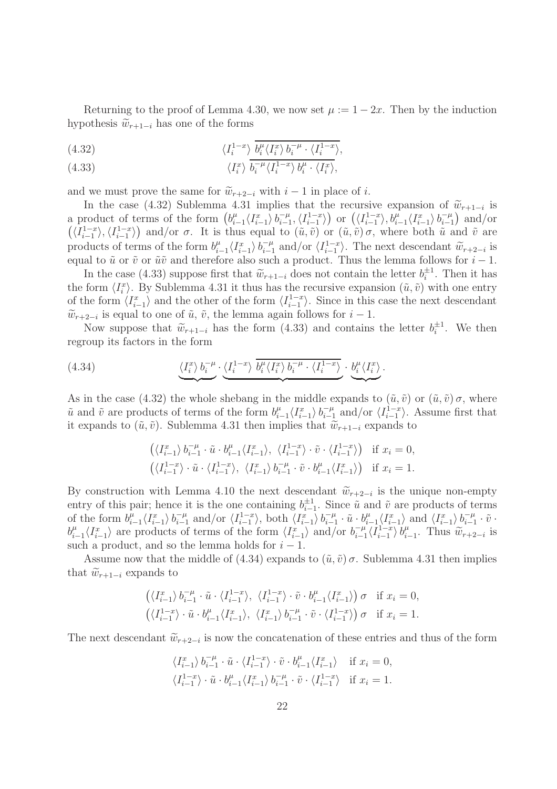Returning to the proof of Lemma 4.30, we now set  $\mu := 1 - 2x$ . Then by the induction hypothesis  $\widetilde{w}_{r+1-i}$  has one of the forms

(4.32) 
$$
\langle I_i^{1-x} \rangle \overline{b_i^{\mu} \langle I_i^x \rangle b_i^{-\mu} \cdot \langle I_i^{1-x} \rangle},
$$

(4.33) 
$$
\langle I_i^x \rangle b_i^{-\mu} \langle I_i^{1-x} \rangle b_i^{\mu} \cdot \langle I_i^x \rangle,
$$

and we must prove the same for  $\widetilde{w}_{r+2-i}$  with  $i-1$  in place of i.

In the case (4.32) Sublemma 4.31 implies that the recursive expansion of  $\tilde{w}_{r+1-i}$  is a product of terms of the form  $(b_i^{\mu})$  $\sum_{i=1}^{\mu} \langle I_{i-1}^x \rangle b_{i-1}^{-\mu}$  $\overline{u}_{i-1}^{\mu}, \langle I_{i-1}^{1-x} \rangle$  $\langle I_{i-1}^{1-x}\rangle$  or  $\left(\langle I_{i-1}^{1-x}\right)$  $\langle b_{i-1}^{\mu} \rangle, b_{i-1}^{\mu} \langle I_{i-1}^{x} \rangle b_{i-1}^{-\mu}$  $\binom{-\mu}{i-1}$  and/or  $\left(\langle I_{i-1}^{1-x}\right.$  $\langle I_{i-1}^{1-x}\rangle, \langle I_{i-1}^{1-x}\rangle$  $\langle i-1 \rangle$  and/or  $\sigma$ . It is thus equal to  $(\tilde{u}, \tilde{v})$  or  $(\tilde{u}, \tilde{v}) \sigma$ , where both  $\tilde{u}$  and  $\tilde{v}$  are products of terms of the form  $b_i^{\mu}$  $\sum_{i=1}^{\mu} \langle I_{i-1}^x \rangle b_{i-1}^{-\mu}$  $\overline{t}_{i-1}^{-\mu}$  and/or  $\langle I_{i-1}^{1-x} \rangle$ <sup>1-x</sup>). The next descendant  $\widetilde{w}_{r+2-i}$  is equal to  $\tilde{u}$  or  $\tilde{v}$  or  $\tilde{u}\tilde{v}$  and therefore also such a product. Thus the lemma follows for  $i - 1$ .

In the case (4.33) suppose first that  $\widetilde{w}_{r+1-i}$  does not contain the letter  $b_i^{\pm 1}$ . Then it has the form  $\langle I_i^x \rangle$ . By Sublemma 4.31 it thus has the recursive expansion  $(\tilde{u}, \tilde{v})$  with one entry of the form  $\langle I_{i-1}^x \rangle$  and the other of the form  $\langle I_{i-1}^{1-x} \rangle$  $\langle i-1 \rangle$ . Since in this case the next descendant  $\widetilde{w}_{r+2-i}$  is equal to one of  $\widetilde{u}, \widetilde{v}$ , the lemma again follows for  $i-1$ .

Now suppose that  $\widetilde{w}_{r+1-i}$  has the form (4.33) and contains the letter  $b_i^{\pm 1}$ . We then regroup its factors in the form

(4.34) 
$$
\underbrace{\langle I_i^x \rangle b_i^{-\mu}} \cdot \underbrace{\langle I_i^{1-x} \rangle b_i^{\mu} \langle I_i^x \rangle b_i^{-\mu} \cdot \langle I_i^{1-x} \rangle}_{\text{max}} \cdot \underbrace{b_i^{\mu} \langle I_i^x \rangle}_{\text{max}}.
$$

As in the case (4.32) the whole shebang in the middle expands to  $(\tilde{u}, \tilde{v})$  or  $(\tilde{u}, \tilde{v})\sigma$ , where  $\tilde{u}$  and  $\tilde{v}$  are products of terms of the form  $b_i^{\mu}$  $\sum_{i=1}^{\mu} \langle I_{i-1}^x \rangle b_{i-1}^{-\mu}$  $\frac{-\mu}{i-1}$  and/or  $\langle I_{i-1}^{1-x} \rangle$ . Assume first that it expands to  $(\tilde{u}, \tilde{v})$ . Sublemma 4.31 then implies that  $\tilde{w}_{r+1-i}$  expands to

$$
\begin{aligned}\n\left( \langle I_{i-1}^x \rangle \, b_{i-1}^{-\mu} \cdot \tilde{u} \cdot b_{i-1}^{\mu} \langle I_{i-1}^x \rangle, \ \langle I_{i-1}^{1-x} \rangle \cdot \tilde{v} \cdot \langle I_{i-1}^{1-x} \rangle \right) &\text{if } x_i = 0, \\
\left( \langle I_{i-1}^{1-x} \rangle \cdot \tilde{u} \cdot \langle I_{i-1}^{1-x} \rangle, \ \langle I_{i-1}^x \rangle \, b_{i-1}^{-\mu} \cdot \tilde{v} \cdot b_{i-1}^{\mu} \langle I_{i-1}^x \rangle \right) &\text{if } x_i = 1.\n\end{aligned}
$$

By construction with Lemma 4.10 the next descendant  $\widetilde{w}_{r+2-i}$  is the unique non-empty entry of this pair; hence it is the one containing  $b_{i-1}^{\pm 1}$ . Since  $\tilde{u}$  and  $\tilde{v}$  are products of terms of the form  $b_i^{\mu}$  $\sum_{i=1}^{\mu}$   $\langle I_{i-1}^{x} \rangle$   $b_{i-1}^{-\mu}$  $\overline{a}_{i-1}^{-\mu}$  and/or  $\langle I_{i-1}^{1-x} \rangle$  $\langle I_{i-1}^x \rangle$ , both  $\langle I_{i-1}^x \rangle b_{i-1}^{-\mu}$  $\bar{u}_{i-1}^{-\mu} \cdot \tilde{u} \cdot b_i^{\mu}$  $\langle I_{i-1}^x \rangle$  and  $\langle I_{i-1}^x \rangle$   $b_{i-1}^{-\mu}$  $\bar{i-1}$  ·  $\tilde{v}$  ·  $b_i^{\mu}$  $\sum_{i=1}^{\mu} \langle I_{i-1}^x \rangle$  are products of terms of the form  $\langle I_{i-1}^x \rangle$  and/or  $b_{i-1}^{-\mu}$  $\frac{-\mu}{i-1}\langle I_{i-1}^{1-x}$  $\frac{1-x}{i-1}$   $b_i^{\mu}$  $\lim_{i=1}^{\mu}$ . Thus  $\widetilde{w}_{r+2-i}$  is such a product, and so the lemma holds for  $i - 1$ .

Assume now that the middle of (4.34) expands to  $(\tilde{u}, \tilde{v}) \sigma$ . Sublemma 4.31 then implies that  $\widetilde{w}_{r+1-i}$  expands to

$$
\left(\langle I_{i-1}^x\rangle\ b_{i-1}^{-\mu}\cdot\tilde u\cdot\langle I_{i-1}^{1-x}\rangle,\ \langle I_{i-1}^{1-x}\rangle\cdot\tilde v\cdot b_{i-1}^\mu\langle I_{i-1}^x\rangle\right)\sigma\quad\text{if }x_i=0,\\\left(\langle I_{i-1}^{1-x}\rangle\cdot\tilde u\cdot b_{i-1}^\mu\langle I_{i-1}^x\rangle,\ \langle I_{i-1}^x\rangle\ b_{i-1}^{-\mu}\cdot\tilde v\cdot\langle I_{i-1}^{1-x}\rangle\right)\sigma\quad\text{if }x_i=1.
$$

The next descendant  $\widetilde{w}_{r+2-i}$  is now the concatenation of these entries and thus of the form

$$
\langle I_{i-1}^x \rangle b_{i-1}^{-\mu} \cdot \tilde{u} \cdot \langle I_{i-1}^{1-x} \rangle \cdot \tilde{v} \cdot b_{i-1}^{\mu} \langle I_{i-1}^x \rangle \quad \text{if } x_i = 0,
$$
  

$$
\langle I_{i-1}^{1-x} \rangle \cdot \tilde{u} \cdot b_{i-1}^{\mu} \langle I_{i-1}^x \rangle b_{i-1}^{-\mu} \cdot \tilde{v} \cdot \langle I_{i-1}^{1-x} \rangle \quad \text{if } x_i = 1.
$$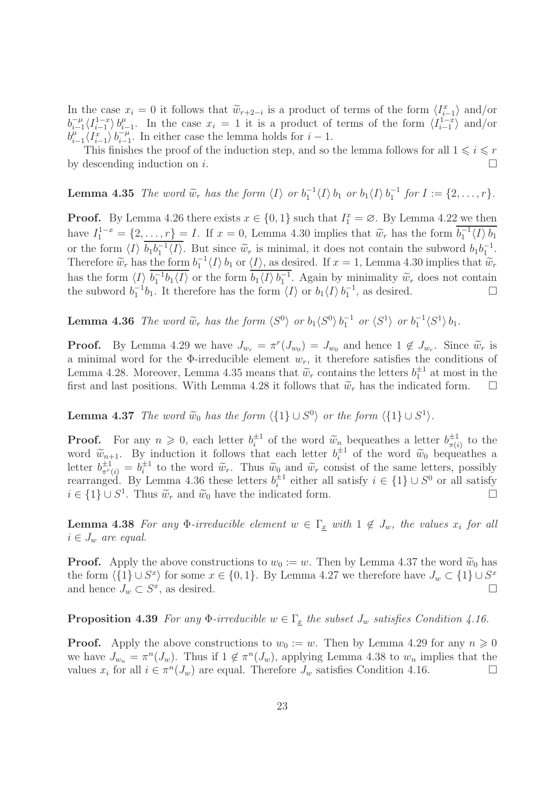In the case  $x_i = 0$  it follows that  $\widetilde{w}_{r+2-i}$  is a product of terms of the form  $\langle I_{i-1}^x \rangle$  and/or  $b_{i-1}^{-\mu}$  $\prod_{i=1}^{-\mu} \langle I_{i-1}^{1-x}$  $\langle i-1 \atop i-1 \rangle b_i^{\mu}$  $\mu_{i-1}^{\mu}$ . In the case  $x_i = 1$  it is a product of terms of the form  $\langle I_{i-1}^{1-x} \rangle$  $\langle i-1 \atop i-1 \rangle$  and/or  $b_i^{\mu}$  $\mu_{i-1} \langle I_{i-1}^x \rangle b_{i-1}^{-\mu}$  $\frac{-\mu}{i-1}$ . In either case the lemma holds for  $i-1$ .

This finishes the proof of the induction step, and so the lemma follows for all  $1 \leq i \leq r$ by descending induction on i.

**Lemma 4.35** The word  $\widetilde{w}_r$  has the form  $\langle I \rangle$  or  $b_1^{-1} \langle I \rangle$   $b_1$  or  $b_1 \langle I \rangle$   $b_1^{-1}$  for  $I := \{2, \ldots, r\}$ .

**Proof.** By Lemma 4.26 there exists  $x \in \{0, 1\}$  such that  $I_1^x = \emptyset$ . By Lemma 4.22 we then have  $I_1^{1-x} = \{2, \ldots, r\} = I$ . If  $x = 0$ , Lemma 4.30 implies that  $\widetilde{w}_r$  has the form  $b_1^{-1} \langle I \rangle b_1$ or the form  $\langle I \rangle b_1 b_1^{-1} \langle I \rangle$ . But since  $\widetilde{w}_r$  is minimal, it does not contain the subword  $b_1 b_1^{-1}$ .<br>Therefore  $\widetilde{\omega}$  has the form  $l^{-1}I$ . Let  $\langle I \rangle$  as desired If  $x = 1$  I gauge 4.20 involves that  $\widetilde{\$ Therefore  $\widetilde{w}_r$  has the form  $b_1^{-1} \langle I \rangle b_1$  or  $\langle I \rangle$ , as desired. If  $x = 1$ , Lemma 4.30 implies that  $\widetilde{w}_r$ has the form  $\langle I \rangle b_1^{-1}b_1 \langle I \rangle$  or the form  $b_1 \langle I \rangle b_1^{-1}$ . Again by minimality  $\widetilde{w}_r$  does not contain the subword  $b_1^{-1}b_1$ . It therefore has the form  $\langle I \rangle$  or  $b_1 \langle I \rangle b_1^{-1}$ , as desired.

**Lemma 4.36** The word  $\widetilde{w}_r$  has the form  $\langle S^0 \rangle$  or  $b_1 \langle S^0 \rangle b_1^{-1}$  or  $\langle S^1 \rangle$  or  $b_1^{-1} \langle S^1 \rangle b_1$ .

**Proof.** By Lemma 4.29 we have  $J_{w_r} = \pi^r(J_{w_0}) = J_{w_0}$  and hence  $1 \notin J_{w_r}$ . Since  $\widetilde{w}_r$  is a minimal word for the  $\Phi$ -irreducible element  $w_r$ , it therefore satisfies the conditions of Lemma 4.28. Moreover, Lemma 4.35 means that  $\widetilde{w}_r$  contains the letters  $b_1^{\pm 1}$  at most in the first and last positions. With Lemma 4.28 it follows that  $\tilde{w}_r$  has the indicated form.  $\Box$ 

**Lemma 4.37** The word  $\widetilde{w}_0$  has the form  $\langle \{1\} \cup S^0 \rangle$  or the form  $\langle \{1\} \cup S^1 \rangle$ .

**Proof.** For any  $n \geq 0$ , each letter  $b_i^{\pm 1}$  of the word  $\widetilde{w}_n$  bequeathes a letter  $b_{\pi(i)}^{\pm 1}$  $\frac{1}{\pi(i)}$  to the word  $\widetilde{w}_{n+1}$ . By induction it follows that each letter  $b_i^{\pm 1}$  of the word  $\widetilde{w}_0$  bequeathes a letter  $b_{\pi^r(i)}^{\pm 1} = b_i^{\pm 1}$  to the word  $\widetilde{w}_r$ . Thus  $\widetilde{w}_0$  and  $\widetilde{w}_r$  consist of the same letters, possibly rearranged. By Lemma 4.36 these letters  $b_i^{\pm 1}$  either all satisfy  $i \in \{1\} \cup S^0$  or all satisfy  $i \in \{1\} \cup S^1$ . Thus  $\widetilde{w}_r$  and  $\widetilde{w}_0$  have the indicated form.  $□$ 

**Lemma 4.38** For any  $\Phi$ -irreducible element  $w \in \Gamma_x$  with  $1 \notin J_w$ , the values  $x_i$  for all  $i \in J_w$  are equal.

**Proof.** Apply the above constructions to  $w_0 := w$ . Then by Lemma 4.37 the word  $\widetilde{w}_0$  has the form  $\langle \{1\} \cup S^x \rangle$  for some  $x \in \{0, 1\}$ . By Lemma 4.27 we therefore have  $J_w \subset \{1\} \cup S^x$ and hence  $J_w \subset S^x$ , as desired.

**Proposition 4.39** For any  $\Phi$ -irreducible  $w \in \Gamma_x$  the subset  $J_w$  satisfies Condition 4.16.

**Proof.** Apply the above constructions to  $w_0 := w$ . Then by Lemma 4.29 for any  $n \ge 0$ we have  $J_{w_n} = \pi^n(J_w)$ . Thus if  $1 \notin \pi^n(J_w)$ , applying Lemma 4.38 to  $w_n$  implies that the values  $x_i$  for all  $i \in \pi^n(J_w)$  are equal. Therefore  $J_w$  satisfies Condition 4.16.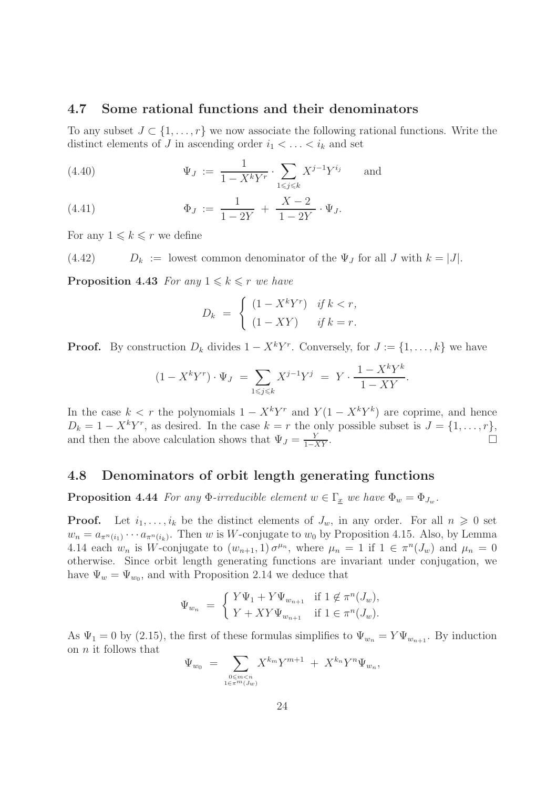#### 4.7 Some rational functions and their denominators

To any subset  $J \subset \{1, \ldots, r\}$  we now associate the following rational functions. Write the distinct elements of J in ascending order  $i_1 < \ldots < i_k$  and set

(4.40) 
$$
\Psi_J := \frac{1}{1 - X^k Y^r} \cdot \sum_{1 \le j \le k} X^{j-1} Y^{i_j} \quad \text{and} \quad
$$

(4.41) 
$$
\Phi_J := \frac{1}{1-2Y} + \frac{X-2}{1-2Y} \cdot \Psi_J.
$$

For any  $1 \leq k \leq r$  we define

(4.42)  $D_k :=$  lowest common denominator of the  $\Psi_J$  for all J with  $k = |J|$ .

**Proposition 4.43** For any  $1 \leq k \leq r$  we have

$$
D_k = \begin{cases} (1 - X^k Y^r) & \text{if } k < r, \\ (1 - XY) & \text{if } k = r. \end{cases}
$$

**Proof.** By construction  $D_k$  divides  $1 - X^k Y^r$ . Conversely, for  $J := \{1, ..., k\}$  we have

$$
(1 - X^{k}Y^{r}) \cdot \Psi_{J} = \sum_{1 \leq j \leq k} X^{j-1}Y^{j} = Y \cdot \frac{1 - X^{k}Y^{k}}{1 - XY}.
$$

In the case  $k < r$  the polynomials  $1 - X^k Y^r$  and  $Y(1 - X^k Y^k)$  are coprime, and hence  $D_k = 1 - X^k Y^r$ , as desired. In the case  $k = r$  the only possible subset is  $J = \{1, \ldots, r\}$ , and then the above calculation shows that  $\Psi_J = \frac{Y}{1 - XY}$ .

#### 4.8 Denominators of orbit length generating functions

**Proposition 4.44** For any  $\Phi$ -irreducible element  $w \in \Gamma_x$  we have  $\Phi_w = \Phi_{J_w}$ .

**Proof.** Let  $i_1, \ldots, i_k$  be the distinct elements of  $J_w$ , in any order. For all  $n \geq 0$  set  $w_n = a_{\pi^n(i_1)} \cdots a_{\pi^n(i_k)}$ . Then w is W-conjugate to  $w_0$  by Proposition 4.15. Also, by Lemma 4.14 each  $w_n$  is W-conjugate to  $(w_{n+1}, 1) \sigma^{\mu_n}$ , where  $\mu_n = 1$  if  $1 \in \pi^n(J_w)$  and  $\mu_n = 0$ otherwise. Since orbit length generating functions are invariant under conjugation, we have  $\Psi_w = \Psi_{w_0}$ , and with Proposition 2.14 we deduce that

$$
\Psi_{w_n} = \begin{cases} Y\Psi_1 + Y\Psi_{w_{n+1}} & \text{if } 1 \notin \pi^n(J_w), \\ Y + XY\Psi_{w_{n+1}} & \text{if } 1 \in \pi^n(J_w). \end{cases}
$$

As  $\Psi_1 = 0$  by (2.15), the first of these formulas simplifies to  $\Psi_{w_n} = Y \Psi_{w_{n+1}}$ . By induction on  $n$  it follows that

$$
\Psi_{w_0} = \sum_{0 \le m < n \atop 1 \in \pi^m(J_w)} X^{k_m} Y^{m+1} + X^{k_n} Y^n \Psi_{w_n},
$$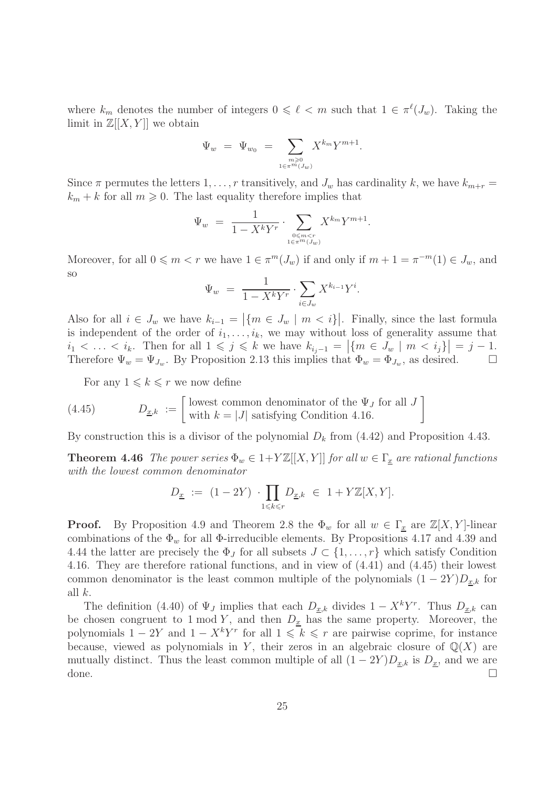where  $k_m$  denotes the number of integers  $0 \leq \ell < m$  such that  $1 \in \pi^{\ell}(J_w)$ . Taking the limit in  $\mathbb{Z}[[X, Y]]$  we obtain

$$
\Psi_w = \Psi_{w_0} = \sum_{\substack{m \geq 0 \\ 1 \in \pi^m(J_w)}} X^{k_m} Y^{m+1}.
$$

Since  $\pi$  permutes the letters  $1, \ldots, r$  transitively, and  $J_w$  has cardinality k, we have  $k_{m+r}$  =  $k_m + k$  for all  $m \geqslant 0$ . The last equality therefore implies that

$$
\Psi_w = \frac{1}{1 - X^k Y^r} \cdot \sum_{\substack{0 \le m < r \\ 1 \in \pi^m(J_w)}} X^{k_m} Y^{m+1}.
$$

Moreover, for all  $0 \leq m < r$  we have  $1 \in \pi^m(J_w)$  if and only if  $m + 1 = \pi^{-m}(1) \in J_w$ , and so

$$
\Psi_w = \frac{1}{1 - X^k Y^r} \cdot \sum_{i \in J_w} X^{k_{i-1}} Y^i.
$$

Also for all  $i \in J_w$  we have  $k_{i-1} = |\{m \in J_w \mid m < i\}|$ . Finally, since the last formula is independent of the order of  $i_1, \ldots, i_k$ , we may without loss of generality assume that  $i_1 < \ldots < i_k$ . Then for all  $1 \leqslant j \leqslant k$  we have  $k_{i_j-1} = |\{m \in J_w \mid m \leqslant i_j\}| = j-1$ . Therefore  $\Psi_w = \Psi_{J_w}$ . By Proposition 2.13 this implies that  $\Phi_w = \Phi_{J_w}$ , as desired.  $\Box$ 

For any  $1 \leq k \leq r$  we now define

(4.45) 
$$
D_{\underline{x},k} := \begin{bmatrix} \text{lowest common denominator of the } \Psi_J \text{ for all } J \\ \text{with } k = |J| \text{ satisfying Condition 4.16.} \end{bmatrix}
$$

By construction this is a divisor of the polynomial  $D_k$  from (4.42) and Proposition 4.43.

**Theorem 4.46** The power series  $\Phi_w \in 1+Y\mathbb{Z}[[X, Y]]$  for all  $w \in \Gamma_x$  are rational functions with the lowest common denominator

$$
D_{\underline{x}} \ := \ (1 - 2Y) \ \cdot \prod_{1 \leqslant k \leqslant r} D_{\underline{x},k} \ \in \ 1 + Y{\mathbb{Z}}[X,Y].
$$

**Proof.** By Proposition 4.9 and Theorem 2.8 the  $\Phi_w$  for all  $w \in \Gamma_x$  are  $\mathbb{Z}[X, Y]$ -linear combinations of the  $\Phi_w$  for all  $\Phi$ -irreducible elements. By Propositions 4.17 and 4.39 and 4.44 the latter are precisely the  $\Phi_J$  for all subsets  $J \subset \{1, \ldots, r\}$  which satisfy Condition 4.16. They are therefore rational functions, and in view of (4.41) and (4.45) their lowest common denominator is the least common multiple of the polynomials  $(1 - 2Y)D_{x,k}$  for all k.

The definition (4.40) of  $\Psi_J$  implies that each  $D_{\underline{x},k}$  divides  $1 - X^k Y^r$ . Thus  $D_{\underline{x},k}$  can be chosen congruent to 1 mod Y, and then  $D_x$  has the same property. Moreover, the polynomials  $1 - 2Y$  and  $1 - X^k Y^r$  for all  $1 \leq k \leq r$  are pairwise coprime, for instance because, viewed as polynomials in Y, their zeros in an algebraic closure of  $\mathbb{Q}(X)$  are mutually distinct. Thus the least common multiple of all  $(1 - 2Y)D_{x,k}$  is  $D_x$ , and we are done.  $\Box$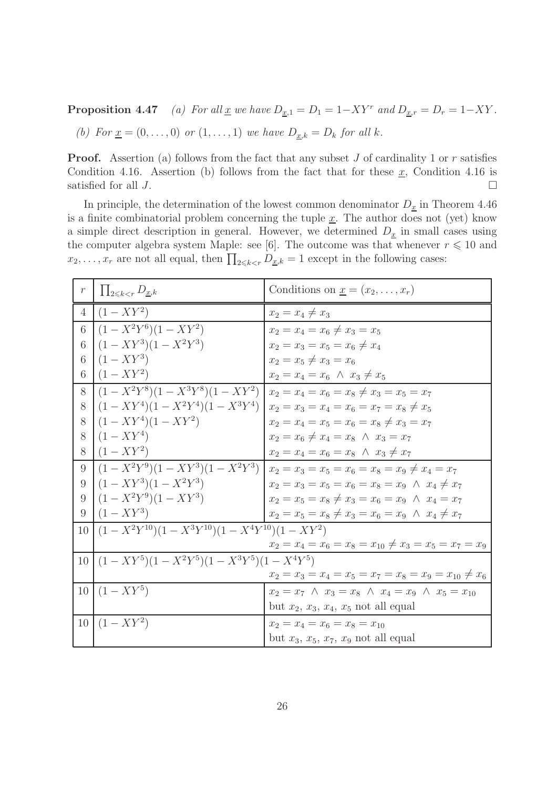**Proposition 4.47** (a) For all <u>x</u> we have  $D_{\underline{x},1} = D_1 = 1 - XY^r$  and  $D_{\underline{x},r} = D_r = 1 - XY$ .

(b) For  $\underline{x} = (0, \ldots, 0)$  or  $(1, \ldots, 1)$  we have  $D_{\underline{x},k} = D_k$  for all k.

**Proof.** Assertion (a) follows from the fact that any subset  $J$  of cardinality 1 or  $r$  satisfies Condition 4.16. Assertion (b) follows from the fact that for these  $\underline{x}$ , Condition 4.16 is satisfied for all  $J$ .

In principle, the determination of the lowest common denominator  $D_x$  in Theorem 4.46 is a finite combinatorial problem concerning the tuple  $\underline{x}$ . The author does not (yet) know a simple direct description in general. However, we determined  $D_x$  in small cases using the computer algebra system Maple: see [6]. The outcome was that whenever  $r \leq 10$  and  $x_2, \ldots, x_r$  are not all equal, then  $\prod_{2 \leq k \leq r} D_{\underline{x},k} = 1$  except in the following cases:

| $\,r\,$        | $\prod_{2\leq k\leq r} D_{x,k}$                              | Conditions on $\underline{x} = (x_2, \ldots, x_r)$                |
|----------------|--------------------------------------------------------------|-------------------------------------------------------------------|
| $\overline{4}$ | $(1 - XY^2)$                                                 | $x_2 = x_4 \neq x_3$                                              |
| 6              | $(1-X^2Y^6)(1-XY^2)$                                         | $x_2 = x_4 = x_6 \neq x_3 = x_5$                                  |
| 6              | $(1 - XY^3)(1 - X^2Y^3)$                                     | $x_2 = x_3 = x_5 = x_6 \neq x_4$                                  |
| 6              | $(1 - XY^3)$                                                 | $x_2 = x_5 \neq x_3 = x_6$                                        |
| 6              | $(1 - XY^2)$                                                 | $x_2 = x_4 = x_6 \land x_3 \neq x_5$                              |
| 8              | $(1-X^2Y^8)(1-X^3Y^8)(1-XY^2)$                               | $x_2 = x_4 = x_6 = x_8 \neq x_3 = x_5 = x_7$                      |
| 8              | $(1 - XY^4)(1 - X^2Y^4)(1 - X^3Y^4)$                         | $x_2 = x_3 = x_4 = x_6 = x_7 = x_8 \neq x_5$                      |
| 8              | $(1 - XY^4)(1 - XY^2)$                                       | $x_2 = x_4 = x_5 = x_6 = x_8 \neq x_3 = x_7$                      |
| 8              | $(1 - XY^4)$                                                 | $x_2 = x_6 \neq x_4 = x_8 \land x_3 = x_7$                        |
| 8              | $(1 - XY^2)$                                                 | $x_2 = x_4 = x_6 = x_8 \land x_3 \neq x_7$                        |
| 9              | $(1-X^2Y^9)(1-XY^3)(1-X^2Y^3)$                               | $x_2 = x_3 = x_5 = x_6 = x_8 = x_9 \neq x_4 = x_7$                |
| 9              | $(1 - XY^3)(1 - X^2Y^3)$                                     | $x_2 = x_3 = x_5 = x_6 = x_8 = x_9 \land x_4 \neq x_7$            |
| 9              | $(1-X^2Y^9)(1-XY^3)$                                         | $x_2 = x_5 = x_8 \neq x_3 = x_6 = x_9 \land x_4 = x_7$            |
| 9              | $(1 - XY^3)$                                                 | $x_2 = x_5 = x_8 \neq x_3 = x_6 = x_9 \land x_4 \neq x_7$         |
| 10             | $(1 - X^2 Y^{10})(1 - X^3 Y^{10})(1 - X^4 Y^{10})(1 - XY^2)$ |                                                                   |
|                |                                                              | $x_2 = x_4 = x_6 = x_8 = x_{10} \neq x_3 = x_5 = x_7 = x_9$       |
| 10             | $(1 - XY^5)(1 - X^2Y^5)(1 - X^3Y^5)(1 - X^4Y^5)$             |                                                                   |
|                |                                                              | $x_2 = x_3 = x_4 = x_5 = x_7 = x_8 = x_9 = x_{10} \neq x_6$       |
|                | $10 (1 - XY^5)$                                              | $x_2 = x_7 \wedge x_3 = x_8 \wedge x_4 = x_9 \wedge x_5 = x_{10}$ |
|                |                                                              | but $x_2, x_3, x_4, x_5$ not all equal                            |
|                | $10   (1 - XY^2)$                                            | $x_2 = x_4 = x_6 = x_8 = x_{10}$                                  |
|                |                                                              | but $x_3, x_5, x_7, x_9$ not all equal                            |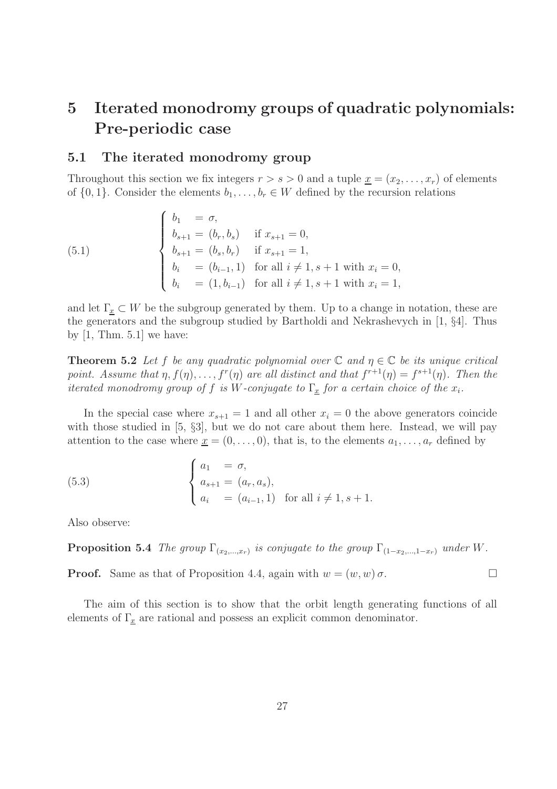## 5 Iterated monodromy groups of quadratic polynomials: Pre-periodic case

#### 5.1 The iterated monodromy group

Throughout this section we fix integers  $r > s > 0$  and a tuple  $\underline{x} = (x_2, \ldots, x_r)$  of elements of  $\{0, 1\}$ . Consider the elements  $b_1, \ldots, b_r \in W$  defined by the recursion relations

(5.1) 
$$
\begin{cases} b_1 = \sigma, \\ b_{s+1} = (b_r, b_s) & \text{if } x_{s+1} = 0, \\ b_{s+1} = (b_s, b_r) & \text{if } x_{s+1} = 1, \\ b_i = (b_{i-1}, 1) & \text{for all } i \neq 1, s+1 \text{ with } x_i = 0, \\ b_i = (1, b_{i-1}) & \text{for all } i \neq 1, s+1 \text{ with } x_i = 1, \end{cases}
$$

and let  $\Gamma_x \subset W$  be the subgroup generated by them. Up to a change in notation, these are the generators and the subgroup studied by Bartholdi and Nekrashevych in [1, §4]. Thus by  $[1, Thm. 5.1]$  we have:

**Theorem 5.2** Let f be any quadratic polynomial over  $\mathbb C$  and  $\eta \in \mathbb C$  be its unique critical point. Assume that  $\eta$ ,  $f(\eta)$ ,...,  $f^{r}(\eta)$  are all distinct and that  $f^{r+1}(\eta) = f^{s+1}(\eta)$ . Then the iterated monodromy group of f is W-conjugate to  $\Gamma_x$  for a certain choice of the  $x_i$ .

In the special case where  $x_{s+1} = 1$  and all other  $x_i = 0$  the above generators coincide with those studied in [5,  $\S3$ ], but we do not care about them here. Instead, we will pay attention to the case where  $\underline{x} = (0, \ldots, 0)$ , that is, to the elements  $a_1, \ldots, a_r$  defined by

(5.3) 
$$
\begin{cases} a_1 = \sigma, \\ a_{s+1} = (a_r, a_s), \\ a_i = (a_{i-1}, 1) \text{ for all } i \neq 1, s+1. \end{cases}
$$

Also observe:

**Proposition 5.4** The group  $\Gamma_{(x_2,...,x_r)}$  is conjugate to the group  $\Gamma_{(1-x_2,...,1-x_r)}$  under W.

**Proof.** Same as that of Proposition 4.4, again with  $w = (w, w) \sigma$ .

The aim of this section is to show that the orbit length generating functions of all elements of  $\Gamma_x$  are rational and possess an explicit common denominator.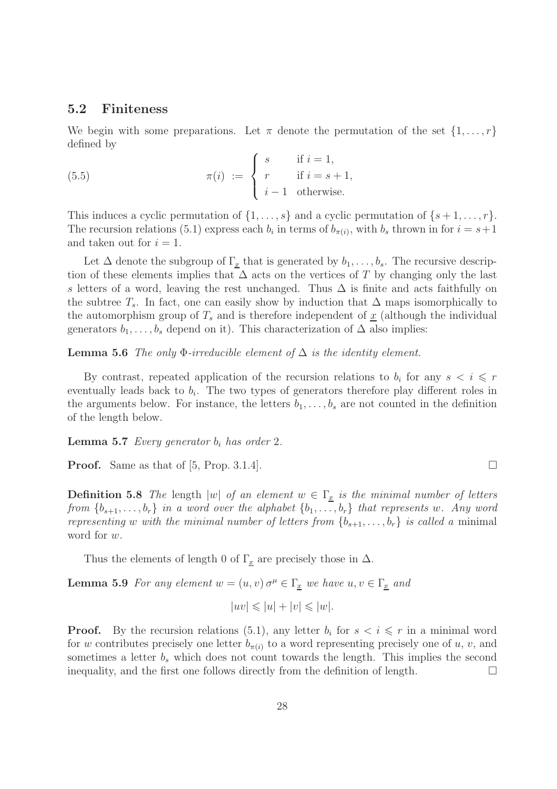#### 5.2 Finiteness

We begin with some preparations. Let  $\pi$  denote the permutation of the set  $\{1, \ldots, r\}$ defined by

(5.5) 
$$
\pi(i) := \begin{cases} s & \text{if } i = 1, \\ r & \text{if } i = s + 1, \\ i - 1 & \text{otherwise.} \end{cases}
$$

This induces a cyclic permutation of  $\{1, \ldots, s\}$  and a cyclic permutation of  $\{s+1, \ldots, r\}$ . The recursion relations (5.1) express each  $b_i$  in terms of  $b_{\pi(i)}$ , with  $b_s$  thrown in for  $i = s+1$ and taken out for  $i = 1$ .

Let  $\Delta$  denote the subgroup of  $\Gamma_x$  that is generated by  $b_1, \ldots, b_s$ . The recursive description of these elements implies that  $\Delta$  acts on the vertices of T by changing only the last s letters of a word, leaving the rest unchanged. Thus  $\Delta$  is finite and acts faithfully on the subtree  $T_s$ . In fact, one can easily show by induction that  $\Delta$  maps isomorphically to the automorphism group of  $T_s$  and is therefore independent of  $\underline{x}$  (although the individual generators  $b_1, \ldots, b_s$  depend on it). This characterization of  $\Delta$  also implies:

**Lemma 5.6** The only  $\Phi$ -irreducible element of  $\Delta$  is the identity element.

By contrast, repeated application of the recursion relations to  $b_i$  for any  $s < i \leq r$ eventually leads back to  $b_i$ . The two types of generators therefore play different roles in the arguments below. For instance, the letters  $b_1, \ldots, b_s$  are not counted in the definition of the length below.

**Lemma 5.7** Every generator  $b_i$  has order 2.

**Proof.** Same as that of [5, Prop. 3.1.4].

**Definition 5.8** The length  $|w|$  of an element  $w \in \Gamma_x$  is the minimal number of letters from  $\{b_{s+1}, \ldots, b_r\}$  in a word over the alphabet  $\{b_1, \ldots, b_r\}$  that represents w. Any word representing w with the minimal number of letters from  $\{b_{s+1}, \ldots, b_r\}$  is called a minimal word for w.

Thus the elements of length 0 of  $\Gamma_x$  are precisely those in  $\Delta$ .

**Lemma 5.9** For any element  $w = (u, v) \sigma^{\mu} \in \Gamma_x$  we have  $u, v \in \Gamma_x$  and

$$
|uv| \leq |u| + |v| \leq |w|.
$$

**Proof.** By the recursion relations (5.1), any letter  $b_i$  for  $s < i \leq r$  in a minimal word for w contributes precisely one letter  $b_{\pi(i)}$  to a word representing precisely one of u, v, and sometimes a letter  $b_s$  which does not count towards the length. This implies the second inequality, and the first one follows directly from the definition of length.  $\Box$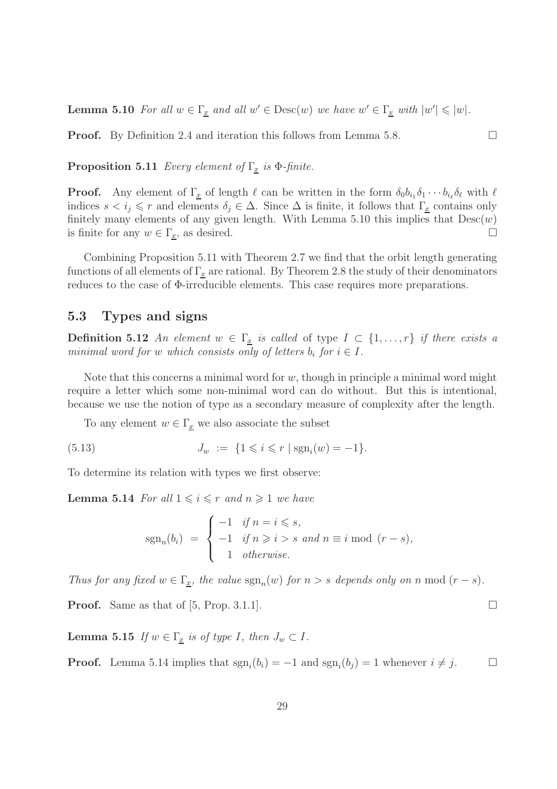**Lemma 5.10** For all  $w \in \Gamma_x$  and all  $w' \in \text{Desc}(w)$  we have  $w' \in \Gamma_x$  with  $|w'| \leq |w|$ .

**Proof.** By Definition 2.4 and iteration this follows from Lemma 5.8.

**Proposition 5.11** Every element of  $\Gamma_x$  is  $\Phi$ -finite.

**Proof.** Any element of  $\Gamma_{\underline{x}}$  of length  $\ell$  can be written in the form  $\delta_0 b_{i_1} \delta_1 \cdots b_{i_\ell} \delta_\ell$  with  $\ell$ indices  $s < i_j \leq r$  and elements  $\delta_j \in \Delta$ . Since  $\Delta$  is finite, it follows that  $\Gamma_{\underline{x}}$  contains only finitely many elements of any given length. With Lemma 5.10 this implies that  $Desc(w)$ is finite for any  $w \in \Gamma_x$ , as desired.

Combining Proposition 5.11 with Theorem 2.7 we find that the orbit length generating functions of all elements of  $\Gamma_x$  are rational. By Theorem 2.8 the study of their denominators reduces to the case of Φ-irreducible elements. This case requires more preparations.

#### 5.3 Types and signs

**Definition 5.12** An element  $w \in \Gamma_x$  is called of type  $I \subset \{1, \ldots, r\}$  if there exists a minimal word for w which consists only of letters  $b_i$  for  $i \in I$ .

Note that this concerns a minimal word for  $w$ , though in principle a minimal word might require a letter which some non-minimal word can do without. But this is intentional, because we use the notion of type as a secondary measure of complexity after the length.

To any element  $w \in \Gamma_x$  we also associate the subset

(5.13) 
$$
J_w := \{1 \leq i \leq r \mid \text{sgn}_i(w) = -1\}.
$$

To determine its relation with types we first observe:

**Lemma 5.14** For all  $1 \leq i \leq r$  and  $n \geq 1$  we have

$$
sgn_n(b_i) = \begin{cases} -1 & \text{if } n = i \leq s, \\ -1 & \text{if } n \geq i > s \text{ and } n \equiv i \bmod (r - s), \\ 1 & \text{otherwise.} \end{cases}
$$

Thus for any fixed  $w \in \Gamma_x$ , the value  $sgn_n(w)$  for  $n > s$  depends only on n mod  $(r - s)$ .

**Proof.** Same as that of [5, Prop. 3.1.1].

**Lemma 5.15** If  $w \in \Gamma_x$  is of type I, then  $J_w \subset I$ .

**Proof.** Lemma 5.14 implies that  $\text{sgn}_i(b_i) = -1$  and  $\text{sgn}_i(b_j) = 1$  whenever  $i \neq j$ .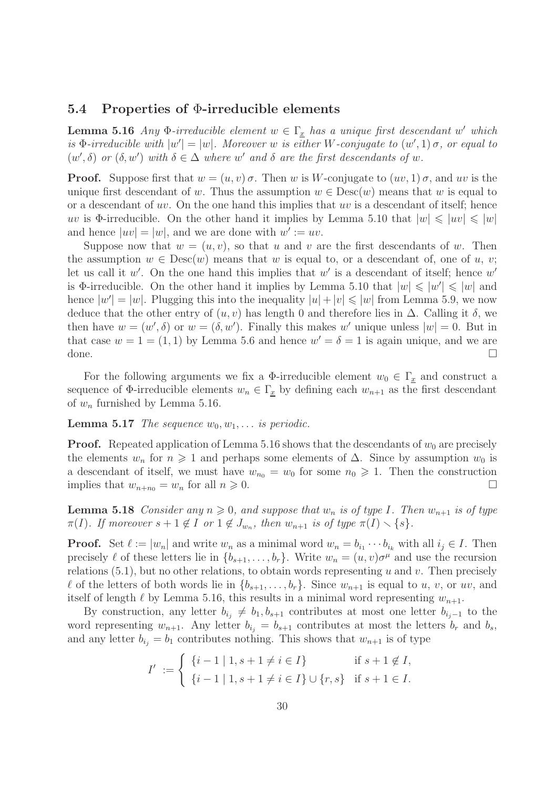#### 5.4 Properties of Φ-irreducible elements

**Lemma 5.16** Any  $\Phi$ -irreducible element  $w \in \Gamma_x$  has a unique first descendant w' which is  $\Phi$ -irreducible with  $|w'| = |w|$ . Moreover w is either W-conjugate to  $(w', 1)$   $\sigma$ , or equal to  $(w',\delta)$  or  $(\delta, w')$  with  $\delta \in \Delta$  where w' and  $\delta$  are the first descendants of w.

**Proof.** Suppose first that  $w = (u, v) \sigma$ . Then w is W-conjugate to  $(uv, 1) \sigma$ , and uv is the unique first descendant of w. Thus the assumption  $w \in \text{Desc}(w)$  means that w is equal to or a descendant of uv. On the one hand this implies that uv is a descendant of itself; hence uv is Φ-irreducible. On the other hand it implies by Lemma 5.10 that  $|w| \leq |uv| \leq |w|$ and hence  $|uv| = |w|$ , and we are done with  $w' := uv$ .

Suppose now that  $w = (u, v)$ , so that u and v are the first descendants of w. Then the assumption  $w \in \text{Desc}(w)$  means that w is equal to, or a descendant of, one of u, v; let us call it  $w'$ . On the one hand this implies that  $w'$  is a descendant of itself; hence  $w'$ is  $\Phi$ -irreducible. On the other hand it implies by Lemma 5.10 that  $|w| \leqslant |w'| \leqslant |w|$  and hence  $|w'| = |w|$ . Plugging this into the inequality  $|u| + |v| \leq |w|$  from Lemma 5.9, we now deduce that the other entry of  $(u, v)$  has length 0 and therefore lies in  $\Delta$ . Calling it  $\delta$ , we then have  $w = (w', \delta)$  or  $w = (\delta, w')$ . Finally this makes w' unique unless  $|w| = 0$ . But in that case  $w = 1 = (1, 1)$  by Lemma 5.6 and hence  $w' = \delta = 1$  is again unique, and we are done.  $\Box$ 

For the following arguments we fix a  $\Phi$ -irreducible element  $w_0 \in \Gamma_x$  and construct a sequence of  $\Phi$ -irreducible elements  $w_n \in \Gamma_{\underline{x}}$  by defining each  $w_{n+1}$  as the first descendant of  $w_n$  furnished by Lemma 5.16.

**Lemma 5.17** The sequence  $w_0, w_1, \ldots$  is periodic.

**Proof.** Repeated application of Lemma 5.16 shows that the descendants of  $w_0$  are precisely the elements  $w_n$  for  $n \geq 1$  and perhaps some elements of  $\Delta$ . Since by assumption  $w_0$  is a descendant of itself, we must have  $w_{n_0} = w_0$  for some  $n_0 \geq 1$ . Then the construction implies that  $w_{n+n_0} = w_n$  for all  $n \geq 0$ .

**Lemma 5.18** Consider any  $n \geq 0$ , and suppose that  $w_n$  is of type I. Then  $w_{n+1}$  is of type  $\pi(I)$ . If moreover  $s+1 \notin I$  or  $1 \notin J_{w_n}$ , then  $w_{n+1}$  is of type  $\pi(I) \setminus \{s\}$ .

**Proof.** Set  $\ell := |w_n|$  and write  $w_n$  as a minimal word  $w_n = b_{i_1} \cdots b_{i_k}$  with all  $i_j \in I$ . Then precisely  $\ell$  of these letters lie in  $\{b_{s+1}, \ldots, b_r\}$ . Write  $w_n = (u, v)\sigma^\mu$  and use the recursion relations  $(5.1)$ , but no other relations, to obtain words representing u and v. Then precisely  $\ell$  of the letters of both words lie in  $\{b_{s+1}, \ldots, b_r\}$ . Since  $w_{n+1}$  is equal to u, v, or uv, and itself of length  $\ell$  by Lemma 5.16, this results in a minimal word representing  $w_{n+1}$ .

By construction, any letter  $b_{i_j} \neq b_1, b_{s+1}$  contributes at most one letter  $b_{i_j-1}$  to the word representing  $w_{n+1}$ . Any letter  $b_{i} = b_{s+1}$  contributes at most the letters  $b_r$  and  $b_s$ , and any letter  $b_{i_j} = b_1$  contributes nothing. This shows that  $w_{n+1}$  is of type

$$
I' := \begin{cases} \{i-1 \mid 1, s+1 \neq i \in I\} & \text{if } s+1 \notin I, \\ \{i-1 \mid 1, s+1 \neq i \in I\} \cup \{r, s\} & \text{if } s+1 \in I. \end{cases}
$$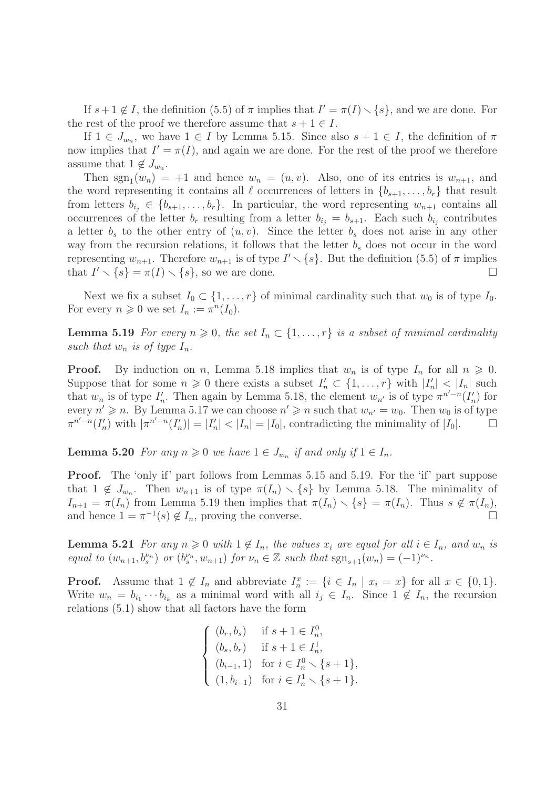If  $s+1 \notin I$ , the definition (5.5) of  $\pi$  implies that  $I' = \pi(I) \setminus \{s\}$ , and we are done. For the rest of the proof we therefore assume that  $s + 1 \in I$ .

If  $1 \in J_{w_n}$ , we have  $1 \in I$  by Lemma 5.15. Since also  $s + 1 \in I$ , the definition of  $\pi$ now implies that  $I' = \pi(I)$ , and again we are done. For the rest of the proof we therefore assume that  $1 \notin J_{w_n}$ .

Then  $sgn_1(w_n) = +1$  and hence  $w_n = (u, v)$ . Also, one of its entries is  $w_{n+1}$ , and the word representing it contains all  $\ell$  occurrences of letters in  $\{b_{s+1}, \ldots, b_r\}$  that result from letters  $b_{i_j} \in \{b_{s+1}, \ldots, b_r\}$ . In particular, the word representing  $w_{n+1}$  contains all occurrences of the letter  $b_r$  resulting from a letter  $b_{i_j} = b_{s+1}$ . Each such  $b_{i_j}$  contributes a letter  $b_s$  to the other entry of  $(u, v)$ . Since the letter  $b_s$  does not arise in any other way from the recursion relations, it follows that the letter  $b_s$  does not occur in the word representing  $w_{n+1}$ . Therefore  $w_{n+1}$  is of type  $I' \setminus \{s\}$ . But the definition (5.5) of  $\pi$  implies that  $I' \setminus \{s\} = \pi(I) \setminus \{s\}$ , so we are done.

Next we fix a subset  $I_0 \subset \{1, \ldots, r\}$  of minimal cardinality such that  $w_0$  is of type  $I_0$ . For every  $n \geqslant 0$  we set  $I_n := \pi^n(I_0)$ .

**Lemma 5.19** For every  $n \geq 0$ , the set  $I_n \subset \{1, \ldots, r\}$  is a subset of minimal cardinality such that  $w_n$  is of type  $I_n$ .

**Proof.** By induction on n, Lemma 5.18 implies that  $w_n$  is of type  $I_n$  for all  $n \geq 0$ . Suppose that for some  $n \geqslant 0$  there exists a subset  $I'_n \subset \{1, \ldots, r\}$  with  $|I'_n| < |I_n|$  such that  $w_n$  is of type  $I'_n$ . Then again by Lemma 5.18, the element  $w_{n'}$  is of type  $\pi^{n'-n}(I'_n)$  for every  $n' \geq n$ . By Lemma 5.17 we can choose  $n' \geq n$  such that  $w_{n'} = w_0$ . Then  $w_0$  is of type  $\pi^{n'-n}(I'_n)$  with  $|\pi^{n'-n}(I'_n)| = |I'_n| < |I_n| = |I_0|$ , contradicting the minimality of  $|I_0|$ .  $\Box$ 

**Lemma 5.20** For any  $n \ge 0$  we have  $1 \in J_{w_n}$  if and only if  $1 \in I_n$ .

**Proof.** The 'only if' part follows from Lemmas 5.15 and 5.19. For the 'if' part suppose that  $1 \notin J_{w_n}$ . Then  $w_{n+1}$  is of type  $\pi(I_n) \setminus \{s\}$  by Lemma 5.18. The minimality of  $I_{n+1} = \pi(I_n)$  from Lemma 5.19 then implies that  $\pi(I_n) \setminus \{s\} = \pi(I_n)$ . Thus  $s \notin \pi(I_n)$ , and hence  $1 = \pi^{-1}(s) \notin I_n$ , proving the converse.

**Lemma 5.21** For any  $n \geq 0$  with  $1 \notin I_n$ , the values  $x_i$  are equal for all  $i \in I_n$ , and  $w_n$  is equal to  $(w_{n+1}, b_s^{\nu_n})$  or  $(b_s^{\nu_n}, w_{n+1})$  for  $\nu_n \in \mathbb{Z}$  such that  $sgn_{s+1}(w_n) = (-1)^{\nu_n}$ .

**Proof.** Assume that  $1 \notin I_n$  and abbreviate  $I_n^x := \{i \in I_n \mid x_i = x\}$  for all  $x \in \{0,1\}.$ Write  $w_n = b_{i_1} \cdots b_{i_k}$  as a minimal word with all  $i_j \in I_n$ . Since  $1 \notin I_n$ , the recursion relations (5.1) show that all factors have the form

$$
\begin{cases}\n(b_r, b_s) & \text{if } s + 1 \in I_n^0, \\
(b_s, b_r) & \text{if } s + 1 \in I_n^1, \\
(b_{i-1}, 1) & \text{for } i \in I_n^0 \setminus \{s + 1\}, \\
(1, b_{i-1}) & \text{for } i \in I_n^1 \setminus \{s + 1\}.\n\end{cases}
$$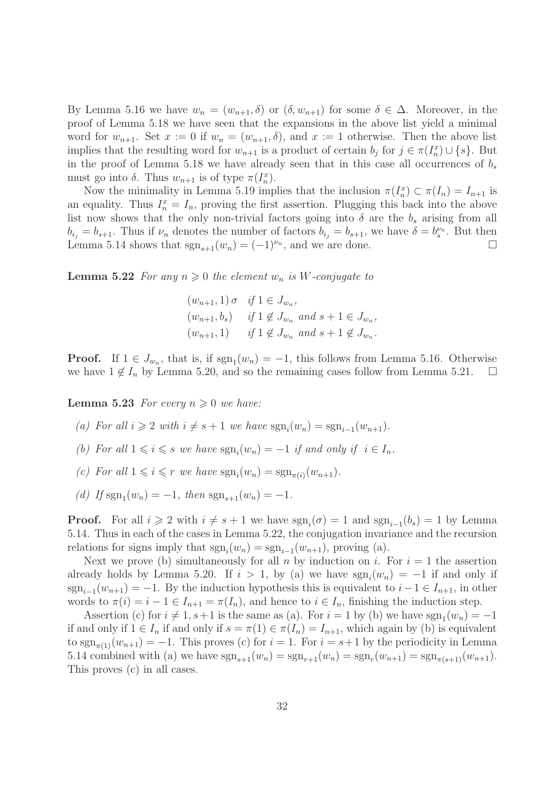By Lemma 5.16 we have  $w_n = (w_{n+1}, \delta)$  or  $(\delta, w_{n+1})$  for some  $\delta \in \Delta$ . Moreover, in the proof of Lemma 5.18 we have seen that the expansions in the above list yield a minimal word for  $w_{n+1}$ . Set  $x := 0$  if  $w_n = (w_{n+1}, \delta)$ , and  $x := 1$  otherwise. Then the above list implies that the resulting word for  $w_{n+1}$  is a product of certain  $b_j$  for  $j \in \pi(I_n^x) \cup \{s\}$ . But in the proof of Lemma 5.18 we have already seen that in this case all occurrences of  $b_s$ must go into  $\delta$ . Thus  $w_{n+1}$  is of type  $\pi(I_n^x)$ .

Now the minimality in Lemma 5.19 implies that the inclusion  $\pi(I_n^x) \subset \pi(I_n) = I_{n+1}$  is an equality. Thus  $I_n^x = I_n$ , proving the first assertion. Plugging this back into the above list now shows that the only non-trivial factors going into  $\delta$  are the  $b_s$  arising from all  $b_{i_j} = b_{s+1}$ . Thus if  $\nu_n$  denotes the number of factors  $b_{i_j} = b_{s+1}$ , we have  $\delta = b_s^{\nu_n}$ . But then Lemma 5.14 shows that  $sgn_{s+1}(w_n) = (-1)^{\nu_n}$ , and we are done.

**Lemma 5.22** For any  $n \geq 0$  the element  $w_n$  is W-conjugate to

$$
(w_{n+1}, 1) \sigma
$$
 if  $1 \in J_{w_n}$ ,  
\n $(w_{n+1}, b_s)$  if  $1 \notin J_{w_n}$  and  $s + 1 \in J_{w_n}$ ,  
\n $(w_{n+1}, 1)$  if  $1 \notin J_{w_n}$  and  $s + 1 \notin J_{w_n}$ .

**Proof.** If  $1 \in J_{w_n}$ , that is, if  $sgn_1(w_n) = -1$ , this follows from Lemma 5.16. Otherwise we have  $1 \notin I_n$  by Lemma 5.20, and so the remaining cases follow from Lemma 5.21.  $\Box$ 

**Lemma 5.23** For every  $n \geq 0$  we have:

- (a) For all  $i \geq 2$  with  $i \neq s + 1$  we have  $sgn_i(w_n) = sgn_{i-1}(w_{n+1})$ .
- (b) For all  $1 \leq i \leq s$  we have  $sgn_i(w_n) = -1$  if and only if  $i \in I_n$ .
- (c) For all  $1 \leq i \leq r$  we have  $sgn_i(w_n) = sgn_{\pi(i)}(w_{n+1})$ .
- (d) If  $sgn_1(w_n) = -1$ , then  $sgn_{s+1}(w_n) = -1$ .

**Proof.** For all  $i \geq 2$  with  $i \neq s + 1$  we have  $sgn_i(\sigma) = 1$  and  $sgn_{i-1}(b_s) = 1$  by Lemma 5.14. Thus in each of the cases in Lemma 5.22, the conjugation invariance and the recursion relations for signs imply that  $sgn_i(w_n) = sgn_{i-1}(w_{n+1})$ , proving (a).

Next we prove (b) simultaneously for all n by induction on i. For  $i = 1$  the assertion already holds by Lemma 5.20. If  $i > 1$ , by (a) we have  $sgn_i(w_n) = -1$  if and only if  $sgn_{i-1}(w_{n+1}) = -1$ . By the induction hypothesis this is equivalent to  $i-1 \in I_{n+1}$ , in other words to  $\pi(i) = i - 1 \in I_{n+1} = \pi(I_n)$ , and hence to  $i \in I_n$ , finishing the induction step.

Assertion (c) for  $i \neq 1, s+1$  is the same as (a). For  $i = 1$  by (b) we have  $sgn_1(w_n) = -1$ if and only if  $1 \in I_n$  if and only if  $s = \pi(1) \in \pi(I_n) = I_{n+1}$ , which again by (b) is equivalent to  $sgn_{\pi(1)}(w_{n+1}) = -1$ . This proves (c) for  $i = 1$ . For  $i = s+1$  by the periodicity in Lemma 5.14 combined with (a) we have  $sgn_{s+1}(w_n) = sgn_{r+1}(w_n) = sgn_r(w_{n+1}) = sgn_{\pi(s+1)}(w_{n+1})$ . This proves (c) in all cases.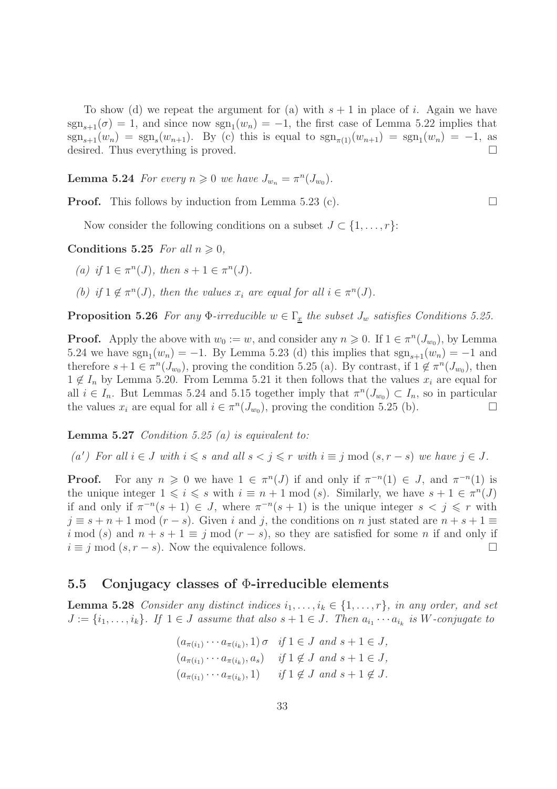To show (d) we repeat the argument for (a) with  $s + 1$  in place of i. Again we have  $sgn_{s+1}(\sigma) = 1$ , and since now  $sgn_1(w_n) = -1$ , the first case of Lemma 5.22 implies that  $sgn_{s+1}(w_n) = sgn_s(w_{n+1})$ . By (c) this is equal to  $sgn_{\pi(1)}(w_{n+1}) = sgn_1(w_n) = -1$ , as desired. Thus everything is proved.

**Lemma 5.24** For every  $n \geq 0$  we have  $J_{w_n} = \pi^n(J_{w_0})$ .

**Proof.** This follows by induction from Lemma 5.23 (c).  $\Box$ 

Now consider the following conditions on a subset  $J \subset \{1, \ldots, r\}$ :

Conditions 5.25 For all  $n \geqslant 0$ ,

(a) if  $1 \in \pi^n(J)$ , then  $s + 1 \in \pi^n(J)$ .

(b) if  $1 \notin \pi^n(J)$ , then the values  $x_i$  are equal for all  $i \in \pi^n(J)$ .

**Proposition 5.26** For any  $\Phi$ -irreducible  $w \in \Gamma_x$  the subset  $J_w$  satisfies Conditions 5.25.

**Proof.** Apply the above with  $w_0 := w$ , and consider any  $n \ge 0$ . If  $1 \in \pi^n(J_{w_0})$ , by Lemma 5.24 we have  $sgn_1(w_n) = -1$ . By Lemma 5.23 (d) this implies that  $sgn_{s+1}(w_n) = -1$  and therefore  $s + 1 \in \pi^n(J_{w_0})$ , proving the condition 5.25 (a). By contrast, if  $1 \notin \pi^n(J_{w_0})$ , then  $1 \notin I_n$  by Lemma 5.20. From Lemma 5.21 it then follows that the values  $x_i$  are equal for all  $i \in I_n$ . But Lemmas 5.24 and 5.15 together imply that  $\pi^n(J_{w_0}) \subset I_n$ , so in particular the values  $x_i$  are equal for all  $i \in \pi^n(J_{w_0})$ , proving the condition 5.25 (b).

**Lemma 5.27** Condition 5.25 (a) is equivalent to:

(a') For all  $i \in J$  with  $i \leq s$  and all  $s < j \leq r$  with  $i \equiv j \mod (s, r - s)$  we have  $j \in J$ .

**Proof.** For any  $n \geq 0$  we have  $1 \in \pi^n(J)$  if and only if  $\pi^{-n}(1) \in J$ , and  $\pi^{-n}(1)$  is the unique integer  $1 \leqslant i \leqslant s$  with  $i \equiv n+1 \mod (s)$ . Similarly, we have  $s+1 \in \pi^n(J)$ if and only if  $\pi^{-n}(s+1) \in J$ , where  $\pi^{-n}(s+1)$  is the unique integer  $s < j \leq r$  with  $j \equiv s + n + 1 \mod (r - s)$ . Given i and j, the conditions on n just stated are  $n + s + 1 \equiv$ i mod (s) and  $n + s + 1 \equiv j$  mod  $(r - s)$ , so they are satisfied for some n if and only if  $i \equiv j \mod (s, r - s)$ . Now the equivalence follows.

#### 5.5 Conjugacy classes of  $\Phi$ -irreducible elements

**Lemma 5.28** Consider any distinct indices  $i_1, \ldots, i_k \in \{1, \ldots, r\}$ , in any order, and set  $J := \{i_1, \ldots, i_k\}$ . If  $1 \in J$  assume that also  $s + 1 \in J$ . Then  $a_{i_1} \cdots a_{i_k}$  is W-conjugate to

$$
(a_{\pi(i_1)} \cdots a_{\pi(i_k)}, 1) \sigma \quad \text{if } 1 \in J \text{ and } s+1 \in J,
$$
  
\n
$$
(a_{\pi(i_1)} \cdots a_{\pi(i_k)}, a_s) \quad \text{if } 1 \notin J \text{ and } s+1 \in J,
$$
  
\n
$$
(a_{\pi(i_1)} \cdots a_{\pi(i_k)}, 1) \quad \text{if } 1 \notin J \text{ and } s+1 \notin J.
$$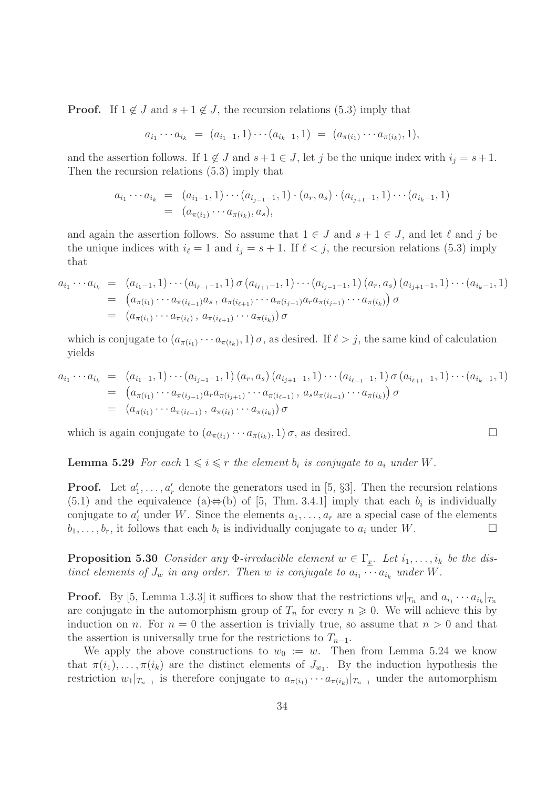**Proof.** If  $1 \notin J$  and  $s + 1 \notin J$ , the recursion relations (5.3) imply that

$$
a_{i_1}\cdots a_{i_k} = (a_{i_1-1}, 1)\cdots (a_{i_k-1}, 1) = (a_{\pi(i_1)}\cdots a_{\pi(i_k)}, 1),
$$

and the assertion follows. If  $1 \notin J$  and  $s + 1 \in J$ , let j be the unique index with  $i_j = s + 1$ . Then the recursion relations (5.3) imply that

$$
a_{i_1} \cdots a_{i_k} = (a_{i_1-1}, 1) \cdots (a_{i_{j-1}-1}, 1) \cdot (a_r, a_s) \cdot (a_{i_{j+1}-1}, 1) \cdots (a_{i_k-1}, 1)
$$
  
=  $(a_{\pi(i_1)} \cdots a_{\pi(i_k)}, a_s),$ 

and again the assertion follows. So assume that  $1 \in J$  and  $s + 1 \in J$ , and let  $\ell$  and j be the unique indices with  $i_{\ell} = 1$  and  $i_j = s + 1$ . If  $\ell < j$ , the recursion relations (5.3) imply that

$$
a_{i_1} \cdots a_{i_k} = (a_{i_1-1}, 1) \cdots (a_{i_{\ell-1}-1}, 1) \sigma (a_{i_{\ell+1}-1}, 1) \cdots (a_{i_{j-1}-1}, 1) (a_r, a_s) (a_{i_{j+1}-1}, 1) \cdots (a_{i_k-1}, 1)
$$
  
=  $(a_{\pi(i_1)} \cdots a_{\pi(i_{\ell-1})} a_s, a_{\pi(i_{\ell+1})} \cdots a_{\pi(i_{j-1})} a_r a_{\pi(i_{j+1})} \cdots a_{\pi(i_k)}) \sigma$   
=  $(a_{\pi(i_1)} \cdots a_{\pi(i_\ell)}, a_{\pi(i_{\ell+1})} \cdots a_{\pi(i_k)}) \sigma$ 

which is conjugate to  $(a_{\pi(i_1)} \cdots a_{\pi(i_k)}, 1) \sigma$ , as desired. If  $\ell > j$ , the same kind of calculation yields

$$
a_{i_1} \cdots a_{i_k} = (a_{i_1-1}, 1) \cdots (a_{i_{j-1}-1}, 1) (a_r, a_s) (a_{i_{j+1}-1}, 1) \cdots (a_{i_{\ell-1}-1}, 1) \sigma (a_{i_{\ell+1}-1}, 1) \cdots (a_{i_k-1}, 1)
$$
  
=  $(a_{\pi(i_1)} \cdots a_{\pi(i_{j-1})} a_r a_{\pi(i_{j+1})} \cdots a_{\pi(i_{\ell-1})}, a_s a_{\pi(i_{\ell+1})} \cdots a_{\pi(i_k)}) \sigma$   
=  $(a_{\pi(i_1)} \cdots a_{\pi(i_{\ell-1})}, a_{\pi(i_\ell)} \cdots a_{\pi(i_k)}) \sigma$ 

which is again conjugate to  $(a_{\pi(i_1)} \cdots a_{\pi(i_k)}, 1) \sigma$ , as desired.

**Lemma 5.29** For each  $1 \leq i \leq r$  the element  $b_i$  is conjugate to  $a_i$  under W.

**Proof.** Let  $a'_1, \ldots, a'_r$  denote the generators used in [5, §3]. Then the recursion relations  $(5.1)$  and the equivalence  $(a) \Leftrightarrow (b)$  of [5, Thm. 3.4.1] imply that each  $b_i$  is individually conjugate to  $a'_i$  under W. Since the elements  $a_1, \ldots, a_r$  are a special case of the elements  $b_1, \ldots, b_r$ , it follows that each  $b_i$  is individually conjugate to  $a_i$  under W.

**Proposition 5.30** Consider any  $\Phi$ -irreducible element  $w \in \Gamma_x$ . Let  $i_1, \ldots, i_k$  be the distinct elements of  $J_w$  in any order. Then w is conjugate to  $a_{i_1} \cdots a_{i_k}$  under W.

**Proof.** By [5, Lemma 1.3.3] it suffices to show that the restrictions  $w|_{T_n}$  and  $a_{i_1} \cdots a_{i_k}|_{T_n}$ are conjugate in the automorphism group of  $T_n$  for every  $n \geq 0$ . We will achieve this by induction on n. For  $n = 0$  the assertion is trivially true, so assume that  $n > 0$  and that the assertion is universally true for the restrictions to  $T_{n-1}$ .

We apply the above constructions to  $w_0 := w$ . Then from Lemma 5.24 we know that  $\pi(i_1), \ldots, \pi(i_k)$  are the distinct elements of  $J_{w_1}$ . By the induction hypothesis the restriction  $w_1|_{T_{n-1}}$  is therefore conjugate to  $a_{\pi(i_1)} \cdots a_{\pi(i_k)}|_{T_{n-1}}$  under the automorphism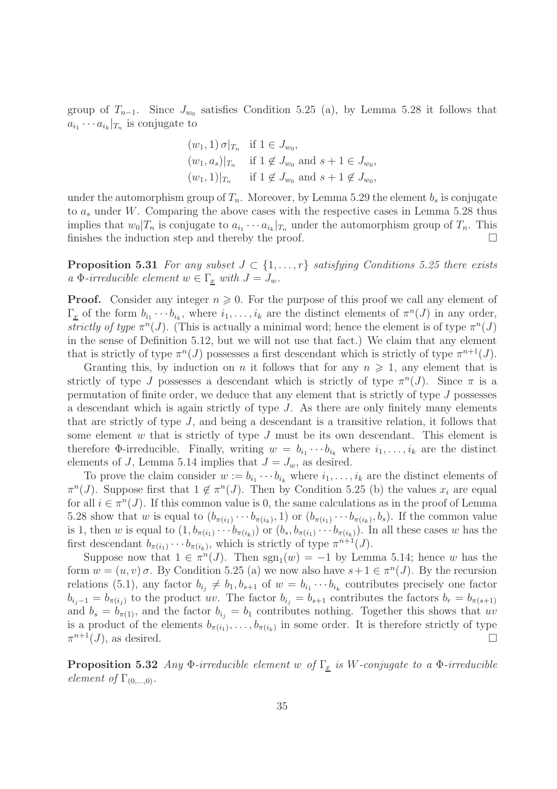group of  $T_{n-1}$ . Since  $J_{w_0}$  satisfies Condition 5.25 (a), by Lemma 5.28 it follows that  $a_{i_1} \cdots a_{i_k}|_{T_n}$  is conjugate to

$$
(w_1, 1) \sigma|_{T_n}
$$
 if  $1 \in J_{w_0}$ ,  
\n $(w_1, a_s)|_{T_n}$  if  $1 \notin J_{w_0}$  and  $s + 1 \in J_{w_0}$ ,  
\n $(w_1, 1)|_{T_n}$  if  $1 \notin J_{w_0}$  and  $s + 1 \notin J_{w_0}$ ,

under the automorphism group of  $T_n$ . Moreover, by Lemma 5.29 the element  $b_s$  is conjugate to  $a_s$  under W. Comparing the above cases with the respective cases in Lemma 5.28 thus implies that  $w_0|T_n$  is conjugate to  $a_{i_1}\cdots a_{i_k}|_{T_n}$  under the automorphism group of  $T_n$ . This finishes the induction step and thereby the proof.  $\Box$ 

**Proposition 5.31** For any subset  $J \subset \{1, \ldots, r\}$  satisfying Conditions 5.25 there exists a Φ-irreducible element  $w \in \Gamma_x$  with  $J = J_w$ .

**Proof.** Consider any integer  $n \geq 0$ . For the purpose of this proof we call any element of  $\Gamma_{\underline{x}}$  of the form  $b_{i_1} \cdots b_{i_k}$ , where  $i_1, \ldots, i_k$  are the distinct elements of  $\pi^n(J)$  in any order, strictly of type  $\pi^{n}(J)$ . (This is actually a minimal word; hence the element is of type  $\pi^{n}(J)$ in the sense of Definition 5.12, but we will not use that fact.) We claim that any element that is strictly of type  $\pi^{n}(J)$  possesses a first descendant which is strictly of type  $\pi^{n+1}(J)$ .

Granting this, by induction on n it follows that for any  $n \geq 1$ , any element that is strictly of type J possesses a descendant which is strictly of type  $\pi^{n}(J)$ . Since  $\pi$  is a permutation of finite order, we deduce that any element that is strictly of type J possesses a descendant which is again strictly of type  $J$ . As there are only finitely many elements that are strictly of type J, and being a descendant is a transitive relation, it follows that some element  $w$  that is strictly of type  $J$  must be its own descendant. This element is therefore  $\Phi$ -irreducible. Finally, writing  $w = b_{i_1} \cdots b_{i_k}$  where  $i_1, \ldots, i_k$  are the distinct elements of J, Lemma 5.14 implies that  $J = J_w$ , as desired.

To prove the claim consider  $w := b_{i_1} \cdots b_{i_k}$  where  $i_1, \ldots, i_k$  are the distinct elements of  $\pi^{n}(J)$ . Suppose first that  $1 \notin \pi^{n}(J)$ . Then by Condition 5.25 (b) the values  $x_i$  are equal for all  $i \in \pi^n(J)$ . If this common value is 0, the same calculations as in the proof of Lemma 5.28 show that w is equal to  $(b_{\pi(i_1)} \cdots b_{\pi(i_k)}, 1)$  or  $(b_{\pi(i_1)} \cdots b_{\pi(i_k)}, b_s)$ . If the common value is 1, then w is equal to  $(1, b_{\pi(i_1)} \cdots b_{\pi(i_k)})$  or  $(b_s, b_{\pi(i_1)} \cdots b_{\pi(i_k)})$ . In all these cases w has the first descendant  $b_{\pi(i_1)} \cdots b_{\pi(i_k)}$ , which is strictly of type  $\pi^{n+1}(J)$ .

Suppose now that  $1 \in \pi^n(J)$ . Then  $sgn_1(w) = -1$  by Lemma 5.14; hence w has the form  $w = (u, v) \sigma$ . By Condition 5.25 (a) we now also have  $s + 1 \in \pi^n(J)$ . By the recursion relations (5.1), any factor  $b_{i_j} \neq b_1, b_{s+1}$  of  $w = b_{i_1} \cdots b_{i_k}$  contributes precisely one factor  $b_{i_j-1} = b_{\pi(i_j)}$  to the product uv. The factor  $b_{i_j} = b_{s+1}$  contributes the factors  $b_r = b_{\pi(s+1)}$ and  $b_s = b_{\pi(1)}$ , and the factor  $b_{i_j} = b_1$  contributes nothing. Together this shows that uv is a product of the elements  $b_{\pi(i_1)}, \ldots, b_{\pi(i_k)}$  in some order. It is therefore strictly of type  $\pi^{n+1}(J)$ , as desired.

**Proposition 5.32** Any  $\Phi$ -irreducible element w of  $\Gamma_x$  is W-conjugate to a  $\Phi$ -irreducible element of  $\Gamma_{(0,\ldots,0)}$ .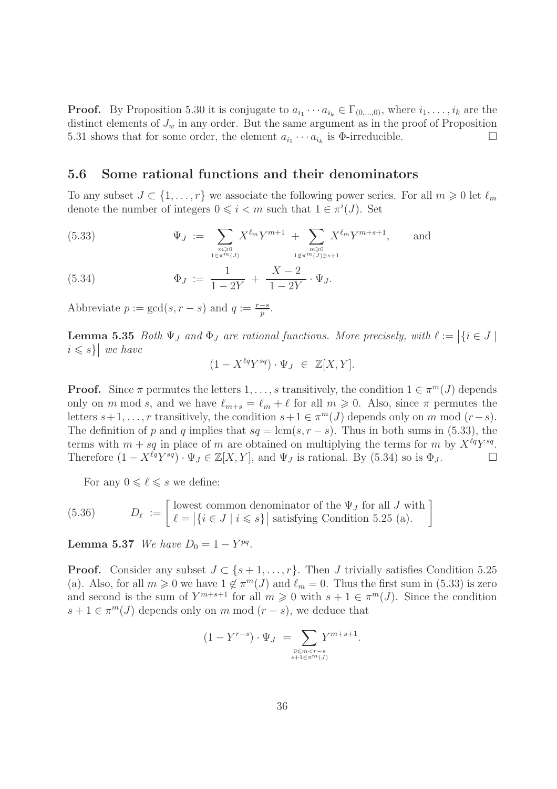**Proof.** By Proposition 5.30 it is conjugate to  $a_{i_1} \cdots a_{i_k} \in \Gamma_{(0,\ldots,0)}$ , where  $i_1, \ldots, i_k$  are the distinct elements of  $J_w$  in any order. But the same argument as in the proof of Proposition 5.31 shows that for some order, the element  $a_{i_1} \cdots a_{i_k}$  is  $\Phi$ -irreducible.

#### 5.6 Some rational functions and their denominators

To any subset  $J \subset \{1, \ldots, r\}$  we associate the following power series. For all  $m \geq 0$  let  $\ell_m$ denote the number of integers  $0 \leq i < m$  such that  $1 \in \pi^{i}(J)$ . Set

(5.33) 
$$
\Psi_J := \sum_{\substack{m \geq 0 \\ 1 \in \pi^m(J)}} X^{\ell_m} Y^{m+1} + \sum_{\substack{m \geq 0 \\ 1 \notin \pi^m(J) \ni s+1}} X^{\ell_m} Y^{m+s+1}, \quad \text{and} \quad
$$

(5.34) 
$$
\Phi_J := \frac{1}{1 - 2Y} + \frac{X - 2}{1 - 2Y} \cdot \Psi_J.
$$

Abbreviate  $p := \gcd(s, r - s)$  and  $q := \frac{r - s}{p}$ .

**Lemma 5.35** Both  $\Psi_J$  and  $\Phi_J$  are rational functions. More precisely, with  $\ell := |\{i \in J \mid$  $i \leq s$ } we have

$$
(1 - X^{\ell q} Y^{sq}) \cdot \Psi_J \in \mathbb{Z}[X, Y].
$$

**Proof.** Since  $\pi$  permutes the letters  $1, \ldots, s$  transitively, the condition  $1 \in \pi^m(J)$  depends only on m mod s, and we have  $\ell_{m+s} = \ell_m + \ell$  for all  $m \geq 0$ . Also, since  $\pi$  permutes the letters  $s+1, \ldots, r$  transitively, the condition  $s+1 \in \pi^m(J)$  depends only on m mod  $(r-s)$ . The definition of p and q implies that  $sq = \text{lcm}(s, r - s)$ . Thus in both sums in (5.33), the terms with  $m + sq$  in place of m are obtained on multiplying the terms for m by  $X^{\ell q}Y^{sq}$ . Therefore  $(1 - X^{\ell q} Y^{sq}) \cdot \Psi_J \in \mathbb{Z}[X, Y]$ , and  $\Psi_J$  is rational. By (5.34) so is  $\Phi_J$ .

For any  $0 \leq \ell \leq s$  we define:

(5.36) 
$$
D_{\ell} := \begin{bmatrix} \text{lowest common denominator of the } \Psi_J \text{ for all } J \text{ with} \\ \ell = |\{i \in J \mid i \leq s\}| \text{ satisfying Condition 5.25 (a)}. \end{bmatrix}
$$

**Lemma 5.37** We have  $D_0 = 1 - Y^{pq}$ .

**Proof.** Consider any subset  $J \subset \{s+1,\ldots,r\}$ . Then J trivially satisfies Condition 5.25 (a). Also, for all  $m \geq 0$  we have  $1 \notin \pi^m(J)$  and  $\ell_m = 0$ . Thus the first sum in (5.33) is zero and second is the sum of  $Y^{m+s+1}$  for all  $m \geq 0$  with  $s+1 \in \pi^m(J)$ . Since the condition  $s + 1 \in \pi^m(J)$  depends only on m mod  $(r - s)$ , we deduce that

$$
(1 - Y^{r-s}) \cdot \Psi_J = \sum_{\substack{0 \le m < r-s \\ s+1 \in \pi^m(J)}} Y^{m+s+1}.
$$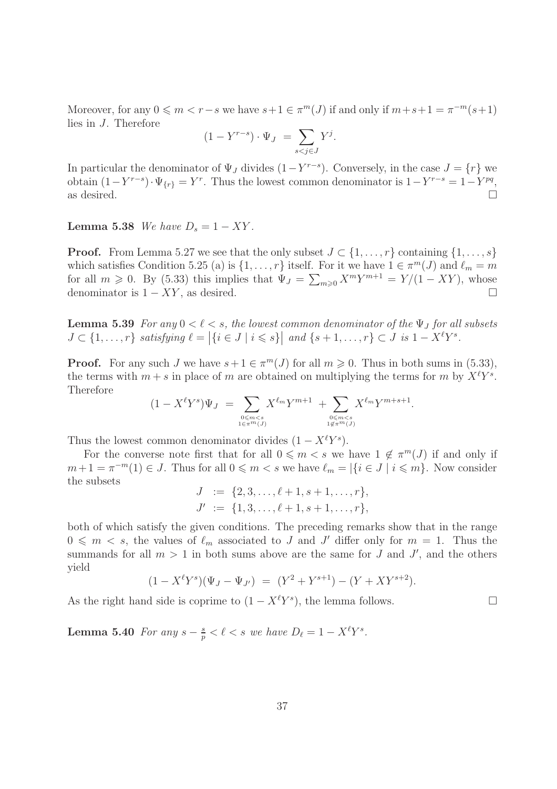Moreover, for any  $0 \leq m < r-s$  we have  $s+1 \in \pi^m(J)$  if and only if  $m+s+1 = \pi^{-m}(s+1)$ lies in J. Therefore

$$
(1 - Y^{r-s}) \cdot \Psi_J = \sum_{s < j \in J} Y^j.
$$

In particular the denominator of  $\Psi_J$  divides  $(1 - Y^{r-s})$ . Conversely, in the case  $J = \{r\}$  we obtain  $(1 - Y^{r-s}) \cdot \Psi_{\{r\}} = Y^r$ . Thus the lowest common denominator is  $1 - Y^{r-s} = 1 - Y^{pq}$ , as desired.  $\Box$ 

Lemma 5.38 We have  $D_s = 1 - XY$ .

**Proof.** From Lemma 5.27 we see that the only subset  $J \subset \{1, \ldots, r\}$  containing  $\{1, \ldots, s\}$ which satisfies Condition 5.25 (a) is  $\{1, \ldots, r\}$  itself. For it we have  $1 \in \pi^m(J)$  and  $\ell_m = m$ for all  $m \geq 0$ . By (5.33) this implies that  $\Psi_J = \sum_{m \geq 0} X^m Y^{m+1} = Y/(1 - XY)$ , whose denominator is  $1 - XY$ , as desired.

**Lemma 5.39** For any  $0 < l < s$ , the lowest common denominator of the  $\Psi_J$  for all subsets  $J \subset \{1, \ldots, r\}$  satisfying  $\ell = |\{i \in J \mid i \leqslant s\}|$  and  $\{s+1, \ldots, r\} \subset J$  is  $1 - X^{\ell}Y^{s}$ .

**Proof.** For any such J we have  $s + 1 \in \pi^m(J)$  for all  $m \geq 0$ . Thus in both sums in (5.33), the terms with  $m + s$  in place of m are obtained on multiplying the terms for m by  $X^{\ell}Y^{s}$ . Therefore

$$
(1 - X^{\ell}Y^{s})\Psi_{J} = \sum_{0 \le m < s \atop 1 \in \pi^{m}(J)} X^{\ell_{m}}Y^{m+1} + \sum_{0 \le m < s \atop 1 \notin \pi^{m}(J)} X^{\ell_{m}}Y^{m+s+1}.
$$

Thus the lowest common denominator divides  $(1 - X^{\ell}Y^s)$ .

For the converse note first that for all  $0 \leq m < s$  we have  $1 \notin \pi^m(J)$  if and only if  $m+1 = \pi^{-m}(1) \in J$ . Thus for all  $0 \leq m < s$  we have  $\ell_m = |\{i \in J \mid i \leq m\}$ . Now consider the subsets

$$
J := \{2, 3, \ldots, \ell + 1, s + 1, \ldots, r\},
$$
  

$$
J' := \{1, 3, \ldots, \ell + 1, s + 1, \ldots, r\},
$$

both of which satisfy the given conditions. The preceding remarks show that in the range  $0 \n\t\leq m \lt s$ , the values of  $\ell_m$  associated to J and J' differ only for  $m = 1$ . Thus the summands for all  $m > 1$  in both sums above are the same for J and J', and the others yield

$$
(1 - X^{\ell}Y^{s})(\Psi_{J} - \Psi_{J'}) = (Y^{2} + Y^{s+1}) - (Y + XY^{s+2}).
$$

As the right hand side is coprime to  $(1 - X^{\ell}Y^{s})$ , the lemma follows.

Lemma 5.40 For any  $s-\frac{s}{n}$  $\frac{s}{p} < \ell < s$  we have  $D_{\ell} = 1 - X^{\ell}Y^{s}$ .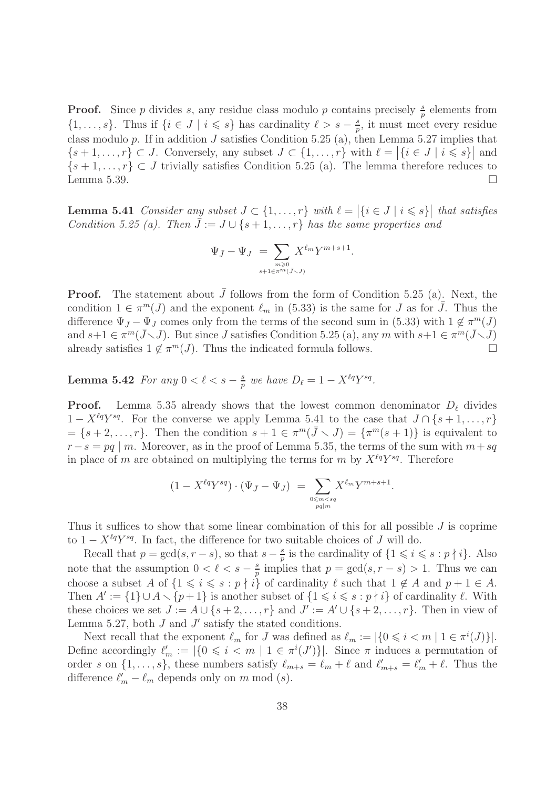**Proof.** Since p divides s, any residue class modulo p contains precisely  $\frac{s}{p}$  elements from  $\{1,\ldots,s\}$ . Thus if  $\{i \in J \mid i \leqslant s\}$  has cardinality  $\ell > s - \frac{s}{n}$  $\frac{s}{p}$ , it must meet every residue class modulo  $p$ . If in addition  $J$  satisfies Condition 5.25 (a), then Lemma 5.27 implies that  $\{s+1,\ldots,r\} \subset J$ . Conversely, any subset  $J \subset \{1,\ldots,r\}$  with  $\ell = |\{i \in J \mid i \leqslant s\}|$  and  $\{s+1,\ldots,r\} \subset J$  trivially satisfies Condition 5.25 (a). The lemma therefore reduces to Lemma 5.39.  $\Box$ 

**Lemma 5.41** Consider any subset  $J \subset \{1, \ldots, r\}$  with  $\ell = |\{i \in J \mid i \leqslant s\}|$  that satisfies Condition 5.25 (a). Then  $\bar{J} := J \cup \{s+1,\ldots,r\}$  has the same properties and

$$
\Psi_{\bar{J}} - \Psi_J = \sum_{\substack{m \ge 0 \\ s+1 \in \pi^m(\bar{J} < J)}} X^{\ell_m} Y^{m+s+1}.
$$

**Proof.** The statement about  $\bar{J}$  follows from the form of Condition 5.25 (a). Next, the condition  $1 \in \pi^m(J)$  and the exponent  $\ell_m$  in (5.33) is the same for J as for  $\overline{J}$ . Thus the difference  $\Psi_{\bar{J}} - \Psi_{J}$  comes only from the terms of the second sum in (5.33) with  $1 \notin \pi^m(J)$ and  $s+1 \in \pi^m(\bar{J}\setminus J)$ . But since J satisfies Condition 5.25 (a), any m with  $s+1 \in \pi^m(\bar{J}\setminus J)$ already satisfies  $1 \notin \pi^m(J)$ . Thus the indicated formula follows.

Lemma 5.42 For any  $0 < \ell < s - \frac{s}{n}$  $\frac{s}{p}$  we have  $D_{\ell} = 1 - X^{\ell q} Y^{sq}$ .

**Proof.** Lemma 5.35 already shows that the lowest common denominator  $D_{\ell}$  divides  $1 - X^{\ell q}Y^{sq}$ . For the converse we apply Lemma 5.41 to the case that  $J \cap \{s+1,\ldots,r\}$  $=\{s+2,\ldots,r\}.$  Then the condition  $s+1 \in \pi^m(\bar{J} \setminus J) = \{\pi^m(s+1)\}\$ is equivalent to  $r-s = pq \mid m$ . Moreover, as in the proof of Lemma 5.35, the terms of the sum with  $m+sq$ in place of m are obtained on multiplying the terms for m by  $X^{\ell q}Y^{sq}$ . Therefore

$$
(1 - X^{\ell q} Y^{sq}) \cdot (\Psi_{\bar{J}} - \Psi_J) = \sum_{\substack{0 \le m < sq \\ pq \mid m}} X^{\ell_m} Y^{m+s+1}.
$$

Thus it suffices to show that some linear combination of this for all possible J is coprime to  $1 - X^{\ell q} Y^{sq}$ . In fact, the difference for two suitable choices of J will do.

Recall that  $p = \gcd(s, r - s)$ , so that  $s - \frac{s}{n}$  $\frac{s}{p}$  is the cardinality of  $\{1 \leqslant i \leqslant s : p \nmid i\}$ . Also note that the assumption  $0 < \ell < s - \frac{s}{n}$  $\frac{s}{p}$  implies that  $p = \gcd(s, r - s) > 1$ . Thus we can choose a subset A of  $\{1 \leq i \leq s : p \nmid i\}$  of cardinality  $\ell$  such that  $1 \notin A$  and  $p + 1 \in A$ . Then  $A' := \{1\} \cup A \setminus \{p+1\}$  is another subset of  $\{1 \leq i \leq s : p \nmid i\}$  of cardinality  $\ell$ . With these choices we set  $J := A \cup \{s+2,\ldots,r\}$  and  $J' := A' \cup \{s+2,\ldots,r\}$ . Then in view of Lemma 5.27, both  $J$  and  $J'$  satisfy the stated conditions.

Next recall that the exponent  $\ell_m$  for J was defined as  $\ell_m := |\{0 \leq i \leq m \mid 1 \in \pi^i(J)\}|$ . Define accordingly  $\ell'_m := |\{0 \leq i \leq m \mid 1 \in \pi^i(J')\}|$ . Since  $\pi$  induces a permutation of order s on  $\{1,\ldots,s\}$ , these numbers satisfy  $\ell_{m+s} = \ell_m + \ell$  and  $\ell'_{m+s} = \ell'_m + \ell$ . Thus the difference  $\ell'_m - \ell_m$  depends only on m mod  $(s)$ .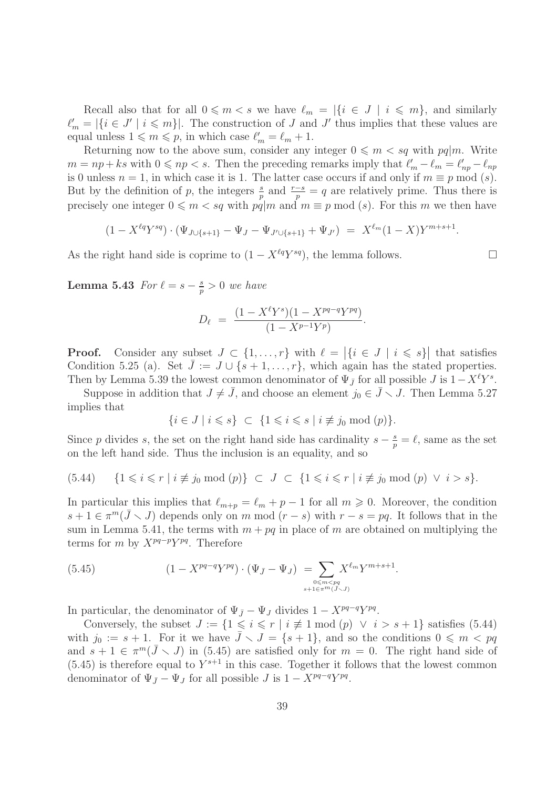Recall also that for all  $0 \leq m < s$  we have  $\ell_m = |\{i \in J \mid i \leq m\}|$ , and similarly  $\ell'_m = |\{i \in J' \mid i \leqslant m\}|.$  The construction of J and J' thus implies that these values are equal unless  $1 \leq m \leq p$ , in which case  $\ell'_m = \ell_m + 1$ .

Returning now to the above sum, consider any integer  $0 \leq m < sq$  with  $pq|m$ . Write  $m = np + ks$  with  $0 \leqslant np < s$ . Then the preceding remarks imply that  $\ell'_m - \ell_m = \ell'_{np} - \ell_{np}$ is 0 unless  $n = 1$ , in which case it is 1. The latter case occurs if and only if  $m \equiv p \mod(s)$ . But by the definition of p, the integers  $\frac{s}{p}$  and  $\frac{r-s}{p} = q$  are relatively prime. Thus there is precisely one integer  $0 \leq m < sq$  with  $pq|m$  and  $m \equiv p \mod (s)$ . For this m we then have

$$
(1 - X^{\ell q} Y^{sq}) \cdot (\Psi_{J \cup \{s+1\}} - \Psi_J - \Psi_{J' \cup \{s+1\}} + \Psi_{J'}) = X^{\ell_m} (1 - X) Y^{m+s+1}.
$$

As the right hand side is coprime to  $(1 - X^{\ell q}Y^{sq})$ , the lemma follows.

Lemma 5.43  $For l = s - \frac{s}{n}$  $\frac{s}{p} > 0$  we have

$$
D_{\ell} = \frac{(1 - X^{\ell}Y^{s})(1 - X^{pq-q}Y^{pq})}{(1 - X^{p-1}Y^{p})}.
$$

**Proof.** Consider any subset  $J \subset \{1, \ldots, r\}$  with  $\ell = |\{i \in J \mid i \leq s\}|$  that satisfies Condition 5.25 (a). Set  $\bar{J} := J \cup \{s+1,\ldots,r\}$ , which again has the stated properties. Then by Lemma 5.39 the lowest common denominator of  $\Psi_{\bar{J}}$  for all possible  $J$  is  $1-X^{\ell}Y^{s}$ .

Suppose in addition that  $J \neq J$ , and choose an element  $j_0 \in \bar{J} \setminus J$ . Then Lemma 5.27 implies that

$$
\{i \in J \mid i \leqslant s\} \ \subset \ \{1 \leqslant i \leqslant s \mid i \not\equiv j_0 \bmod (p)\}.
$$

Since p divides s, the set on the right hand side has cardinality  $s - \frac{s}{p} = \ell$ , same as the set on the left hand side. Thus the inclusion is an equality, and so

$$
(5.44) \qquad \{1 \leq i \leq r \mid i \not\equiv j_0 \bmod (p)\} \ \subset \ J \ \subset \ \{1 \leq i \leq r \mid i \not\equiv j_0 \bmod (p) \ \lor \ i > s\}.
$$

In particular this implies that  $\ell_{m+p} = \ell_m + p - 1$  for all  $m \geq 0$ . Moreover, the condition  $s + 1 \in \pi^m(\bar{J} \setminus J)$  depends only on m mod  $(r - s)$  with  $r - s = pq$ . It follows that in the sum in Lemma 5.41, the terms with  $m + pq$  in place of m are obtained on multiplying the terms for m by  $X^{pq-p}Y^{pq}$ . Therefore

(5.45) 
$$
(1 - X^{pq-q}Y^{pq}) \cdot (\Psi_{\bar{J}} - \Psi_{J}) = \sum_{\substack{0 \le m < pq \\ s+1 \in \pi^m(\bar{J} \setminus J)}} X^{\ell_m} Y^{m+s+1}.
$$

In particular, the denominator of  $\Psi_{\bar{J}} - \Psi_{J}$  divides  $1 - X^{pq-q}Y^{pq}$ .

Conversely, the subset  $J := \{1 \leq i \leq r \mid i \not\equiv 1 \bmod (p) \lor i > s + 1\}$  satisfies (5.44) with  $j_0 := s + 1$ . For it we have  $\bar{J} \setminus J = \{s + 1\}$ , and so the conditions  $0 \leq m < pq$ and  $s + 1 \in \pi^m(\bar{J} \setminus J)$  in (5.45) are satisfied only for  $m = 0$ . The right hand side of  $(5.45)$  is therefore equal to  $Y^{s+1}$  in this case. Together it follows that the lowest common denominator of  $\Psi_{\bar{J}} - \Psi_J$  for all possible  $J$  is  $1 - X^{pq-q}Y^{pq}$ .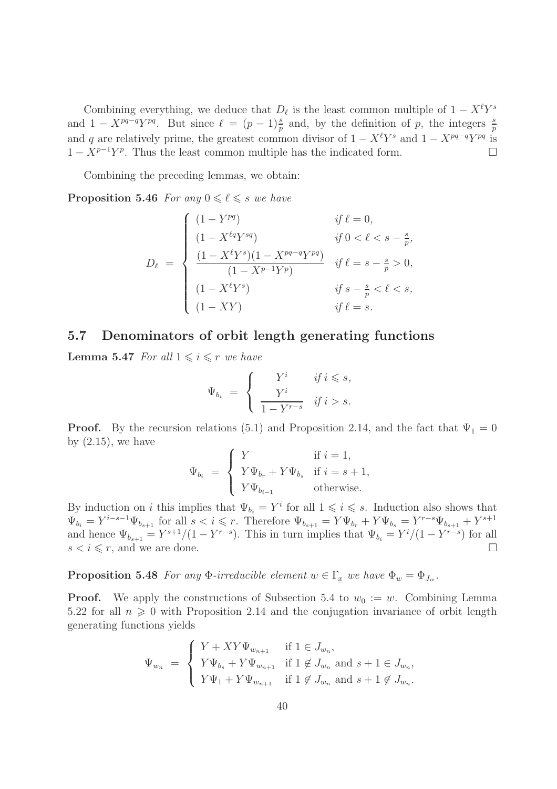Combining everything, we deduce that  $D_{\ell}$  is the least common multiple of  $1 - X^{\ell}Y^{s}$ and  $1 - X^{pq-q}Y^{pq}$ . But since  $\ell = (p-1)\frac{s}{p}$  and, by the definition of p, the integers  $\frac{s}{p}$ and q are relatively prime, the greatest common divisor of  $1 - X^{\ell}Y^{s}$  and  $1 - X^{pq-q}Y^{pq}$  is  $1 - X^{p-1}Y^p$ . Thus the least common multiple has the indicated form.

Combining the preceding lemmas, we obtain:

**Proposition 5.46** For any  $0 \le \ell \le s$  we have

$$
D_{\ell} = \begin{cases} (1 - Y^{pq}) & \text{if } \ell = 0, \\ (1 - X^{\ell q} Y^{sq}) & \text{if } 0 < \ell < s - \frac{s}{p}, \\ \frac{(1 - X^{\ell} Y^{s})(1 - X^{pq - q} Y^{pq})}{(1 - X^{p - 1} Y^{p})} & \text{if } \ell = s - \frac{s}{p} > 0, \\ (1 - X^{\ell} Y^{s}) & \text{if } s - \frac{s}{p} < \ell < s, \\ (1 - XY) & \text{if } \ell = s. \end{cases}
$$

#### 5.7 Denominators of orbit length generating functions

**Lemma 5.47** For all  $1 \leq i \leq r$  we have

$$
\Psi_{b_i} = \begin{cases} Y^i & \text{if } i \leq s, \\ \frac{Y^i}{1 - Y^{r-s}} & \text{if } i > s. \end{cases}
$$

**Proof.** By the recursion relations (5.1) and Proposition 2.14, and the fact that  $\Psi_1 = 0$ by  $(2.15)$ , we have

$$
\Psi_{b_i} \ = \ \left\{ \begin{array}{ll} Y & \mbox{if $i=1$}, \\ Y\Psi_{b_r} + Y\Psi_{b_s} & \mbox{if $i=s+1$}, \\ Y\Psi_{b_{i-1}} & \mbox{otherwise}. \end{array} \right.
$$

By induction on *i* this implies that  $\Psi_{b_i} = Y^i$  for all  $1 \leq i \leq s$ . Induction also shows that  $\Psi_{b_i} = Y^{i-s-1} \Psi_{b_{s+1}}$  for all  $s < i \leq r$ . Therefore  $\Psi_{b_{s+1}} = Y \Psi_{b_r} + Y \Psi_{b_s} = Y^{r-s} \Psi_{b_{s+1}} + Y^{s+1}$ and hence  $\Psi_{b_{s+1}} = Y^{s+1}/(1 - Y^{r-s})$ . This in turn implies that  $\Psi_{b_i} = Y^{i}/(1 - Y^{r-s})$  for all  $s < i \leq r$ , and we are done.

**Proposition 5.48** For any  $\Phi$ -irreducible element  $w \in \Gamma_x$  we have  $\Phi_w = \Phi_{J_w}$ .

**Proof.** We apply the constructions of Subsection 5.4 to  $w_0 := w$ . Combining Lemma 5.22 for all  $n \geq 0$  with Proposition 2.14 and the conjugation invariance of orbit length generating functions yields

$$
\Psi_{w_n} = \begin{cases}\nY + XY\Psi_{w_{n+1}} & \text{if } 1 \in J_{w_n}, \\
Y\Psi_{b_s} + Y\Psi_{w_{n+1}} & \text{if } 1 \notin J_{w_n} \text{ and } s + 1 \in J_{w_n}, \\
Y\Psi_1 + Y\Psi_{w_{n+1}} & \text{if } 1 \notin J_{w_n} \text{ and } s + 1 \notin J_{w_n}.\n\end{cases}
$$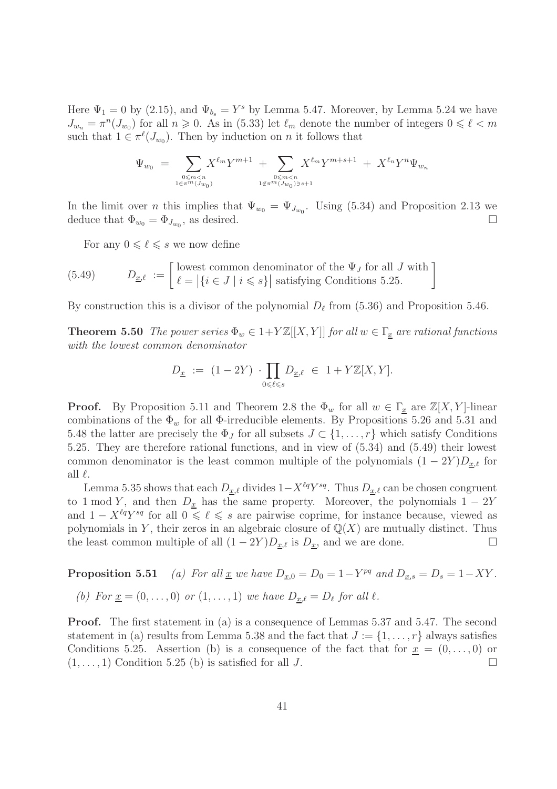Here  $\Psi_1 = 0$  by (2.15), and  $\Psi_{b_s} = Y^s$  by Lemma 5.47. Moreover, by Lemma 5.24 we have  $J_{w_n} = \pi^n(J_{w_0})$  for all  $n \geq 0$ . As in (5.33) let  $\ell_m$  denote the number of integers  $0 \leq \ell < m$ such that  $1 \in \pi^{\ell}(J_{w_0})$ . Then by induction on *n* it follows that

$$
\Psi_{w_0} = \sum_{0 \le m < n, \atop 1 \in \pi^m(J_{w_0})} X^{\ell_m} Y^{m+1} + \sum_{0 \le m < n, \atop 1 \notin \pi^m(J_{w_0}) \ni s+1} X^{\ell_m} Y^{m+s+1} + X^{\ell_n} Y^n \Psi_{w_n}
$$

In the limit over *n* this implies that  $\Psi_{w_0} = \Psi_{J_{w_0}}$ . Using (5.34) and Proposition 2.13 we deduce that  $\Phi_{w_0} = \Phi_{J_{w_0}}$ , as desired.

For any  $0 \leq \ell \leq s$  we now define

(5.49) 
$$
D_{\underline{x},\ell} := \begin{bmatrix} \text{lowest common denominator of the } \Psi_J \text{ for all } J \text{ with} \\ \ell = |\{i \in J \mid i \leq s\}| \text{ satisfying Conditions 5.25.} \end{bmatrix}
$$

By construction this is a divisor of the polynomial  $D_{\ell}$  from (5.36) and Proposition 5.46.

**Theorem 5.50** The power series  $\Phi_w \in 1+Y\mathbb{Z}[[X, Y]]$  for all  $w \in \Gamma_x$  are rational functions with the lowest common denominator

$$
D_{\underline{x}} \ := \ (1-2Y) \ \cdot \prod_{0 \leqslant \ell \leqslant s} D_{\underline{x}, \ell} \ \in \ 1 + Y{\mathbb{Z}}[X,Y].
$$

**Proof.** By Proposition 5.11 and Theorem 2.8 the  $\Phi_w$  for all  $w \in \Gamma_x$  are  $\mathbb{Z}[X, Y]$ -linear combinations of the  $\Phi_w$  for all  $\Phi$ -irreducible elements. By Propositions 5.26 and 5.31 and 5.48 the latter are precisely the  $\Phi_J$  for all subsets  $J \subset \{1, \ldots, r\}$  which satisfy Conditions 5.25. They are therefore rational functions, and in view of (5.34) and (5.49) their lowest common denominator is the least common multiple of the polynomials  $(1 - 2Y)D_{x,\ell}$  for all  $\ell$ .

Lemma 5.35 shows that each  $D_{\underline{x},\ell}$  divides  $1-X^{\ell q}Y^{sq}$ . Thus  $D_{\underline{x},\ell}$  can be chosen congruent to 1 mod Y, and then  $D_{\underline{x}}$  has the same property. Moreover, the polynomials  $1 - 2Y$ and  $1 - X^{\ell q} Y^{sq}$  for all  $0 \leq \ell \leq s$  are pairwise coprime, for instance because, viewed as polynomials in Y, their zeros in an algebraic closure of  $\mathbb{Q}(X)$  are mutually distinct. Thus the least common multiple of all  $(1 - 2Y)D_{x,\ell}$  is  $D_x$ , and we are done.

**Proposition 5.51** (a) For all <u>x</u> we have  $D_{\underline{x},0} = D_0 = 1 - Y^{pq}$  and  $D_{\underline{x},s} = D_s = 1 - XY$ .

(b) For 
$$
\underline{x} = (0, \ldots, 0)
$$
 or  $(1, \ldots, 1)$  we have  $D_{\underline{x}, \ell} = D_{\ell}$  for all  $\ell$ .

Proof. The first statement in (a) is a consequence of Lemmas 5.37 and 5.47. The second statement in (a) results from Lemma 5.38 and the fact that  $J := \{1, \ldots, r\}$  always satisfies Conditions 5.25. Assertion (b) is a consequence of the fact that for  $\underline{x} = (0, \ldots, 0)$  or  $(1, \ldots, 1)$  Condition 5.25 (b) is satisfied for all J.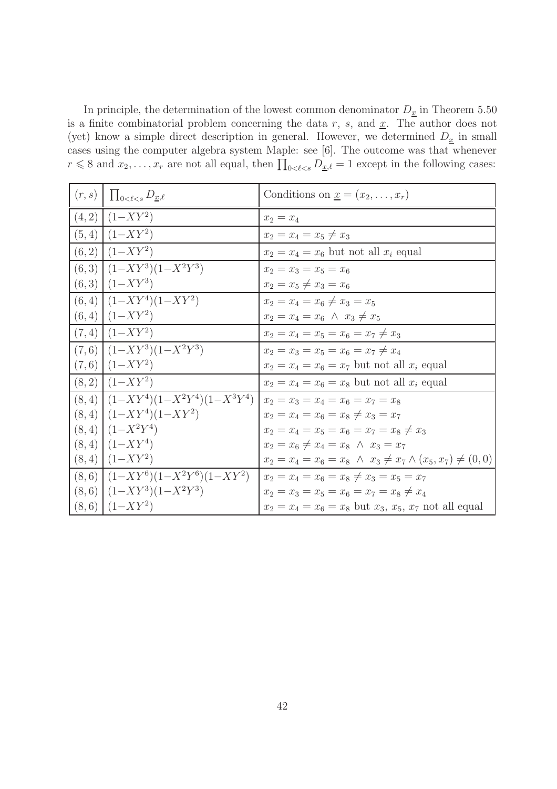In principle, the determination of the lowest common denominator  $D_{\underline{x}}$  in Theorem 5.50 is a finite combinatorial problem concerning the data r, s, and  $\underline{x}$ . The author does not (yet) know a simple direct description in general. However, we determined  $D_x$  in small cases using the computer algebra system Maple: see [6]. The outcome was that whenever  $r \leq 8$  and  $x_2, \ldots, x_r$  are not all equal, then  $\prod_{0 \leq \ell \leq s} D_{\underline{x},\ell} = 1$  except in the following cases:

| $(r, s)$ $\prod_{0<\ell\leq s} D_{\underline{x},\ell}$ | Conditions on $\underline{x} = (x_2, \ldots, x_r)$                      |
|--------------------------------------------------------|-------------------------------------------------------------------------|
| $(4,2)$ $(1–XY^2)$                                     | $x_2 = x_4$                                                             |
| $(5,4)$ $(1–XY^2)$                                     | $x_2 = x_4 = x_5 \neq x_3$                                              |
| $(6,2)$ $(1–XY^2)$                                     | $x_2 = x_4 = x_6$ but not all $x_i$ equal                               |
| $(6,3)$ $(1-XY^3)(1-X^2Y^3)$                           | $x_2 = x_3 = x_5 = x_6$                                                 |
| $(6,3)$ $(1–XY^3)$                                     | $x_2 = x_5 \neq x_3 = x_6$                                              |
| $(6,4)$ $(1–XY^4)(1–XY^2)$                             | $x_2 = x_4 = x_6 \neq x_3 = x_5$                                        |
| $(6,4)$ $(1–XY^2)$                                     | $x_2 = x_4 = x_6 \land x_3 \neq x_5$                                    |
| $(7,4)$ $(1–XY^2)$                                     | $x_2 = x_4 = x_5 = x_6 = x_7 \neq x_3$                                  |
| $(7,6)$ $(1–XY^3)(1–X^2Y^3)$                           | $x_2 = x_3 = x_5 = x_6 = x_7 \neq x_4$                                  |
| $(7,6)$ $(1–XY^2)$                                     | $x_2 = x_4 = x_6 = x_7$ but not all $x_i$ equal                         |
| $(8,2)$ $(1–XY^2)$                                     | $x_2 = x_4 = x_6 = x_8$ but not all $x_i$ equal                         |
| $(8,4)$ $(1-XY^4)(1-X^2Y^4)(1-X^3Y^4)$                 | $x_2 = x_3 = x_4 = x_6 = x_7 = x_8$                                     |
| $(8,4)$ $(1–XY^4)(1–XY^2)$                             | $x_2 = x_4 = x_6 = x_8 \neq x_3 = x_7$                                  |
| $(8,4)$ $(1-X^2Y^4)$                                   | $x_2 = x_4 = x_5 = x_6 = x_7 = x_8 \neq x_3$                            |
| $(8,4)$ $(1–XY^4)$                                     | $x_2 = x_6 \neq x_4 = x_8 \land x_3 = x_7$                              |
| $(8,4)$ $(1–XY^2)$                                     | $x_2 = x_4 = x_6 = x_8 \land x_3 \neq x_7 \land (x_5, x_7) \neq (0, 0)$ |
| $(8,6)$ $(1–XY^6)(1–X^2Y^6)(1–XY^2)$                   | $x_2 = x_4 = x_6 = x_8 \neq x_3 = x_5 = x_7$                            |
| $(8,6)$ $(1–XY^3)(1–X^2Y^3)$                           | $x_2 = x_3 = x_5 = x_6 = x_7 = x_8 \neq x_4$                            |
| $(8,6)$ $(1–XY^2)$                                     | $x_2 = x_4 = x_6 = x_8$ but $x_3, x_5, x_7$ not all equal               |